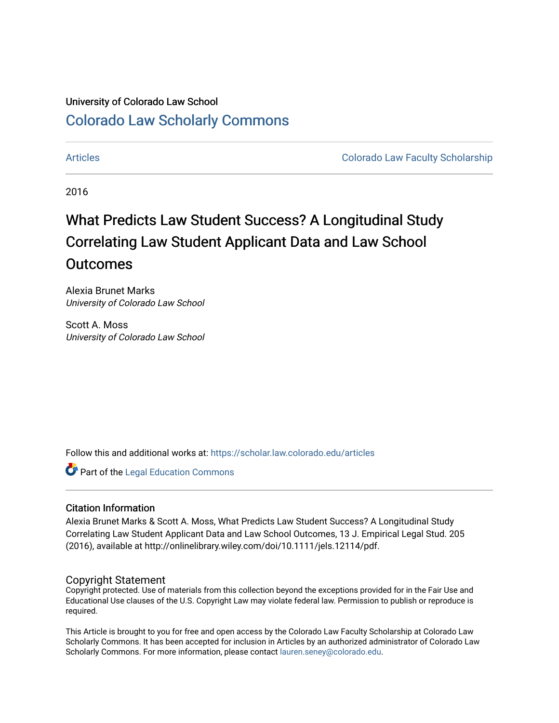# University of Colorado Law School [Colorado Law Scholarly Commons](https://scholar.law.colorado.edu/)

[Articles](https://scholar.law.colorado.edu/articles) [Colorado Law Faculty Scholarship](https://scholar.law.colorado.edu/colorado-law-faculty-scholarship) 

2016

# What Predicts Law Student Success? A Longitudinal Study Correlating Law Student Applicant Data and Law School **Outcomes**

Alexia Brunet Marks University of Colorado Law School

Scott A. Moss University of Colorado Law School

Follow this and additional works at: [https://scholar.law.colorado.edu/articles](https://scholar.law.colorado.edu/articles?utm_source=scholar.law.colorado.edu%2Farticles%2F625&utm_medium=PDF&utm_campaign=PDFCoverPages) 

**C** Part of the Legal Education Commons

## Citation Information

Alexia Brunet Marks & Scott A. Moss, What Predicts Law Student Success? A Longitudinal Study Correlating Law Student Applicant Data and Law School Outcomes, 13 J. Empirical Legal Stud. 205 (2016), available at http://onlinelibrary.wiley.com/doi/10.1111/jels.12114/pdf.

### Copyright Statement

Copyright protected. Use of materials from this collection beyond the exceptions provided for in the Fair Use and Educational Use clauses of the U.S. Copyright Law may violate federal law. Permission to publish or reproduce is required.

This Article is brought to you for free and open access by the Colorado Law Faculty Scholarship at Colorado Law Scholarly Commons. It has been accepted for inclusion in Articles by an authorized administrator of Colorado Law Scholarly Commons. For more information, please contact [lauren.seney@colorado.edu.](mailto:lauren.seney@colorado.edu)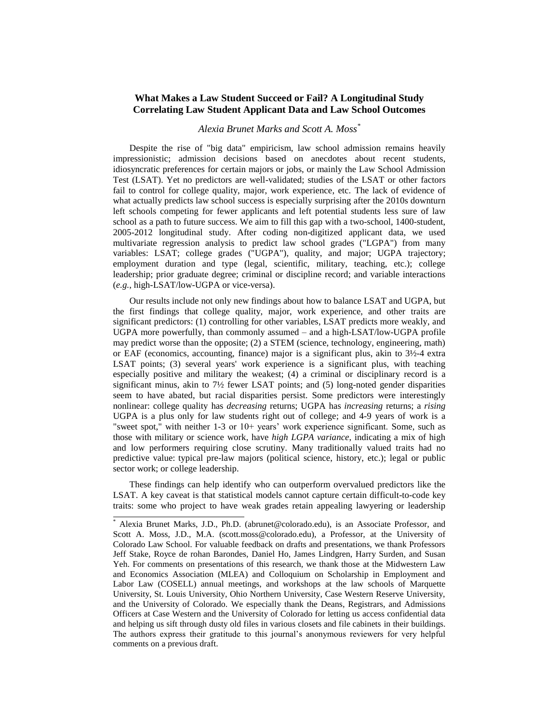#### **What Makes a Law Student Succeed or Fail? A Longitudinal Study Correlating Law Student Applicant Data and Law School Outcomes**

#### *Alexia Brunet Marks and Scott A. Moss\**

Despite the rise of "big data" empiricism, law school admission remains heavily impressionistic; admission decisions based on anecdotes about recent students, idiosyncratic preferences for certain majors or jobs, or mainly the Law School Admission Test (LSAT). Yet no predictors are well-validated; studies of the LSAT or other factors fail to control for college quality, major, work experience, etc. The lack of evidence of what actually predicts law school success is especially surprising after the 2010s downturn left schools competing for fewer applicants and left potential students less sure of law school as a path to future success. We aim to fill this gap with a two-school, 1400-student, 2005-2012 longitudinal study. After coding non-digitized applicant data, we used multivariate regression analysis to predict law school grades ("LGPA") from many variables: LSAT; college grades ("UGPA"), quality, and major; UGPA trajectory; employment duration and type (legal, scientific, military, teaching, etc.); college leadership; prior graduate degree; criminal or discipline record; and variable interactions (*e.g.*, high-LSAT/low-UGPA or vice-versa).

Our results include not only new findings about how to balance LSAT and UGPA, but the first findings that college quality, major, work experience, and other traits are significant predictors: (1) controlling for other variables, LSAT predicts more weakly, and UGPA more powerfully, than commonly assumed – and a high-LSAT/low-UGPA profile may predict worse than the opposite; (2) a STEM (science, technology, engineering, math) or EAF (economics, accounting, finance) major is a significant plus, akin to 3½-4 extra LSAT points; (3) several years' work experience is a significant plus, with teaching especially positive and military the weakest; (4) a criminal or disciplinary record is a significant minus, akin to 7½ fewer LSAT points; and (5) long-noted gender disparities seem to have abated, but racial disparities persist. Some predictors were interestingly nonlinear: college quality has *decreasing* returns; UGPA has *increasing* returns; a *rising* UGPA is a plus only for law students right out of college; and 4-9 years of work is a "sweet spot," with neither 1-3 or 10+ years' work experience significant. Some, such as those with military or science work, have *high LGPA variance*, indicating a mix of high and low performers requiring close scrutiny. Many traditionally valued traits had no predictive value: typical pre-law majors (political science, history, etc.); legal or public sector work; or college leadership.

These findings can help identify who can outperform overvalued predictors like the LSAT. A key caveat is that statistical models cannot capture certain difficult-to-code key traits: some who project to have weak grades retain appealing lawyering or leadership

 $\overline{a}$ 

Alexia Brunet Marks, J.D., Ph.D. (abrunet@colorado.edu), is an Associate Professor, and Scott A. Moss, J.D., M.A. (scott.moss@colorado.edu), a Professor, at the University of Colorado Law School. For valuable feedback on drafts and presentations, we thank Professors Jeff Stake, Royce de rohan Barondes, Daniel Ho, James Lindgren, Harry Surden, and Susan Yeh. For comments on presentations of this research, we thank those at the Midwestern Law and Economics Association (MLEA) and Colloquium on Scholarship in Employment and Labor Law (COSELL) annual meetings, and workshops at the law schools of Marquette University, St. Louis University, Ohio Northern University, Case Western Reserve University, and the University of Colorado. We especially thank the Deans, Registrars, and Admissions Officers at Case Western and the University of Colorado for letting us access confidential data and helping us sift through dusty old files in various closets and file cabinets in their buildings. The authors express their gratitude to this journal's anonymous reviewers for very helpful comments on a previous draft.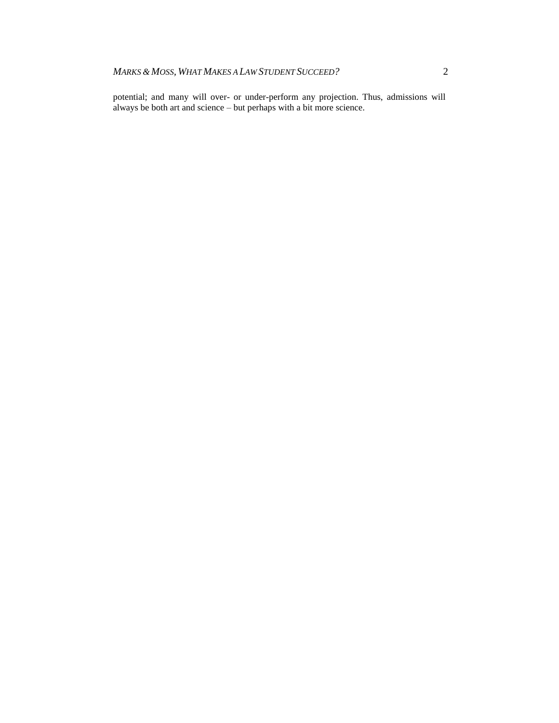potential; and many will over- or under-perform any projection. Thus, admissions will always be both art and science – but perhaps with a bit more science.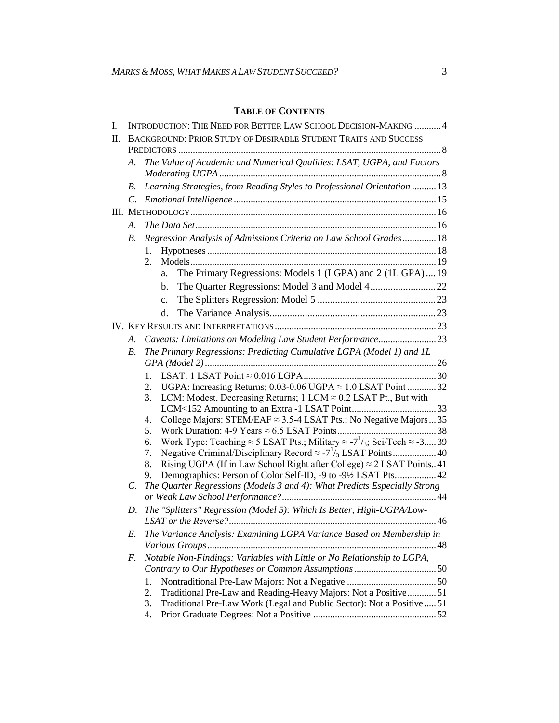# **TABLE OF CONTENTS**

| I. |            | INTRODUCTION: THE NEED FOR BETTER LAW SCHOOL DECISION-MAKING  4                                                              |  |  |  |  |  |  |  |
|----|------------|------------------------------------------------------------------------------------------------------------------------------|--|--|--|--|--|--|--|
| H. |            | BACKGROUND: PRIOR STUDY OF DESIRABLE STUDENT TRAITS AND SUCCESS                                                              |  |  |  |  |  |  |  |
|    |            |                                                                                                                              |  |  |  |  |  |  |  |
|    | А.         | The Value of Academic and Numerical Qualities: LSAT, UGPA, and Factors                                                       |  |  |  |  |  |  |  |
|    | В.         | Learning Strategies, from Reading Styles to Professional Orientation  13                                                     |  |  |  |  |  |  |  |
|    | C.         |                                                                                                                              |  |  |  |  |  |  |  |
|    |            |                                                                                                                              |  |  |  |  |  |  |  |
|    | А.         |                                                                                                                              |  |  |  |  |  |  |  |
|    | <i>B</i> . | Regression Analysis of Admissions Criteria on Law School Grades 18                                                           |  |  |  |  |  |  |  |
|    |            | 1.                                                                                                                           |  |  |  |  |  |  |  |
|    |            | 2.                                                                                                                           |  |  |  |  |  |  |  |
|    |            | The Primary Regressions: Models 1 (LGPA) and 2 (1L GPA)19<br>a.                                                              |  |  |  |  |  |  |  |
|    |            | b.                                                                                                                           |  |  |  |  |  |  |  |
|    |            | $\mathbf{c}$ .                                                                                                               |  |  |  |  |  |  |  |
|    |            | d.                                                                                                                           |  |  |  |  |  |  |  |
|    |            |                                                                                                                              |  |  |  |  |  |  |  |
|    | A.         | Caveats: Limitations on Modeling Law Student Performance23                                                                   |  |  |  |  |  |  |  |
|    | <i>B</i> . | The Primary Regressions: Predicting Cumulative LGPA (Model 1) and IL                                                         |  |  |  |  |  |  |  |
|    |            |                                                                                                                              |  |  |  |  |  |  |  |
|    |            | $1_{-}$                                                                                                                      |  |  |  |  |  |  |  |
|    |            | UGPA: Increasing Returns; $0.03$ -0.06 UGPA $\approx$ 1.0 LSAT Point 32<br>2.                                                |  |  |  |  |  |  |  |
|    |            | LCM: Modest, Decreasing Returns; 1 LCM $\approx$ 0.2 LSAT Pt., But with<br>3.                                                |  |  |  |  |  |  |  |
|    |            |                                                                                                                              |  |  |  |  |  |  |  |
|    |            | College Majors: STEM/EAF $\approx$ 3.5-4 LSAT Pts.; No Negative Majors  35<br>4.<br>5.                                       |  |  |  |  |  |  |  |
|    |            | Work Type: Teaching $\approx$ 5 LSAT Pts.; Military $\approx$ -7 <sup>1</sup> / <sub>3</sub> ; Sci/Tech $\approx$ -339<br>6. |  |  |  |  |  |  |  |
|    |            | 7.                                                                                                                           |  |  |  |  |  |  |  |
|    |            | Rising UGPA (If in Law School Right after College) $\approx$ 2 LSAT Points41<br>8.                                           |  |  |  |  |  |  |  |
|    |            | Demographics: Person of Color Self-ID, -9 to -9½ LSAT Pts 42<br>9.                                                           |  |  |  |  |  |  |  |
|    | C.         | The Quarter Regressions (Models 3 and 4): What Predicts Especially Strong                                                    |  |  |  |  |  |  |  |
|    | D.         | The "Splitters" Regression (Model 5): Which Is Better, High-UGPA/Low-                                                        |  |  |  |  |  |  |  |
|    | E.         | The Variance Analysis: Examining LGPA Variance Based on Membership in                                                        |  |  |  |  |  |  |  |
|    |            |                                                                                                                              |  |  |  |  |  |  |  |
|    | F.         | Notable Non-Findings: Variables with Little or No Relationship to LGPA,                                                      |  |  |  |  |  |  |  |
|    |            |                                                                                                                              |  |  |  |  |  |  |  |
|    |            | 1.                                                                                                                           |  |  |  |  |  |  |  |
|    |            | Traditional Pre-Law and Reading-Heavy Majors: Not a Positive51<br>2.                                                         |  |  |  |  |  |  |  |
|    |            | Traditional Pre-Law Work (Legal and Public Sector): Not a Positive51<br>3.                                                   |  |  |  |  |  |  |  |
|    |            | 4.                                                                                                                           |  |  |  |  |  |  |  |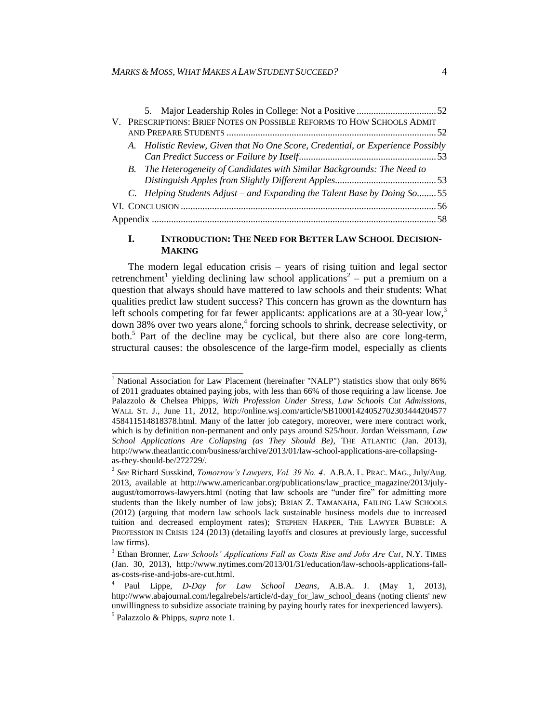|  | V. PRESCRIPTIONS: BRIEF NOTES ON POSSIBLE REFORMS TO HOW SCHOOLS ADMIT          |  |
|--|---------------------------------------------------------------------------------|--|
|  |                                                                                 |  |
|  | A. Holistic Review, Given that No One Score, Credential, or Experience Possibly |  |
|  |                                                                                 |  |
|  | B. The Heterogeneity of Candidates with Similar Backgrounds: The Need to        |  |
|  |                                                                                 |  |
|  | C. Helping Students Adjust – and Expanding the Talent Base by Doing So55        |  |
|  |                                                                                 |  |
|  |                                                                                 |  |
|  |                                                                                 |  |

#### <span id="page-4-0"></span>**I. INTRODUCTION: THE NEED FOR BETTER LAW SCHOOL DECISION-MAKING**

The modern legal education crisis – years of rising tuition and legal sector retrenchment<sup>1</sup> yielding declining law school applications<sup>2</sup> – put a premium on a question that always should have mattered to law schools and their students: What qualities predict law student success? This concern has grown as the downturn has left schools competing for far fewer applicants: applications are at a 30-year low,  $3\frac{1}{2}$ down 38% over two years alone,<sup>4</sup> forcing schools to shrink, decrease selectivity, or both.<sup>5</sup> Part of the decline may be cyclical, but there also are core long-term, structural causes: the obsolescence of the large-firm model, especially as clients

<span id="page-4-1"></span><sup>&</sup>lt;sup>1</sup> National Association for Law Placement (hereinafter "NALP") statistics show that only 86% of 2011 graduates obtained paying jobs, with less than 66% of those requiring a law license. Joe Palazzolo & Chelsea Phipps, *With Profession Under Stress, Law Schools Cut Admissions*, WALL ST. J., June 11, 2012, [http://online.wsj.com/article/SB10001424052702303444204577](http://online.wsj.com/article/SB10001424052702303444204577%20458411514818378.html)  [458411514818378.html.](http://online.wsj.com/article/SB10001424052702303444204577%20458411514818378.html) Many of the latter job category, moreover, were mere contract work, which is by definition non-permanent and only pays around \$25/hour. Jordan Weissmann, *Law School Applications Are Collapsing (as They Should Be)*, THE ATLANTIC (Jan. 2013), http://www.theatlantic.com/business/archive/2013/01/law-school-applications-are-collapsingas-they-should-be/272729/.

<sup>2</sup> *See* Richard Susskind, *Tomorrow's Lawyers, Vol. 39 No. 4*. A.B.A. L. PRAC. MAG., July/Aug. 2013, available at http://www.americanbar.org/publications/law\_practice\_magazine/2013/julyaugust/tomorrows-lawyers.html (noting that law schools are "under fire" for admitting more students than the likely number of law jobs); BRIAN Z. TAMANAHA, FAILING LAW SCHOOLS (2012) (arguing that modern law schools lack sustainable business models due to increased tuition and decreased employment rates); STEPHEN HARPER, THE LAWYER BUBBLE: A PROFESSION IN CRISIS 124 (2013) (detailing layoffs and closures at previously large, successful law firms).

<sup>&</sup>lt;sup>3</sup> Ethan Bronner, *Law Schools' Applications Fall as Costs Rise and Jobs Are Cut*, N.Y. TIMES (Jan. 30, 2013), http://www.nytimes.com/2013/01/31/education/law-schools-applications-fallas-costs-rise-and-jobs-are-cut.html.

<sup>4</sup> Paul Lippe, *D-Day for Law School Deans*, A.B.A. J. (May 1, 2013), http://www.abajournal.com/legalrebels/article/d-day\_for\_law\_school\_deans (noting clients' new unwillingness to subsidize associate training by paying hourly rates for inexperienced lawyers). 5 Palazzolo & Phipps, *supra* note [1.](#page-4-0)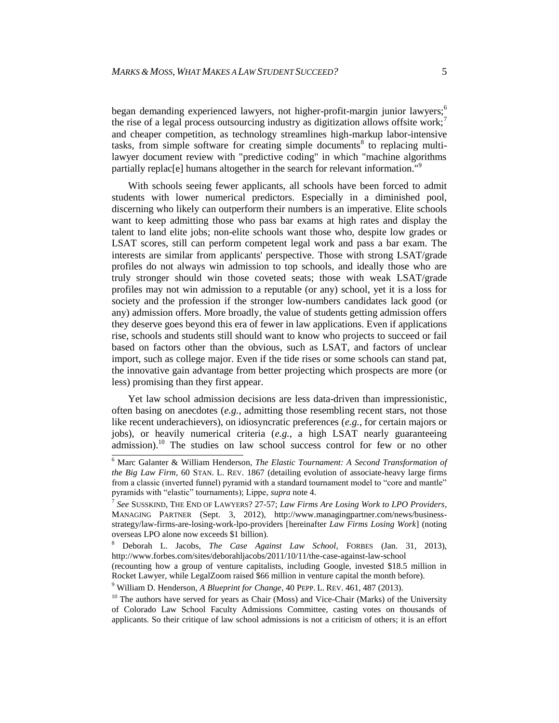began demanding experienced lawyers, not higher-profit-margin junior lawyers;<sup>6</sup> the rise of a legal process outsourcing industry as digitization allows offsite work;<sup>7</sup> and cheaper competition, as technology streamlines high-markup labor-intensive tasks, from simple software for creating simple documents<sup>8</sup> to replacing multilawyer document review with "predictive coding" in which "machine algorithms partially replac[e] humans altogether in the search for relevant information."<sup>9</sup>

With schools seeing fewer applicants, all schools have been forced to admit students with lower numerical predictors. Especially in a diminished pool, discerning who likely can outperform their numbers is an imperative. Elite schools want to keep admitting those who pass bar exams at high rates and display the talent to land elite jobs; non-elite schools want those who, despite low grades or LSAT scores, still can perform competent legal work and pass a bar exam. The interests are similar from applicants' perspective. Those with strong LSAT/grade profiles do not always win admission to top schools, and ideally those who are truly stronger should win those coveted seats; those with weak LSAT/grade profiles may not win admission to a reputable (or any) school, yet it is a loss for society and the profession if the stronger low-numbers candidates lack good (or any) admission offers. More broadly, the value of students getting admission offers they deserve goes beyond this era of fewer in law applications. Even if applications rise, schools and students still should want to know who projects to succeed or fail based on factors other than the obvious, such as LSAT, and factors of unclear import, such as college major. Even if the tide rises or some schools can stand pat, the innovative gain advantage from better projecting which prospects are more (or less) promising than they first appear.

Yet law school admission decisions are less data-driven than impressionistic, often basing on anecdotes (*e.g.*, admitting those resembling recent stars, not those like recent underachievers), on idiosyncratic preferences (*e.g.*, for certain majors or jobs), or heavily numerical criteria (*e.g.*, a high LSAT nearly guaranteeing admission).<sup>10</sup> The studies on law school success control for few or no other

 <sup>6</sup> Marc Galanter & William Henderson*, The Elastic Tournament: A Second Transformation of the Big Law Firm*, 60 STAN. L. REV. 1867 (detailing evolution of associate-heavy large firms from a classic (inverted funnel) pyramid with a standard tournament model to "core and mantle" pyramids with "elastic" tournaments); Lippe, *supra* not[e 4.](#page-4-1)

<sup>7</sup> *See* SUSSKIND, THE END OF LAWYERS? 27-57; *Law Firms Are Losing Work to LPO Providers*, MANAGING PARTNER (Sept. 3, 2012), http://www.managingpartner.com/news/businessstrategy/law-firms-are-losing-work-lpo-providers [hereinafter *Law Firms Losing Work*] (noting overseas LPO alone now exceeds \$1 billion).

<sup>8</sup> Deborah L. Jacobs, *The Case Against Law School*, FORBES (Jan. 31, 2013), http://www.forbes.com/sites/deborahljacobs/2011/10/11/the-case-against-law-school

<sup>(</sup>recounting how a group of venture capitalists, including Google, invested \$18.5 million in Rocket Lawyer, while LegalZoom raised \$66 million in venture capital the month before).

<sup>9</sup> William D. Henderson, *A Blueprint for Change*, 40 PEPP. L. REV. 461, 487 (2013).

 $10$  The authors have served for years as Chair (Moss) and Vice-Chair (Marks) of the University of Colorado Law School Faculty Admissions Committee, casting votes on thousands of applicants. So their critique of law school admissions is not a criticism of others; it is an effort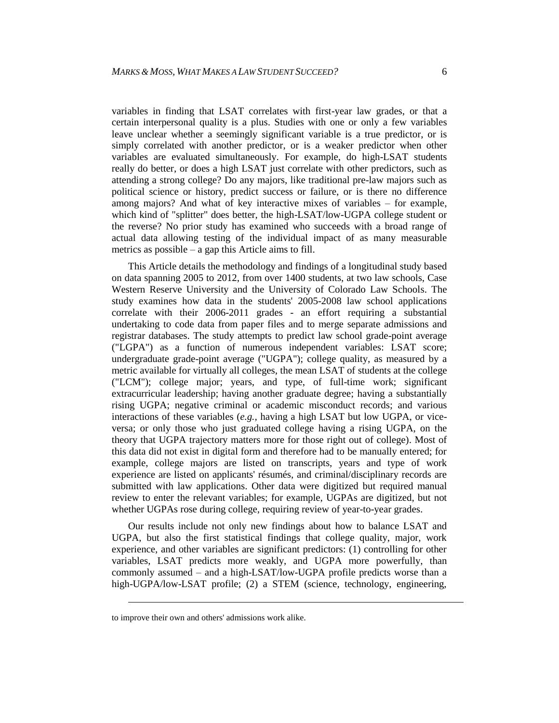variables in finding that LSAT correlates with first-year law grades, or that a certain interpersonal quality is a plus. Studies with one or only a few variables leave unclear whether a seemingly significant variable is a true predictor, or is simply correlated with another predictor, or is a weaker predictor when other variables are evaluated simultaneously. For example, do high-LSAT students really do better, or does a high LSAT just correlate with other predictors, such as attending a strong college? Do any majors, like traditional pre-law majors such as political science or history, predict success or failure, or is there no difference among majors? And what of key interactive mixes of variables – for example, which kind of "splitter" does better, the high-LSAT/low-UGPA college student or the reverse? No prior study has examined who succeeds with a broad range of actual data allowing testing of the individual impact of as many measurable metrics as possible – a gap this Article aims to fill.

This Article details the methodology and findings of a longitudinal study based on data spanning 2005 to 2012, from over 1400 students, at two law schools, Case Western Reserve University and the University of Colorado Law Schools. The study examines how data in the students' 2005-2008 law school applications correlate with their 2006-2011 grades - an effort requiring a substantial undertaking to code data from paper files and to merge separate admissions and registrar databases. The study attempts to predict law school grade-point average ("LGPA") as a function of numerous independent variables: LSAT score; undergraduate grade-point average ("UGPA"); college quality, as measured by a metric available for virtually all colleges, the mean LSAT of students at the college ("LCM"); college major; years, and type, of full-time work; significant extracurricular leadership; having another graduate degree; having a substantially rising UGPA; negative criminal or academic misconduct records; and various interactions of these variables (*e.g.*, having a high LSAT but low UGPA, or viceversa; or only those who just graduated college having a rising UGPA, on the theory that UGPA trajectory matters more for those right out of college). Most of this data did not exist in digital form and therefore had to be manually entered; for example, college majors are listed on transcripts, years and type of work experience are listed on applicants' résumés, and criminal/disciplinary records are submitted with law applications. Other data were digitized but required manual review to enter the relevant variables; for example, UGPAs are digitized, but not whether UGPAs rose during college, requiring review of year-to-year grades.

Our results include not only new findings about how to balance LSAT and UGPA, but also the first statistical findings that college quality, major, work experience, and other variables are significant predictors: (1) controlling for other variables, LSAT predicts more weakly, and UGPA more powerfully, than commonly assumed – and a high-LSAT/low-UGPA profile predicts worse than a high-UGPA/low-LSAT profile; (2) a STEM (science, technology, engineering,

l

to improve their own and others' admissions work alike.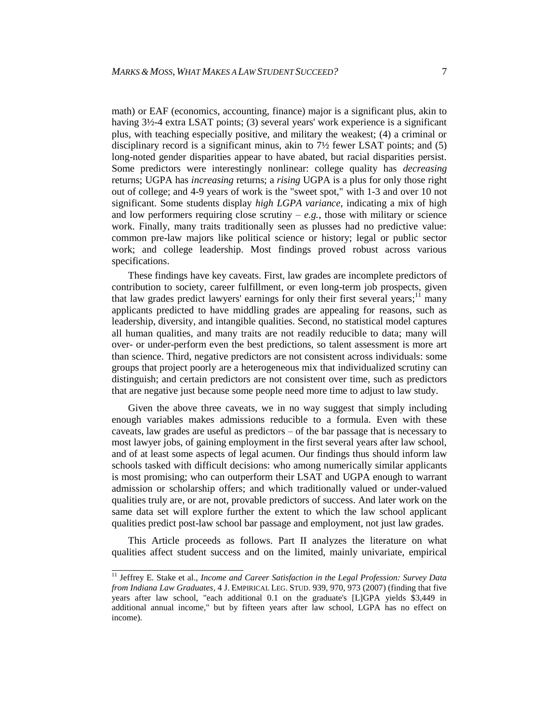math) or EAF (economics, accounting, finance) major is a significant plus, akin to having  $3\frac{1}{2}$ -4 extra LSAT points; (3) several years' work experience is a significant plus, with teaching especially positive, and military the weakest; (4) a criminal or disciplinary record is a significant minus, akin to 7½ fewer LSAT points; and (5) long-noted gender disparities appear to have abated, but racial disparities persist. Some predictors were interestingly nonlinear: college quality has *decreasing* returns; UGPA has *increasing* returns; a *rising* UGPA is a plus for only those right out of college; and 4-9 years of work is the "sweet spot," with 1-3 and over 10 not significant. Some students display *high LGPA variance*, indicating a mix of high and low performers requiring close scrutiny  $-e.g.,$  those with military or science work. Finally, many traits traditionally seen as plusses had no predictive value: common pre-law majors like political science or history; legal or public sector work; and college leadership. Most findings proved robust across various specifications.

These findings have key caveats. First, law grades are incomplete predictors of contribution to society, career fulfillment, or even long-term job prospects, given that law grades predict lawyers' earnings for only their first several years;<sup>11</sup> many applicants predicted to have middling grades are appealing for reasons, such as leadership, diversity, and intangible qualities. Second, no statistical model captures all human qualities, and many traits are not readily reducible to data; many will over- or under-perform even the best predictions, so talent assessment is more art than science. Third, negative predictors are not consistent across individuals: some groups that project poorly are a heterogeneous mix that individualized scrutiny can distinguish; and certain predictors are not consistent over time, such as predictors that are negative just because some people need more time to adjust to law study.

Given the above three caveats, we in no way suggest that simply including enough variables makes admissions reducible to a formula. Even with these caveats, law grades are useful as predictors – of the bar passage that is necessary to most lawyer jobs, of gaining employment in the first several years after law school, and of at least some aspects of legal acumen. Our findings thus should inform law schools tasked with difficult decisions: who among numerically similar applicants is most promising; who can outperform their LSAT and UGPA enough to warrant admission or scholarship offers; and which traditionally valued or under-valued qualities truly are, or are not, provable predictors of success. And later work on the same data set will explore further the extent to which the law school applicant qualities predict post-law school bar passage and employment, not just law grades.

This Article proceeds as follows. Part II analyzes the literature on what qualities affect student success and on the limited, mainly univariate, empirical

 <sup>11</sup> Jeffrey E. Stake et al., *Income and Career Satisfaction in the Legal Profession: Survey Data from Indiana Law Graduates*, 4 J. EMPIRICAL LEG. STUD. 939, 970, 973 (2007) (finding that five years after law school, "each additional 0.1 on the graduate's [L]GPA yields \$3,449 in additional annual income," but by fifteen years after law school, LGPA has no effect on income).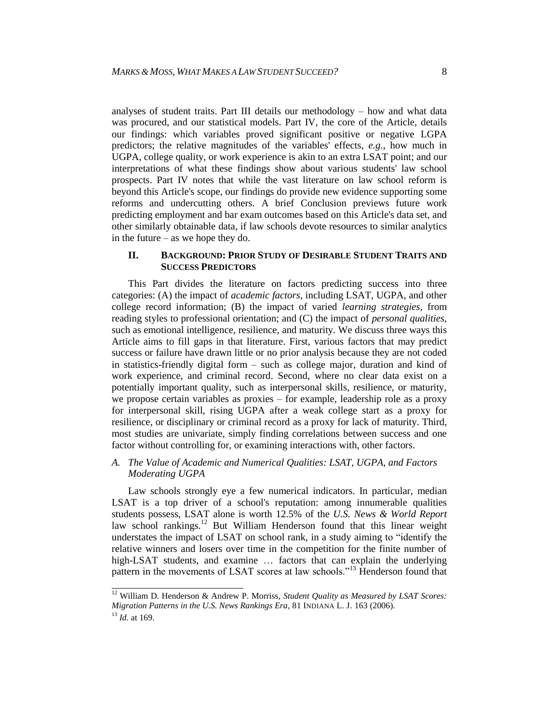analyses of student traits. Part III details our methodology – how and what data was procured, and our statistical models. Part IV, the core of the Article, details our findings: which variables proved significant positive or negative LGPA predictors; the relative magnitudes of the variables' effects, *e.g.*, how much in UGPA, college quality, or work experience is akin to an extra LSAT point; and our interpretations of what these findings show about various students' law school prospects. Part IV notes that while the vast literature on law school reform is beyond this Article's scope, our findings do provide new evidence supporting some reforms and undercutting others. A brief Conclusion previews future work predicting employment and bar exam outcomes based on this Article's data set, and other similarly obtainable data, if law schools devote resources to similar analytics in the future – as we hope they do.

#### **II. BACKGROUND: PRIOR STUDY OF DESIRABLE STUDENT TRAITS AND SUCCESS PREDICTORS**

This Part divides the literature on factors predicting success into three categories: (A) the impact of *academic factors*, including LSAT, UGPA, and other college record information; (B) the impact of varied *learning strategies*, from reading styles to professional orientation; and (C) the impact of *personal qualities*, such as emotional intelligence, resilience, and maturity. We discuss three ways this Article aims to fill gaps in that literature. First, various factors that may predict success or failure have drawn little or no prior analysis because they are not coded in statistics-friendly digital form – such as college major, duration and kind of work experience, and criminal record. Second, where no clear data exist on a potentially important quality, such as interpersonal skills, resilience, or maturity, we propose certain variables as proxies – for example, leadership role as a proxy for interpersonal skill, rising UGPA after a weak college start as a proxy for resilience, or disciplinary or criminal record as a proxy for lack of maturity. Third, most studies are univariate, simply finding correlations between success and one factor without controlling for, or examining interactions with, other factors.

### *A. The Value of Academic and Numerical Qualities: LSAT, UGPA, and Factors Moderating UGPA*

Law schools strongly eye a few numerical indicators. In particular, median LSAT is a top driver of a school's reputation: among innumerable qualities students possess, LSAT alone is worth 12.5% of the *U.S. News & World Report* law school rankings.<sup>12</sup> But William Henderson found that this linear weight understates the impact of LSAT on school rank, in a study aiming to "identify the relative winners and losers over time in the competition for the finite number of high-LSAT students, and examine … factors that can explain the underlying pattern in the movements of LSAT scores at law schools."<sup>13</sup> Henderson found that

 <sup>12</sup> William D. Henderson & Andrew P. Morriss, *Student Quality as Measured by LSAT Scores: Migration Patterns in the U.S. News Rankings Era*, 81 INDIANA L. J. 163 (2006). <sup>13</sup> *Id.* at 169.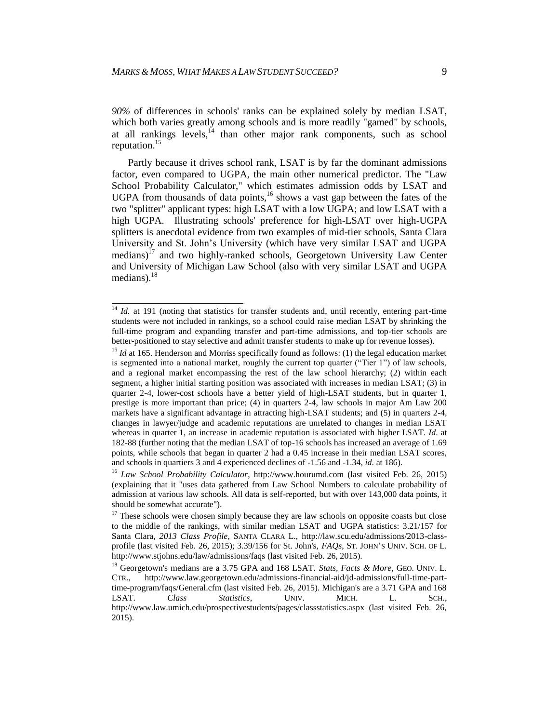*90%* of differences in schools' ranks can be explained solely by median LSAT, which both varies greatly among schools and is more readily "gamed" by schools, at all rankings levels, $<sup>14</sup>$  than other major rank components, such as school</sup> reputation.<sup>15</sup>

Partly because it drives school rank, LSAT is by far the dominant admissions factor, even compared to UGPA, the main other numerical predictor. The "Law School Probability Calculator," which estimates admission odds by LSAT and UGPA from thousands of data points,<sup>16</sup> shows a vast gap between the fates of the two "splitter" applicant types: high LSAT with a low UGPA; and low LSAT with a high UGPA. Illustrating schools' preference for high-LSAT over high-UGPA splitters is anecdotal evidence from two examples of mid-tier schools, Santa Clara University and St. John's University (which have very similar LSAT and UGPA medians)<sup>17</sup> and two highly-ranked schools, Georgetown University Law Center and University of Michigan Law School (also with very similar LSAT and UGPA medians). $^{18}$ 

 $\frac{14}{14}$  *Id.* at 191 (noting that statistics for transfer students and, until recently, entering part-time students were not included in rankings, so a school could raise median LSAT by shrinking the full-time program and expanding transfer and part-time admissions, and top-tier schools are better-positioned to stay selective and admit transfer students to make up for revenue losses).

<sup>&</sup>lt;sup>15</sup> *Id* at 165. Henderson and Morriss specifically found as follows: (1) the legal education market is segmented into a national market, roughly the current top quarter ("Tier 1") of law schools, and a regional market encompassing the rest of the law school hierarchy; (2) within each segment, a higher initial starting position was associated with increases in median LSAT; (3) in quarter 2-4, lower-cost schools have a better yield of high-LSAT students, but in quarter 1, prestige is more important than price; (4) in quarters 2-4, law schools in major Am Law 200 markets have a significant advantage in attracting high-LSAT students; and (5) in quarters 2-4, changes in lawyer/judge and academic reputations are unrelated to changes in median LSAT whereas in quarter 1, an increase in academic reputation is associated with higher LSAT. *Id*. at 182-88 (further noting that the median LSAT of top-16 schools has increased an average of 1.69 points, while schools that began in quarter 2 had a 0.45 increase in their median LSAT scores, and schools in quartiers 3 and 4 experienced declines of -1.56 and -1.34, *id*. at 186).

<sup>16</sup> *Law School Probability Calculator*, http://www.hourumd.com (last visited Feb. 26, 2015) (explaining that it "uses data gathered from Law School Numbers to calculate probability of admission at various law schools. All data is self-reported, but with over 143,000 data points, it should be somewhat accurate").

 $17$  These schools were chosen simply because they are law schools on opposite coasts but close to the middle of the rankings, with similar median LSAT and UGPA statistics: 3.21/157 for Santa Clara, *2013 Class Profile*, SANTA CLARA L., http://law.scu.edu/admissions/2013-classprofile (last visited Feb. 26, 2015); 3.39/156 for St. John's, *FAQs*, ST. JOHN'S UNIV. SCH. OF L. http://www.stjohns.edu/law/admissions/faqs (last visited Feb. 26, 2015).

<sup>&</sup>lt;sup>18</sup> Georgetown's medians are a 3.75 GPA and 168 LSAT. *Stats, Facts & More*, GEO. UNIV. L. CTR., http://www.law.georgetown.edu/admissions-financial-aid/jd-admissions/full-time-parttime-program/faqs/General.cfm (last visited Feb. 26, 2015). Michigan's are a 3.71 GPA and 168 LSAT. *Class Statistics*, UNIV. MICH. L. SCH., http://www.law.umich.edu/prospectivestudents/pages/classstatistics.aspx (last visited Feb. 26, 2015).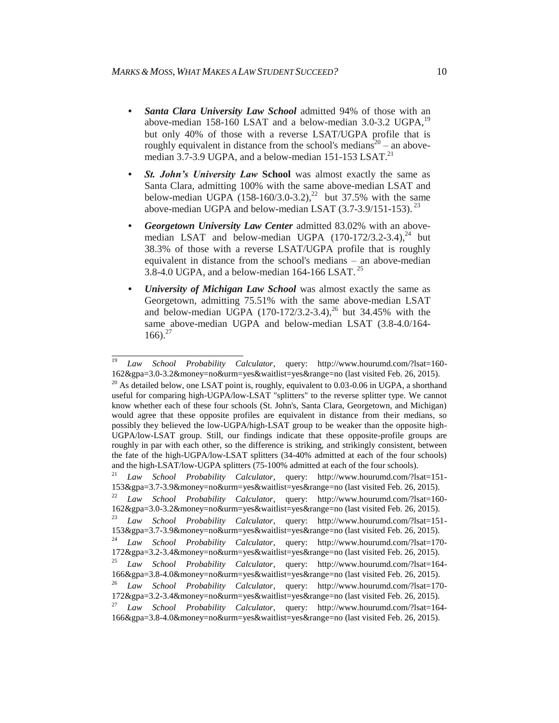$\overline{a}$ 

- *• Santa Clara University Law School* admitted 94% of those with an above-median 158-160 LSAT and a below-median 3.0-3.2 UGPA,<sup>19</sup> but only 40% of those with a reverse LSAT/UGPA profile that is roughly equivalent in distance from the school's medians<sup>20</sup> – an abovemedian  $3.7$ -3.9 UGPA, and a below-median 151-153 LSAT.<sup>21</sup>
- **St. John's University Law School** was almost exactly the same as Santa Clara, admitting 100% with the same above-median LSAT and below-median UGPA  $(158-160/3.0-3.2)$ ,<sup>22</sup> but 37.5% with the same above-median UGPA and below-median LSAT  $(3.7-3.9/151-153)$ .<sup>23</sup>
- *• Georgetown University Law Center* admitted 83.02% with an abovemedian LSAT and below-median UGPA  $(170-172/3.2-3.4)$ ,<sup>24</sup> but 38.3% of those with a reverse LSAT/UGPA profile that is roughly equivalent in distance from the school's medians – an above-median  $3.\overline{8}$ -4.0 UGPA, and a below-median 164-166 LSAT.<sup>25</sup>
- *<i>University of Michigan Law School* was almost exactly the same as Georgetown, admitting 75.51% with the same above-median LSAT and below-median UGPA  $(170-172/3.2-3.4)$ ,<sup>26</sup> but 34.45% with the same above-median UGPA and below-median LSAT (3.8-4.0/164-  $166$ ).<sup>27</sup>

<sup>19</sup> *Law School Probability Calculator*, query: http://www.hourumd.com/?lsat=160- 162&gpa=3.0-3.2&money=no&urm=yes&waitlist=yes&range=no (last visited Feb. 26, 2015).  $^{20}$  As detailed below, one LSAT point is, roughly, equivalent to 0.03-0.06 in UGPA, a shorthand useful for comparing high-UGPA/low-LSAT "splitters" to the reverse splitter type. We cannot know whether each of these four schools (St. John's, Santa Clara, Georgetown, and Michigan) would agree that these opposite profiles are equivalent in distance from their medians, so possibly they believed the low-UGPA/high-LSAT group to be weaker than the opposite high-UGPA/low-LSAT group. Still, our findings indicate that these opposite-profile groups are roughly in par with each other, so the difference is striking, and strikingly consistent, between the fate of the high-UGPA/low-LSAT splitters (34-40% admitted at each of the four schools) and the high-LSAT/low-UGPA splitters (75-100% admitted at each of the four schools). <sup>21</sup> *Law School Probability Calculator*, query: http://www.hourumd.com/?lsat=151- 153&gpa=3.7-3.9&money=no&urm=yes&waitlist=yes&range=no (last visited Feb. 26, 2015). <sup>22</sup> *Law School Probability Calculator*, query: http://www.hourumd.com/?lsat=160- 162&gpa=3.0-3.2&money=no&urm=yes&waitlist=yes&range=no (last visited Feb. 26, 2015). <sup>23</sup> *Law School Probability Calculator*, query: http://www.hourumd.com/?lsat=151- 153&gpa=3.7-3.9&money=no&urm=yes&waitlist=yes&range=no (last visited Feb. 26, 2015). <sup>24</sup> *Law School Probability Calculator*, query: http://www.hourumd.com/?lsat=170- 172&gpa=3.2-3.4&money=no&urm=yes&waitlist=yes&range=no (last visited Feb. 26, 2015). <sup>25</sup> *Law School Probability Calculator*, query: http://www.hourumd.com/?lsat=164- 166&gpa=3.8-4.0&money=no&urm=yes&waitlist=yes&range=no (last visited Feb. 26, 2015).

<sup>26</sup> *Law School Probability Calculator*, query: http://www.hourumd.com/?lsat=170- 172&gpa=3.2-3.4&money=no&urm=yes&waitlist=yes&range=no (last visited Feb. 26, 2015). <sup>27</sup> *Law School Probability Calculator*, query: http://www.hourumd.com/?lsat=164- 166&gpa=3.8-4.0&money=no&urm=yes&waitlist=yes&range=no (last visited Feb. 26, 2015).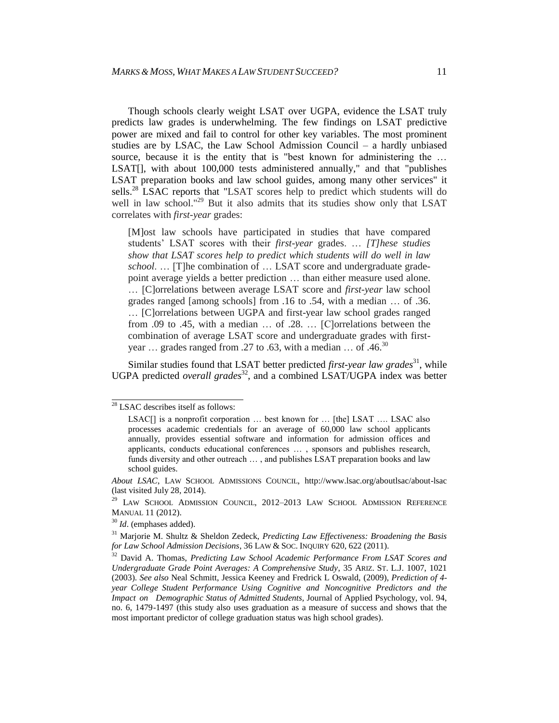Though schools clearly weight LSAT over UGPA, evidence the LSAT truly predicts law grades is underwhelming. The few findings on LSAT predictive power are mixed and fail to control for other key variables. The most prominent studies are by LSAC, the Law School Admission Council – a hardly unbiased source, because it is the entity that is "best known for administering the ... LSAT[], with about 100,000 tests administered annually," and that "publishes LSAT preparation books and law school guides, among many other services" it sells.<sup>28</sup> LSAC reports that "LSAT scores help to predict which students will do well in law school."<sup>29</sup> But it also admits that its studies show only that LSAT correlates with *first-year* grades:

[M]ost law schools have participated in studies that have compared students' LSAT scores with their *first-year* grades. … *[T]hese studies show that LSAT scores help to predict which students will do well in law school*. … [T]he combination of … LSAT score and undergraduate gradepoint average yields a better prediction … than either measure used alone. … [C]orrelations between average LSAT score and *first-year* law school grades ranged [among schools] from .16 to .54, with a median … of .36. … [C]orrelations between UGPA and first-year law school grades ranged from .09 to .45, with a median … of .28. … [C]orrelations between the combination of average LSAT score and undergraduate grades with firstyear ... grades ranged from .27 to .63, with a median ... of .46.<sup>30</sup>

Similar studies found that LSAT better predicted *first-year law grades*<sup>31</sup>, while UGPA predicted *overall grades*<sup>32</sup>, and a combined LSAT/UGPA index was better

 $28$  LSAC describes itself as follows:

LSAC<sup>[]</sup> is a nonprofit corporation ... best known for ... [the] LSAT .... LSAC also processes academic credentials for an average of 60,000 law school applicants annually, provides essential software and information for admission offices and applicants, conducts educational conferences … , sponsors and publishes research, funds diversity and other outreach … , and publishes LSAT preparation books and law school guides.

*About LSAC*, LAW SCHOOL ADMISSIONS COUNCIL, http://www.lsac.org/aboutlsac/about-lsac (last visited July 28, 2014).

<sup>&</sup>lt;sup>29</sup> LAW SCHOOL ADMISSION COUNCIL, 2012-2013 LAW SCHOOL ADMISSION REFERENCE MANUAL 11 (2012).

<sup>30</sup> *Id*. (emphases added).

<sup>31</sup> Marjorie M. Shultz & Sheldon Zedeck, *Predicting Law Effectiveness: Broadening the Basis for Law School Admission Decisions*, 36 LAW & SOC. INQUIRY 620, 622 (2011).

<sup>32</sup> David A. Thomas, *Predicting Law School Academic Performance From LSAT Scores and Undergraduate Grade Point Averages: A Comprehensive Study*, 35 ARIZ. ST. L.J. 1007, 1021 (2003). *See also* Neal Schmitt, Jessica Keeney and Fredrick L Oswald, (2009), *Prediction of 4 year College Student Performance Using Cognitive and Noncognitive Predictors and the Impact on Demographic Status of Admitted Students,* Journal of Applied Psychology, vol. 94, no. 6, 1479-1497 (this study also uses graduation as a measure of success and shows that the most important predictor of college graduation status was high school grades).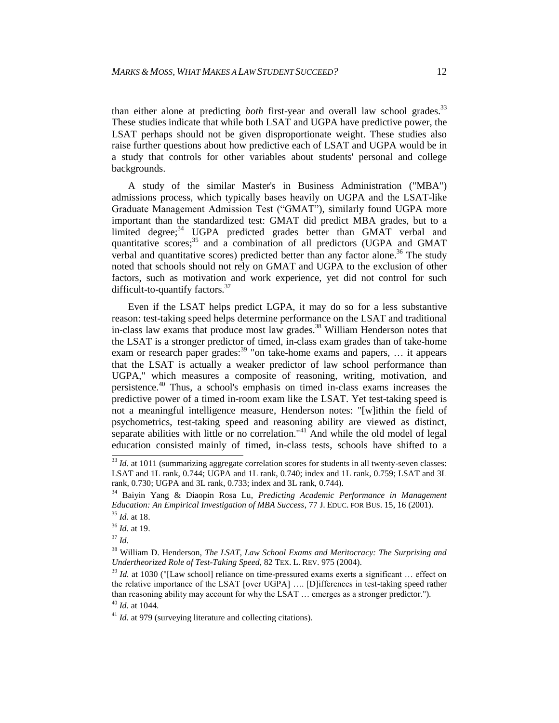than either alone at predicting *both* first-year and overall law school grades.<sup>33</sup> These studies indicate that while both LSAT and UGPA have predictive power, the LSAT perhaps should not be given disproportionate weight. These studies also raise further questions about how predictive each of LSAT and UGPA would be in a study that controls for other variables about students' personal and college backgrounds.

A study of the similar Master's in Business Administration ("MBA") admissions process, which typically bases heavily on UGPA and the LSAT-like Graduate Management Admission Test ("GMAT"), similarly found UGPA more important than the standardized test: GMAT did predict MBA grades, but to a limited degree;<sup>34</sup> UGPA predicted grades better than GMAT verbal and quantitative scores;<sup>35</sup> and a combination of all predictors (UGPA and GMAT verbal and quantitative scores) predicted better than any factor alone. <sup>36</sup> The study noted that schools should not rely on GMAT and UGPA to the exclusion of other factors, such as motivation and work experience, yet did not control for such difficult-to-quantify factors. $37$ 

Even if the LSAT helps predict LGPA, it may do so for a less substantive reason: test-taking speed helps determine performance on the LSAT and traditional in-class law exams that produce most law grades. <sup>38</sup> William Henderson notes that the LSAT is a stronger predictor of timed, in-class exam grades than of take-home exam or research paper grades:<sup>39</sup> "on take-home exams and papers, ... it appears that the LSAT is actually a weaker predictor of law school performance than UGPA," which measures a composite of reasoning, writing, motivation, and persistence.<sup>40</sup> Thus, a school's emphasis on timed in-class exams increases the predictive power of a timed in-room exam like the LSAT. Yet test-taking speed is not a meaningful intelligence measure, Henderson notes: "[w]ithin the field of psychometrics, test-taking speed and reasoning ability are viewed as distinct, separate abilities with little or no correlation." $41$  And while the old model of legal education consisted mainly of timed, in-class tests, schools have shifted to a

 $\frac{33}{3}$  *Id.* at 1011 (summarizing aggregate correlation scores for students in all twenty-seven classes: LSAT and 1L rank, 0.744; UGPA and 1L rank, 0.740; index and 1L rank, 0.759; LSAT and 3L rank, 0.730; UGPA and 3L rank, 0.733; index and 3L rank, 0.744).

<sup>34</sup> Baiyin Yang & Diaopin Rosa Lu, *Predicting Academic Performance in Management Education: An Empirical Investigation of MBA Success*, 77 J. EDUC. FOR BUS. 15, 16 (2001). <sup>35</sup> *Id.* at 18.

<sup>36</sup> *Id.* at 19.

<sup>37</sup> *Id.*

<sup>38</sup> William D. Henderson, *The LSAT, Law School Exams and Meritocracy: The Surprising and Undertheorized Role of Test-Taking Speed*, 82 TEX. L. REV. 975 (2004).

<sup>&</sup>lt;sup>39</sup> *Id.* at 1030 ("[Law school] reliance on time-pressured exams exerts a significant ... effect on the relative importance of the LSAT [over UGPA] …. [D]ifferences in test-taking speed rather than reasoning ability may account for why the LSAT … emerges as a stronger predictor."). <sup>40</sup> *Id.* at 1044.

<sup>&</sup>lt;sup>41</sup> *Id.* at 979 (surveying literature and collecting citations).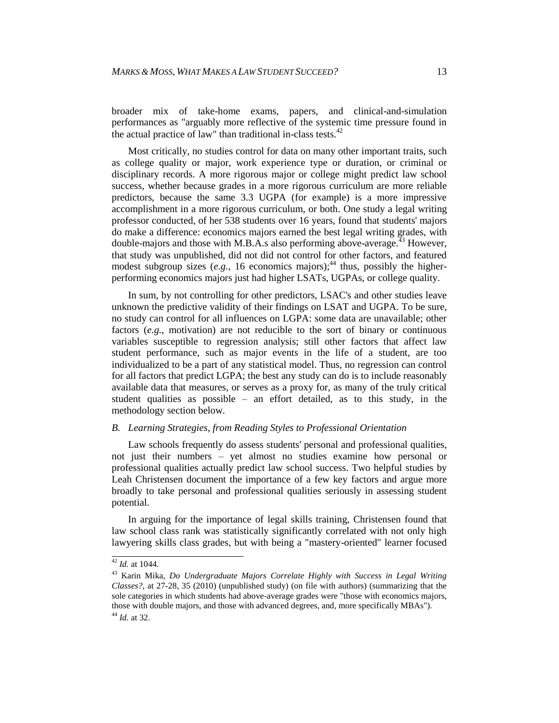broader mix of take-home exams, papers, and clinical-and-simulation performances as "arguably more reflective of the systemic time pressure found in the actual practice of law" than traditional in-class tests. $42$ 

Most critically, no studies control for data on many other important traits, such as college quality or major, work experience type or duration, or criminal or disciplinary records. A more rigorous major or college might predict law school success, whether because grades in a more rigorous curriculum are more reliable predictors, because the same 3.3 UGPA (for example) is a more impressive accomplishment in a more rigorous curriculum, or both. One study a legal writing professor conducted, of her 538 students over 16 years, found that students' majors do make a difference: economics majors earned the best legal writing grades, with double-majors and those with M.B.A.s also performing above-average.<sup> $43$ </sup> However, that study was unpublished, did not did not control for other factors, and featured modest subgroup sizes  $(e.g., 16$  economics majors);<sup>44</sup> thus, possibly the higherperforming economics majors just had higher LSATs, UGPAs, or college quality.

In sum, by not controlling for other predictors, LSAC's and other studies leave unknown the predictive validity of their findings on LSAT and UGPA. To be sure, no study can control for all influences on LGPA: some data are unavailable; other factors (*e.g.*, motivation) are not reducible to the sort of binary or continuous variables susceptible to regression analysis; still other factors that affect law student performance, such as major events in the life of a student, are too individualized to be a part of any statistical model. Thus, no regression can control for all factors that predict LGPA; the best any study can do is to include reasonably available data that measures, or serves as a proxy for, as many of the truly critical student qualities as possible – an effort detailed, as to this study, in the methodology section below.

#### *B. Learning Strategies, from Reading Styles to Professional Orientation*

Law schools frequently do assess students' personal and professional qualities, not just their numbers – yet almost no studies examine how personal or professional qualities actually predict law school success. Two helpful studies by Leah Christensen document the importance of a few key factors and argue more broadly to take personal and professional qualities seriously in assessing student potential.

In arguing for the importance of legal skills training, Christensen found that law school class rank was statistically significantly correlated with not only high lawyering skills class grades, but with being a "mastery-oriented" learner focused

 $\frac{42}{1}$ *Id.* at 1044.

<sup>43</sup> Karin Mika, *Do Undergraduate Majors Correlate Highly with Success in Legal Writing Classes?*, at 27-28, 35 (2010) (unpublished study) (on file with authors) (summarizing that the sole categories in which students had above-average grades were "those with economics majors, those with double majors, and those with advanced degrees, and, more specifically MBAs"). <sup>44</sup> *Id.* at 32.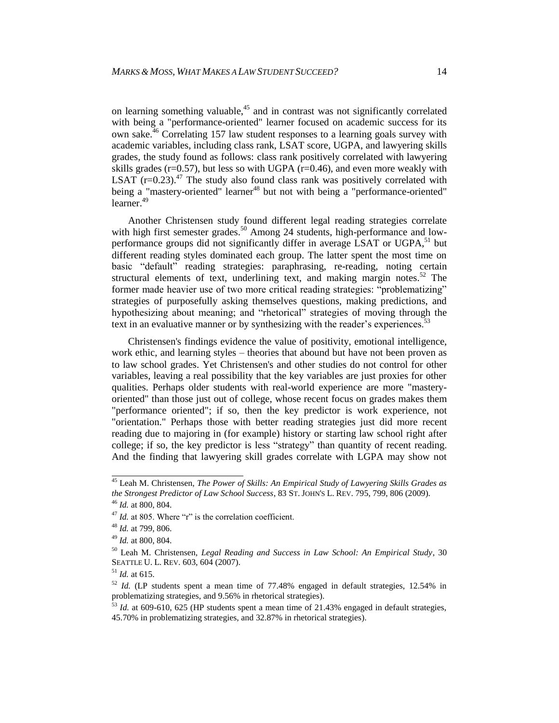on learning something valuable,<sup>45</sup> and in contrast was not significantly correlated with being a "performance-oriented" learner focused on academic success for its own sake.<sup>46</sup> Correlating 157 law student responses to a learning goals survey with academic variables, including class rank, LSAT score, UGPA, and lawyering skills grades, the study found as follows: class rank positively correlated with lawyering skills grades ( $r=0.57$ ), but less so with UGPA ( $r=0.46$ ), and even more weakly with LSAT  $(r=0.23)$ .<sup>47</sup> The study also found class rank was positively correlated with being a "mastery-oriented" learner<sup>48</sup> but not with being a "performance-oriented" learner. 49

Another Christensen study found different legal reading strategies correlate with high first semester grades.<sup>50</sup> Among 24 students, high-performance and lowperformance groups did not significantly differ in average LSAT or UGPA,<sup>51</sup> but different reading styles dominated each group. The latter spent the most time on basic "default" reading strategies: paraphrasing, re-reading, noting certain structural elements of text, underlining text, and making margin notes.<sup>52</sup> The former made heavier use of two more critical reading strategies: "problematizing" strategies of purposefully asking themselves questions, making predictions, and hypothesizing about meaning; and "rhetorical" strategies of moving through the text in an evaluative manner or by synthesizing with the reader's experiences.<sup>53</sup>

Christensen's findings evidence the value of positivity, emotional intelligence, work ethic, and learning styles – theories that abound but have not been proven as to law school grades. Yet Christensen's and other studies do not control for other variables, leaving a real possibility that the key variables are just proxies for other qualities. Perhaps older students with real-world experience are more "masteryoriented" than those just out of college, whose recent focus on grades makes them "performance oriented"; if so, then the key predictor is work experience, not "orientation." Perhaps those with better reading strategies just did more recent reading due to majoring in (for example) history or starting law school right after college; if so, the key predictor is less "strategy" than quantity of recent reading. And the finding that lawyering skill grades correlate with LGPA may show not

 <sup>45</sup> Leah M. Christensen, *The Power of Skills: An Empirical Study of Lawyering Skills Grades as the Strongest Predictor of Law School Success*, 83 ST.JOHN'S L. REV. 795, 799, 806 (2009). <sup>46</sup> *Id.* at 800, 804.

<sup>&</sup>lt;sup>47</sup> *Id.* at 805. Where "r" is the correlation coefficient.

<sup>48</sup> *Id.* at 799, 806.

<sup>49</sup> *Id.* at 800, 804.

<sup>50</sup> Leah M. Christensen, *Legal Reading and Success in Law School: An Empirical Study*, 30 SEATTLE U. L. REV. 603, 604 (2007).

<sup>51</sup> *Id.* at 615.

<sup>52</sup> *Id.* (LP students spent a mean time of 77.48% engaged in default strategies, 12.54% in problematizing strategies, and 9.56% in rhetorical strategies).

<sup>53</sup> *Id.* at 609-610, 625 (HP students spent a mean time of 21.43% engaged in default strategies, 45.70% in problematizing strategies, and 32.87% in rhetorical strategies).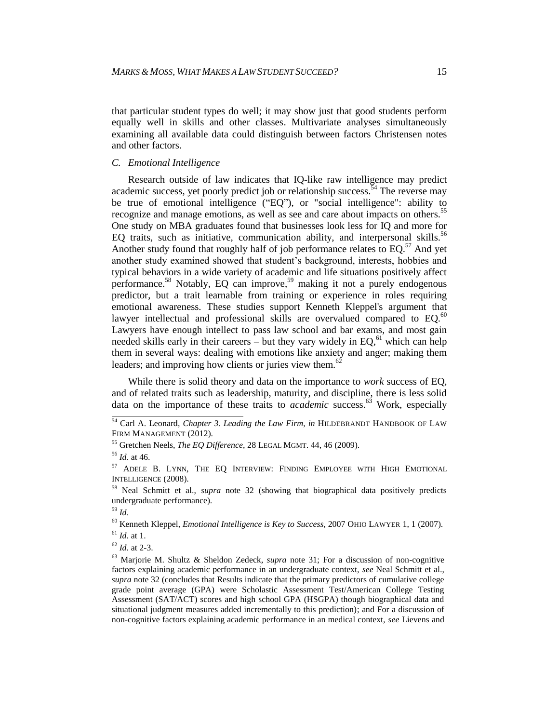that particular student types do well; it may show just that good students perform equally well in skills and other classes. Multivariate analyses simultaneously examining all available data could distinguish between factors Christensen notes and other factors.

#### *C. Emotional Intelligence*

Research outside of law indicates that IQ-like raw intelligence may predict academic success, yet poorly predict job or relationship success.<sup> $54$ </sup> The reverse may be true of emotional intelligence ("EQ"), or "social intelligence": ability to recognize and manage emotions, as well as see and care about impacts on others.<sup>55</sup> One study on MBA graduates found that businesses look less for IQ and more for EQ traits, such as initiative, communication ability, and interpersonal skills.<sup>56</sup> Another study found that roughly half of job performance relates to  $EQ$ <sup>57</sup> And yet another study examined showed that student's background, interests, hobbies and typical behaviors in a wide variety of academic and life situations positively affect performance.<sup>58</sup> Notably, EQ can improve, <sup>59</sup> making it not a purely endogenous predictor, but a trait learnable from training or experience in roles requiring emotional awareness. These studies support Kenneth Kleppel's argument that lawyer intellectual and professional skills are overvalued compared to EQ.<sup>60</sup> Lawyers have enough intellect to pass law school and bar exams, and most gain needed skills early in their careers  $-$  but they vary widely in EQ,  $61$  which can help them in several ways: dealing with emotions like anxiety and anger; making them leaders; and improving how clients or juries view them.<sup>62</sup>

While there is solid theory and data on the importance to *work* success of EQ, and of related traits such as leadership, maturity, and discipline, there is less solid data on the importance of these traits to *academic* success.<sup>63</sup> Work, especially

 $^{62}$  *Id.* at 2-3.

 <sup>54</sup> Carl A. Leonard, *Chapter 3. Leading the Law Firm*, *in* HILDEBRANDT HANDBOOK OF LAW FIRM MANAGEMENT (2012).

<sup>55</sup> Gretchen Neels, *The EQ Difference*, 28 LEGAL MGMT. 44, 46 (2009).

<sup>56</sup> *Id*. at 46.

<sup>57</sup> ADELE B. LYNN, THE EQ INTERVIEW: FINDING EMPLOYEE WITH HIGH EMOTIONAL INTELLIGENCE (2008).

<sup>58</sup> Neal Schmitt et al., *supra* note 32 (showing that biographical data positively predicts undergraduate performance).

<sup>59</sup> *Id*.

<sup>60</sup> Kenneth Kleppel, *Emotional Intelligence is Key to Success*, 2007 OHIO LAWYER 1, 1 (2007).  $^{61}$  *Id.* at 1.

<sup>63</sup> Marjorie M. Shultz & Sheldon Zedeck, *supra* note 31; For a discussion of non-cognitive factors explaining academic performance in an undergraduate context, *see* Neal Schmitt et al., *supra* note 32 (concludes that Results indicate that the primary predictors of cumulative college grade point average (GPA) were Scholastic Assessment Test/American College Testing Assessment (SAT/ACT) scores and high school GPA (HSGPA) though biographical data and situational judgment measures added incrementally to this prediction); and For a discussion of non-cognitive factors explaining academic performance in an medical context, *see* Lievens and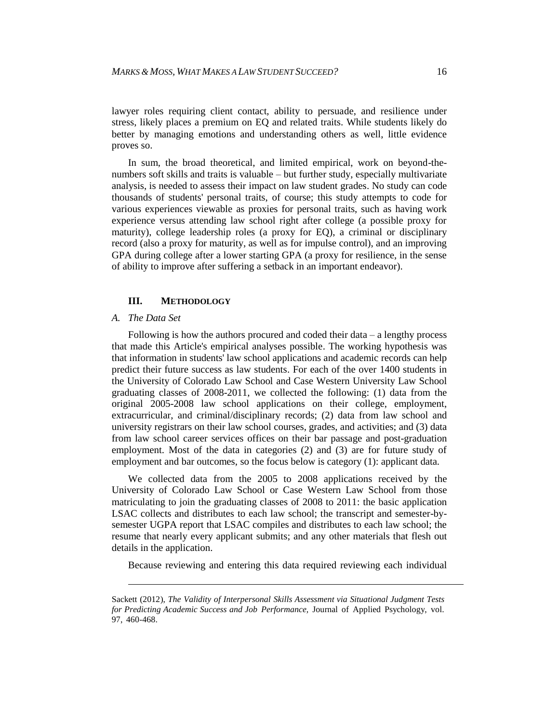lawyer roles requiring client contact, ability to persuade, and resilience under stress, likely places a premium on EQ and related traits. While students likely do better by managing emotions and understanding others as well, little evidence proves so.

In sum, the broad theoretical, and limited empirical, work on beyond-thenumbers soft skills and traits is valuable – but further study, especially multivariate analysis, is needed to assess their impact on law student grades. No study can code thousands of students' personal traits, of course; this study attempts to code for various experiences viewable as proxies for personal traits, such as having work experience versus attending law school right after college (a possible proxy for maturity), college leadership roles (a proxy for EQ), a criminal or disciplinary record (also a proxy for maturity, as well as for impulse control), and an improving GPA during college after a lower starting GPA (a proxy for resilience, in the sense of ability to improve after suffering a setback in an important endeavor).

#### **III. METHODOLOGY**

#### *A. The Data Set*

l

Following is how the authors procured and coded their data – a lengthy process that made this Article's empirical analyses possible. The working hypothesis was that information in students' law school applications and academic records can help predict their future success as law students. For each of the over 1400 students in the University of Colorado Law School and Case Western University Law School graduating classes of 2008-2011, we collected the following: (1) data from the original 2005-2008 law school applications on their college, employment, extracurricular, and criminal/disciplinary records; (2) data from law school and university registrars on their law school courses, grades, and activities; and (3) data from law school career services offices on their bar passage and post-graduation employment. Most of the data in categories (2) and (3) are for future study of employment and bar outcomes, so the focus below is category (1): applicant data.

We collected data from the 2005 to 2008 applications received by the University of Colorado Law School or Case Western Law School from those matriculating to join the graduating classes of 2008 to 2011: the basic application LSAC collects and distributes to each law school; the transcript and semester-bysemester UGPA report that LSAC compiles and distributes to each law school; the resume that nearly every applicant submits; and any other materials that flesh out details in the application.

Because reviewing and entering this data required reviewing each individual

Sackett (2012), *The Validity of Interpersonal Skills Assessment via Situational Judgment Tests for Predicting Academic Success and Job Performance,* Journal of Applied Psychology, vol. 97, 460-468.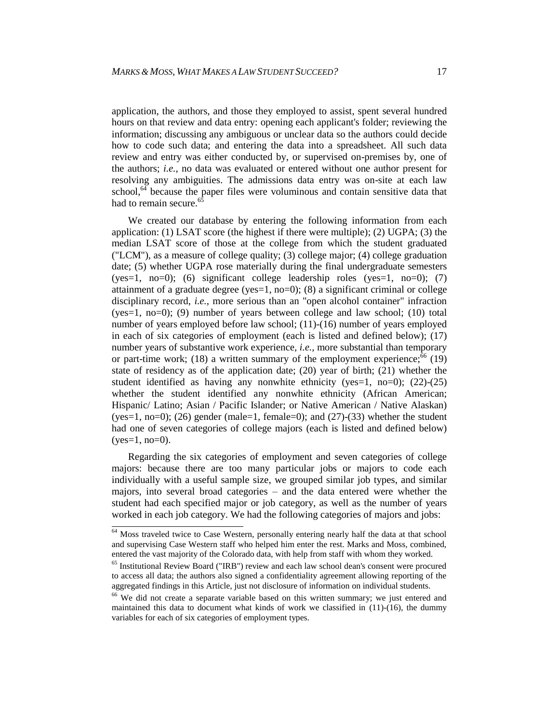application, the authors, and those they employed to assist, spent several hundred hours on that review and data entry: opening each applicant's folder; reviewing the information; discussing any ambiguous or unclear data so the authors could decide how to code such data; and entering the data into a spreadsheet. All such data review and entry was either conducted by, or supervised on-premises by, one of the authors; *i.e.*, no data was evaluated or entered without one author present for resolving any ambiguities. The admissions data entry was on-site at each law school, $64$  because the paper files were voluminous and contain sensitive data that had to remain secure.<sup>6</sup>

We created our database by entering the following information from each application: (1) LSAT score (the highest if there were multiple); (2) UGPA; (3) the median LSAT score of those at the college from which the student graduated ("LCM"), as a measure of college quality; (3) college major; (4) college graduation date; (5) whether UGPA rose materially during the final undergraduate semesters  $(yes=1, no=0);$  (6) significant college leadership roles  $(yes=1, no=0);$  (7) attainment of a graduate degree (yes=1, no=0); (8) a significant criminal or college disciplinary record, *i.e.*, more serious than an "open alcohol container" infraction  $(yes=1, no=0)$ ; (9) number of years between college and law school; (10) total number of years employed before law school; (11)-(16) number of years employed in each of six categories of employment (each is listed and defined below); (17) number years of substantive work experience*, i.e.,* more substantial than temporary or part-time work; (18) a written summary of the employment experience;  $\frac{66}{6}$  (19) state of residency as of the application date; (20) year of birth; (21) whether the student identified as having any nonwhite ethnicity (yes=1, no=0);  $(22)-(25)$ whether the student identified any nonwhite ethnicity (African American; Hispanic/ Latino; Asian / Pacific Islander; or Native American / Native Alaskan) (yes=1, no=0); (26) gender (male=1, female=0); and (27)-(33) whether the student had one of seven categories of college majors (each is listed and defined below)  $(yes=1, no=0)$ .

Regarding the six categories of employment and seven categories of college majors: because there are too many particular jobs or majors to code each individually with a useful sample size, we grouped similar job types, and similar majors, into several broad categories – and the data entered were whether the student had each specified major or job category, as well as the number of years worked in each job category. We had the following categories of majors and jobs:

 $\frac{64}{4}$  Moss traveled twice to Case Western, personally entering nearly half the data at that school and supervising Case Western staff who helped him enter the rest. Marks and Moss, combined, entered the vast majority of the Colorado data, with help from staff with whom they worked.

<sup>&</sup>lt;sup>65</sup> Institutional Review Board ("IRB") review and each law school dean's consent were procured to access all data; the authors also signed a confidentiality agreement allowing reporting of the aggregated findings in this Article, just not disclosure of information on individual students.

<sup>&</sup>lt;sup>66</sup> We did not create a separate variable based on this written summary; we just entered and maintained this data to document what kinds of work we classified in  $(11)-(16)$ , the dummy variables for each of six categories of employment types.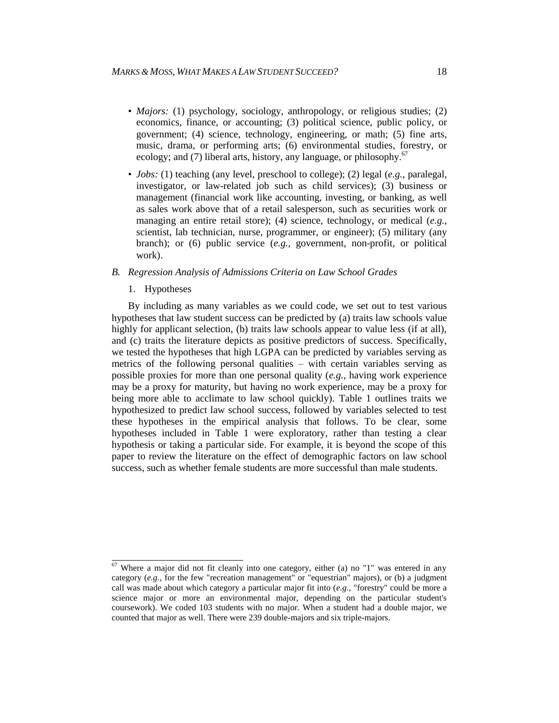- *Majors:* (1) psychology, sociology, anthropology, or religious studies; (2) economics, finance, or accounting; (3) political science, public policy, or government; (4) science, technology, engineering, or math; (5) fine arts, music, drama, or performing arts; (6) environmental studies, forestry, or ecology; and (7) liberal arts, history, any language, or philosophy.<sup>67</sup>
- *Jobs:* (1) teaching (any level, preschool to college); (2) legal (*e.g.*, paralegal, investigator, or law-related job such as child services); (3) business or management (financial work like accounting, investing, or banking, as well as sales work above that of a retail salesperson, such as securities work or managing an entire retail store); (4) science, technology, or medical (*e.g.*, scientist, lab technician, nurse, programmer, or engineer); (5) military (any branch); or (6) public service (*e.g.,* government, non-profit, or political work).

#### *B. Regression Analysis of Admissions Criteria on Law School Grades*

1. Hypotheses

By including as many variables as we could code, we set out to test various hypotheses that law student success can be predicted by (a) traits law schools value highly for applicant selection, (b) traits law schools appear to value less (if at all), and (c) traits the literature depicts as positive predictors of success. Specifically, we tested the hypotheses that high LGPA can be predicted by variables serving as metrics of the following personal qualities – with certain variables serving as possible proxies for more than one personal quality (*e.g.*, having work experience may be a proxy for maturity, but having no work experience, may be a proxy for being more able to acclimate to law school quickly). Table 1 outlines traits we hypothesized to predict law school success, followed by variables selected to test these hypotheses in the empirical analysis that follows. To be clear, some hypotheses included in Table 1 were exploratory, rather than testing a clear hypothesis or taking a particular side. For example, it is beyond the scope of this paper to review the literature on the effect of demographic factors on law school success, such as whether female students are more successful than male students.

 $\frac{67}{2}$  Where a major did not fit cleanly into one category, either (a) no "1" was entered in any category (*e.g.*, for the few "recreation management" or "equestrian" majors), or (b) a judgment call was made about which category a particular major fit into (*e.g.*, "forestry" could be more a science major or more an environmental major, depending on the particular student's coursework). We coded 103 students with no major. When a student had a double major, we counted that major as well. There were 239 double-majors and six triple-majors.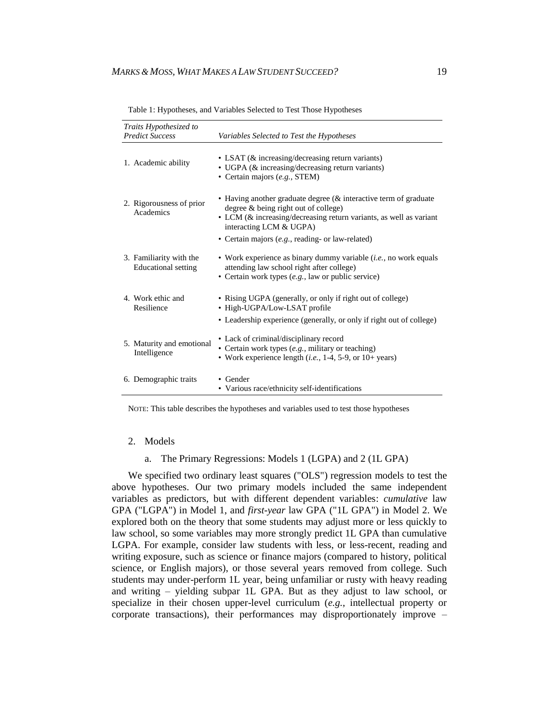| Traits Hypothesized to<br><b>Predict Success</b>      | Variables Selected to Test the Hypotheses                                                                                                                                                                    |
|-------------------------------------------------------|--------------------------------------------------------------------------------------------------------------------------------------------------------------------------------------------------------------|
| 1. Academic ability                                   | • LSAT (& increasing/decreasing return variants)<br>• UGPA (& increasing/decreasing return variants)<br>• Certain majors (e.g., STEM)                                                                        |
| 2. Rigorousness of prior<br>Academics                 | • Having another graduate degree (& interactive term of graduate<br>degree $\&$ being right out of college)<br>• LCM (& increasing/decreasing return variants, as well as variant<br>interacting LCM & UGPA) |
|                                                       | • Certain majors (e.g., reading- or law-related)                                                                                                                                                             |
| 3. Familiarity with the<br><b>Educational</b> setting | • Work experience as binary dummy variable $(i.e., no work equals$<br>attending law school right after college)<br>• Certain work types $(e.g., law or public service)$                                      |
| 4. Work ethic and<br>Resilience                       | • Rising UGPA (generally, or only if right out of college)<br>• High-UGPA/Low-LSAT profile<br>• Leadership experience (generally, or only if right out of college)                                           |
| 5. Maturity and emotional<br>Intelligence             | • Lack of criminal/disciplinary record<br>• Certain work types (e.g., military or teaching)<br>• Work experience length ( <i>i.e.</i> , 1-4, 5-9, or $10+$ years)                                            |
| 6. Demographic traits                                 | • Gender<br>• Various race/ethnicity self-identifications                                                                                                                                                    |

Table 1: Hypotheses, and Variables Selected to Test Those Hypotheses

NOTE: This table describes the hypotheses and variables used to test those hypotheses

#### 2. Models

a. The Primary Regressions: Models 1 (LGPA) and 2 (1L GPA)

We specified two ordinary least squares ("OLS") regression models to test the above hypotheses. Our two primary models included the same independent variables as predictors, but with different dependent variables: *cumulative* law GPA ("LGPA") in Model 1, and *first-year* law GPA ("1L GPA") in Model 2. We explored both on the theory that some students may adjust more or less quickly to law school, so some variables may more strongly predict 1L GPA than cumulative LGPA. For example, consider law students with less, or less-recent, reading and writing exposure, such as science or finance majors (compared to history, political science, or English majors), or those several years removed from college. Such students may under-perform 1L year, being unfamiliar or rusty with heavy reading and writing – yielding subpar 1L GPA. But as they adjust to law school, or specialize in their chosen upper-level curriculum (*e.g.*, intellectual property or corporate transactions), their performances may disproportionately improve –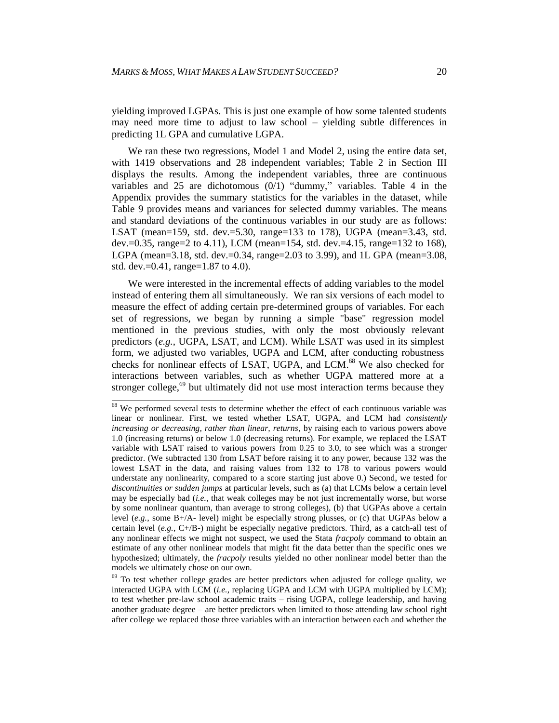yielding improved LGPAs. This is just one example of how some talented students may need more time to adjust to law school – yielding subtle differences in predicting 1L GPA and cumulative LGPA.

We ran these two regressions, Model 1 and Model 2, using the entire data set, with 1419 observations and 28 independent variables; Table 2 in Section III displays the results. Among the independent variables, three are continuous variables and 25 are dichotomous (0/1) "dummy," variables. Table 4 in the Appendix provides the summary statistics for the variables in the dataset, while Table 9 provides means and variances for selected dummy variables. The means and standard deviations of the continuous variables in our study are as follows: LSAT (mean=159, std. dev.=5.30, range=133 to 178), UGPA (mean=3.43, std. dev.=0.35, range=2 to 4.11), LCM (mean=154, std. dev.=4.15, range=132 to 168), LGPA (mean=3.18, std. dev.=0.34, range=2.03 to 3.99), and 1L GPA (mean=3.08, std. dev.=0.41, range=1.87 to 4.0).

We were interested in the incremental effects of adding variables to the model instead of entering them all simultaneously. We ran six versions of each model to measure the effect of adding certain pre-determined groups of variables. For each set of regressions, we began by running a simple "base" regression model mentioned in the previous studies, with only the most obviously relevant predictors (*e.g.*, UGPA, LSAT, and LCM). While LSAT was used in its simplest form, we adjusted two variables, UGPA and LCM, after conducting robustness checks for nonlinear effects of LSAT, UGPA, and LCM. <sup>68</sup> We also checked for interactions between variables, such as whether UGPA mattered more at a stronger college, $69$  but ultimately did not use most interaction terms because they

 $68$  We performed several tests to determine whether the effect of each continuous variable was linear or nonlinear. First, we tested whether LSAT, UGPA, and LCM had *consistently increasing or decreasing, rather than linear, returns*, by raising each to various powers above 1.0 (increasing returns) or below 1.0 (decreasing returns). For example, we replaced the LSAT variable with LSAT raised to various powers from 0.25 to 3.0, to see which was a stronger predictor. (We subtracted 130 from LSAT before raising it to any power, because 132 was the lowest LSAT in the data, and raising values from 132 to 178 to various powers would understate any nonlinearity, compared to a score starting just above 0.) Second, we tested for *discontinuities or sudden jumps* at particular levels, such as (a) that LCMs below a certain level may be especially bad (*i.e.*, that weak colleges may be not just incrementally worse, but worse by some nonlinear quantum, than average to strong colleges), (b) that UGPAs above a certain level (*e.g.*, some B+/A- level) might be especially strong plusses, or (c) that UGPAs below a certain level  $(e.g., C+/B-)$  might be especially negative predictors. Third, as a catch-all test of any nonlinear effects we might not suspect, we used the Stata *fracpoly* command to obtain an estimate of any other nonlinear models that might fit the data better than the specific ones we hypothesized; ultimately, the *fracpoly* results yielded no other nonlinear model better than the models we ultimately chose on our own.

 $69$  To test whether college grades are better predictors when adjusted for college quality, we interacted UGPA with LCM (*i.e.*, replacing UGPA and LCM with UGPA multiplied by LCM); to test whether pre-law school academic traits – rising UGPA, college leadership, and having another graduate degree – are better predictors when limited to those attending law school right after college we replaced those three variables with an interaction between each and whether the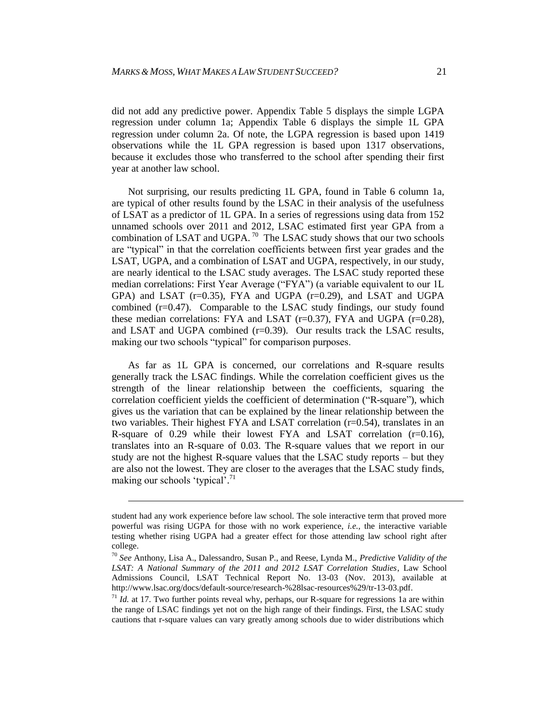did not add any predictive power. Appendix Table 5 displays the simple LGPA regression under column 1a; Appendix Table 6 displays the simple 1L GPA regression under column 2a. Of note, the LGPA regression is based upon 1419 observations while the 1L GPA regression is based upon 1317 observations, because it excludes those who transferred to the school after spending their first year at another law school.

Not surprising, our results predicting 1L GPA, found in Table 6 column 1a, are typical of other results found by the LSAC in their analysis of the usefulness of LSAT as a predictor of 1L GPA. In a series of regressions using data from 152 unnamed schools over 2011 and 2012, LSAC estimated first year GPA from a combination of LSAT and UGPA.  $^{70}$  The LSAC study shows that our two schools are "typical" in that the correlation coefficients between first year grades and the LSAT, UGPA, and a combination of LSAT and UGPA, respectively, in our study, are nearly identical to the LSAC study averages. The LSAC study reported these median correlations: First Year Average ("FYA") (a variable equivalent to our 1L  $GPA$ ) and LSAT ( $r=0.35$ ), FYA and UGPA ( $r=0.29$ ), and LSAT and UGPA combined  $(r=0.47)$ . Comparable to the LSAC study findings, our study found these median correlations: FYA and LSAT  $(r=0.37)$ , FYA and UGPA  $(r=0.28)$ , and LSAT and UGPA combined  $(r=0.39)$ . Our results track the LSAC results, making our two schools "typical" for comparison purposes.

As far as 1L GPA is concerned, our correlations and R-square results generally track the LSAC findings. While the correlation coefficient gives us the strength of the linear relationship between the coefficients, squaring the correlation coefficient yields the coefficient of determination ("R-square"), which gives us the variation that can be explained by the linear relationship between the two variables. Their highest FYA and LSAT correlation  $(r=0.54)$ , translates in an R-square of 0.29 while their lowest FYA and LSAT correlation  $(r=0.16)$ , translates into an R-square of 0.03. The R-square values that we report in our study are not the highest R-square values that the LSAC study reports – but they are also not the lowest. They are closer to the averages that the LSAC study finds, making our schools 'typical'.<sup>71</sup>

l

student had any work experience before law school. The sole interactive term that proved more powerful was rising UGPA for those with no work experience, *i.e.*, the interactive variable testing whether rising UGPA had a greater effect for those attending law school right after college.

<sup>70</sup> *See* Anthony, Lisa A., Dalessandro, Susan P., and Reese, Lynda M., *Predictive Validity of the LSAT: A National Summary of the 2011 and 2012 LSAT Correlation Studies*, Law School Admissions Council, LSAT Technical Report No. 13-03 (Nov. 2013), available at http://www.lsac.org/docs/default-source/research-%28lsac-resources%29/tr-13-03.pdf.

 $11$  *Id.* at 17. Two further points reveal why, perhaps, our R-square for regressions 1a are within the range of LSAC findings yet not on the high range of their findings. First, the LSAC study cautions that r-square values can vary greatly among schools due to wider distributions which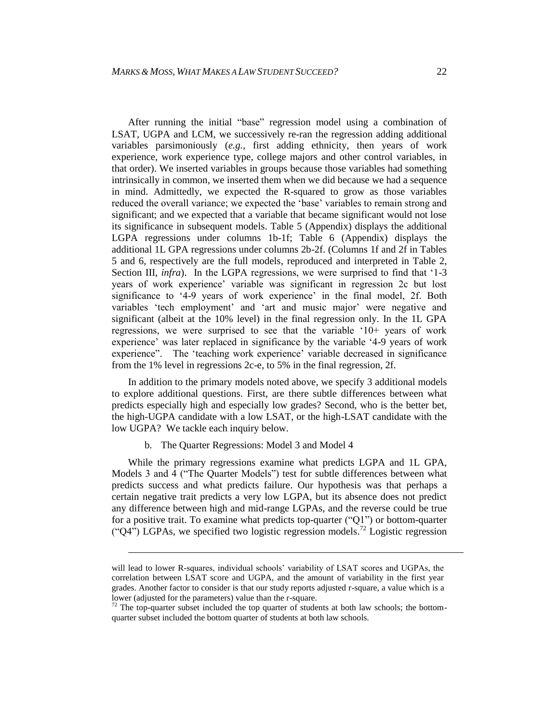After running the initial "base" regression model using a combination of LSAT, UGPA and LCM, we successively re-ran the regression adding additional variables parsimoniously (*e.g.*, first adding ethnicity, then years of work experience, work experience type, college majors and other control variables, in that order). We inserted variables in groups because those variables had something intrinsically in common, we inserted them when we did because we had a sequence in mind. Admittedly, we expected the R-squared to grow as those variables reduced the overall variance; we expected the 'base' variables to remain strong and significant; and we expected that a variable that became significant would not lose its significance in subsequent models. Table 5 (Appendix) displays the additional LGPA regressions under columns 1b-1f; Table 6 (Appendix) displays the additional 1L GPA regressions under columns 2b-2f. (Columns 1f and 2f in Tables 5 and 6, respectively are the full models, reproduced and interpreted in Table 2, Section III, *infra*). In the LGPA regressions, we were surprised to find that '1-3 years of work experience' variable was significant in regression 2c but lost significance to '4-9 years of work experience' in the final model, 2f. Both variables 'tech employment' and 'art and music major' were negative and significant (albeit at the 10% level) in the final regression only. In the 1L GPA regressions, we were surprised to see that the variable '10+ years of work experience' was later replaced in significance by the variable '4-9 years of work experience". The 'teaching work experience' variable decreased in significance from the 1% level in regressions 2c-e, to 5% in the final regression, 2f.

In addition to the primary models noted above, we specify 3 additional models to explore additional questions. First, are there subtle differences between what predicts especially high and especially low grades? Second, who is the better bet, the high-UGPA candidate with a low LSAT, or the high-LSAT candidate with the low UGPA? We tackle each inquiry below.

b. The Quarter Regressions: Model 3 and Model 4

l

While the primary regressions examine what predicts LGPA and 1L GPA, Models 3 and 4 ("The Quarter Models") test for subtle differences between what predicts success and what predicts failure. Our hypothesis was that perhaps a certain negative trait predicts a very low LGPA, but its absence does not predict any difference between high and mid-range LGPAs, and the reverse could be true for a positive trait. To examine what predicts top-quarter ("Q1") or bottom-quarter  $({}^\circ Q4\overline{)}$  LGPAs, we specified two logistic regression models.<sup>72</sup> Logistic regression

will lead to lower R-squares, individual schools' variability of LSAT scores and UGPAs, the correlation between LSAT score and UGPA, and the amount of variability in the first year grades. Another factor to consider is that our study reports adjusted r-square, a value which is a lower (adjusted for the parameters) value than the r-square.

 $72$  The top-quarter subset included the top quarter of students at both law schools; the bottomquarter subset included the bottom quarter of students at both law schools.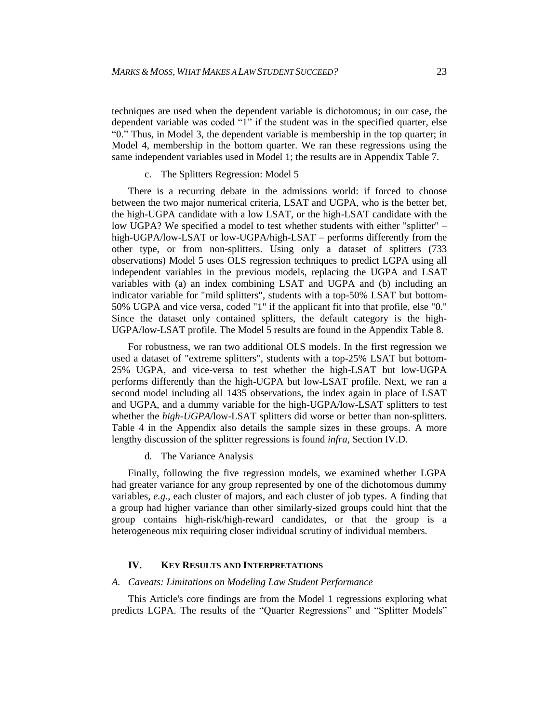techniques are used when the dependent variable is dichotomous; in our case, the dependent variable was coded "1" if the student was in the specified quarter, else "0." Thus, in Model 3, the dependent variable is membership in the top quarter; in Model 4, membership in the bottom quarter. We ran these regressions using the same independent variables used in Model 1; the results are in Appendix Table 7.

c. The Splitters Regression: Model 5

There is a recurring debate in the admissions world: if forced to choose between the two major numerical criteria, LSAT and UGPA, who is the better bet, the high-UGPA candidate with a low LSAT, or the high-LSAT candidate with the low UGPA? We specified a model to test whether students with either "splitter" – high-UGPA/low-LSAT or low-UGPA/high-LSAT – performs differently from the other type, or from non-splitters. Using only a dataset of splitters (733 observations) Model 5 uses OLS regression techniques to predict LGPA using all independent variables in the previous models, replacing the UGPA and LSAT variables with (a) an index combining LSAT and UGPA and (b) including an indicator variable for "mild splitters", students with a top-50% LSAT but bottom-50% UGPA and vice versa, coded "1" if the applicant fit into that profile, else "0." Since the dataset only contained splitters, the default category is the high-UGPA/low-LSAT profile. The Model 5 results are found in the Appendix Table 8.

For robustness, we ran two additional OLS models. In the first regression we used a dataset of "extreme splitters", students with a top-25% LSAT but bottom-25% UGPA, and vice-versa to test whether the high-LSAT but low-UGPA performs differently than the high-UGPA but low-LSAT profile. Next, we ran a second model including all 1435 observations, the index again in place of LSAT and UGPA, and a dummy variable for the high-UGPA/low-LSAT splitters to test whether the *high-UGPA*/low-LSAT splitters did worse or better than non-splitters. Table 4 in the Appendix also details the sample sizes in these groups. A more lengthy discussion of the splitter regressions is found *infra*, Section IV.D.

d. The Variance Analysis

Finally, following the five regression models, we examined whether LGPA had greater variance for any group represented by one of the dichotomous dummy variables, *e.g.*, each cluster of majors, and each cluster of job types. A finding that a group had higher variance than other similarly-sized groups could hint that the group contains high-risk/high-reward candidates, or that the group is a heterogeneous mix requiring closer individual scrutiny of individual members.

#### **IV. KEY RESULTS AND INTERPRETATIONS**

#### *A. Caveats: Limitations on Modeling Law Student Performance*

This Article's core findings are from the Model 1 regressions exploring what predicts LGPA. The results of the "Quarter Regressions" and "Splitter Models"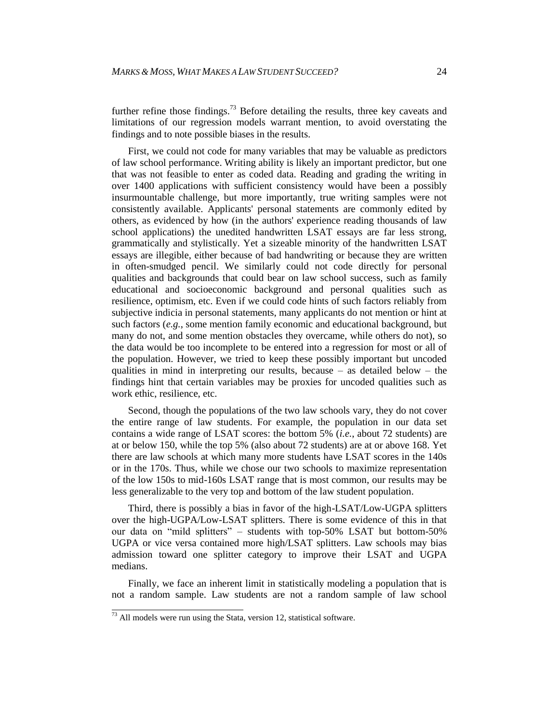further refine those findings.<sup>73</sup> Before detailing the results, three key caveats and limitations of our regression models warrant mention, to avoid overstating the findings and to note possible biases in the results.

First, we could not code for many variables that may be valuable as predictors of law school performance. Writing ability is likely an important predictor, but one that was not feasible to enter as coded data. Reading and grading the writing in over 1400 applications with sufficient consistency would have been a possibly insurmountable challenge, but more importantly, true writing samples were not consistently available. Applicants' personal statements are commonly edited by others, as evidenced by how (in the authors' experience reading thousands of law school applications) the unedited handwritten LSAT essays are far less strong, grammatically and stylistically. Yet a sizeable minority of the handwritten LSAT essays are illegible, either because of bad handwriting or because they are written in often-smudged pencil. We similarly could not code directly for personal qualities and backgrounds that could bear on law school success, such as family educational and socioeconomic background and personal qualities such as resilience, optimism, etc. Even if we could code hints of such factors reliably from subjective indicia in personal statements, many applicants do not mention or hint at such factors (*e.g.*, some mention family economic and educational background, but many do not, and some mention obstacles they overcame, while others do not), so the data would be too incomplete to be entered into a regression for most or all of the population. However, we tried to keep these possibly important but uncoded qualities in mind in interpreting our results, because  $-$  as detailed below  $-$  the findings hint that certain variables may be proxies for uncoded qualities such as work ethic, resilience, etc.

Second, though the populations of the two law schools vary, they do not cover the entire range of law students. For example, the population in our data set contains a wide range of LSAT scores: the bottom 5% (*i.e.*, about 72 students) are at or below 150, while the top 5% (also about 72 students) are at or above 168. Yet there are law schools at which many more students have LSAT scores in the 140s or in the 170s. Thus, while we chose our two schools to maximize representation of the low 150s to mid-160s LSAT range that is most common, our results may be less generalizable to the very top and bottom of the law student population.

Third, there is possibly a bias in favor of the high-LSAT/Low-UGPA splitters over the high-UGPA/Low-LSAT splitters. There is some evidence of this in that our data on "mild splitters" – students with top-50% LSAT but bottom-50% UGPA or vice versa contained more high/LSAT splitters. Law schools may bias admission toward one splitter category to improve their LSAT and UGPA medians.

Finally, we face an inherent limit in statistically modeling a population that is not a random sample. Law students are not a random sample of law school

 $\frac{73}{12}$  All models were run using the Stata, version 12, statistical software.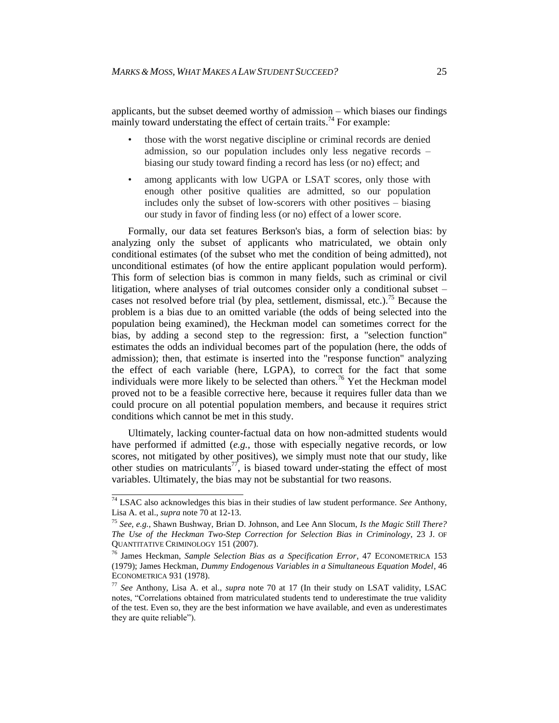applicants, but the subset deemed worthy of admission – which biases our findings mainly toward understating the effect of certain traits.<sup>74</sup> For example:

- those with the worst negative discipline or criminal records are denied admission, so our population includes only less negative records – biasing our study toward finding a record has less (or no) effect; and
- among applicants with low UGPA or LSAT scores, only those with enough other positive qualities are admitted, so our population includes only the subset of low-scorers with other positives – biasing our study in favor of finding less (or no) effect of a lower score.

Formally, our data set features Berkson's bias, a form of selection bias: by analyzing only the subset of applicants who matriculated, we obtain only conditional estimates (of the subset who met the condition of being admitted), not unconditional estimates (of how the entire applicant population would perform). This form of selection bias is common in many fields, such as criminal or civil litigation, where analyses of trial outcomes consider only a conditional subset – cases not resolved before trial (by plea, settlement, dismissal, etc.).<sup>75</sup> Because the problem is a bias due to an omitted variable (the odds of being selected into the population being examined), the Heckman model can sometimes correct for the bias, by adding a second step to the regression: first, a "selection function" estimates the odds an individual becomes part of the population (here, the odds of admission); then, that estimate is inserted into the "response function" analyzing the effect of each variable (here, LGPA), to correct for the fact that some individuals were more likely to be selected than others.<sup>76</sup> Yet the Heckman model proved not to be a feasible corrective here, because it requires fuller data than we could procure on all potential population members, and because it requires strict conditions which cannot be met in this study.

Ultimately, lacking counter-factual data on how non-admitted students would have performed if admitted (*e.g.*, those with especially negative records, or low scores, not mitigated by other positives), we simply must note that our study, like other studies on matriculants<sup>77</sup>, is biased toward under-stating the effect of most variables. Ultimately, the bias may not be substantial for two reasons.

 <sup>74</sup> LSAC also acknowledges this bias in their studies of law student performance. *See* Anthony, Lisa A. et al., *supra* note 70 at 12-13.

<sup>75</sup> *See, e.g.*, Shawn Bushway, Brian D. Johnson, and Lee Ann Slocum, *Is the Magic Still There? The Use of the Heckman Two-Step Correction for Selection Bias in Criminology*, 23 J. OF QUANTITATIVE CRIMINOLOGY 151 (2007).

<sup>76</sup> James Heckman, *Sample Selection Bias as a Specification Error*, 47 ECONOMETRICA 153 (1979); James Heckman, *Dummy Endogenous Variables in a Simultaneous Equation Model*, 46 ECONOMETRICA 931 (1978).

<sup>77</sup> *See* Anthony, Lisa A. et al., *supra* note 70 at 17 (In their study on LSAT validity, LSAC notes, "Correlations obtained from matriculated students tend to underestimate the true validity of the test. Even so, they are the best information we have available, and even as underestimates they are quite reliable").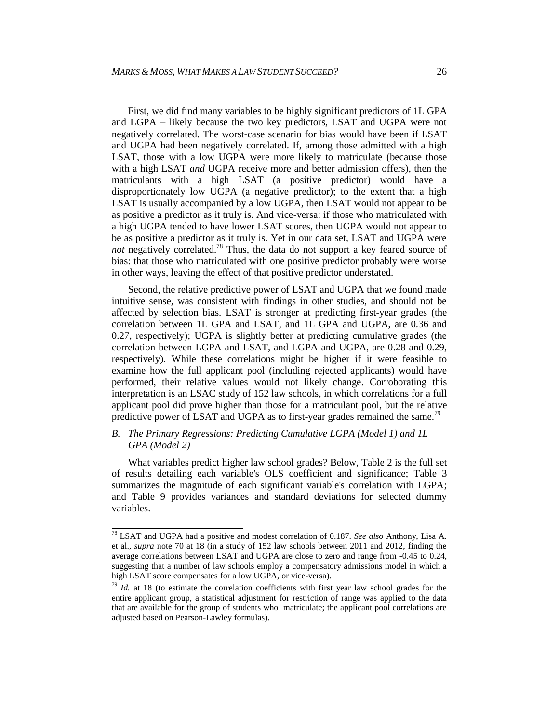First, we did find many variables to be highly significant predictors of 1L GPA and LGPA – likely because the two key predictors, LSAT and UGPA were not negatively correlated. The worst-case scenario for bias would have been if LSAT and UGPA had been negatively correlated. If, among those admitted with a high LSAT, those with a low UGPA were more likely to matriculate (because those with a high LSAT *and* UGPA receive more and better admission offers), then the matriculants with a high LSAT (a positive predictor) would have a disproportionately low UGPA (a negative predictor); to the extent that a high LSAT is usually accompanied by a low UGPA, then LSAT would not appear to be as positive a predictor as it truly is. And vice-versa: if those who matriculated with a high UGPA tended to have lower LSAT scores, then UGPA would not appear to be as positive a predictor as it truly is. Yet in our data set, LSAT and UGPA were *not* negatively correlated.<sup>78</sup> Thus, the data do not support a key feared source of bias: that those who matriculated with one positive predictor probably were worse in other ways, leaving the effect of that positive predictor understated.

Second, the relative predictive power of LSAT and UGPA that we found made intuitive sense, was consistent with findings in other studies, and should not be affected by selection bias. LSAT is stronger at predicting first-year grades (the correlation between 1L GPA and LSAT, and 1L GPA and UGPA, are 0.36 and 0.27, respectively); UGPA is slightly better at predicting cumulative grades (the correlation between LGPA and LSAT, and LGPA and UGPA, are 0.28 and 0.29, respectively). While these correlations might be higher if it were feasible to examine how the full applicant pool (including rejected applicants) would have performed, their relative values would not likely change. Corroborating this interpretation is an LSAC study of 152 law schools, in which correlations for a full applicant pool did prove higher than those for a matriculant pool, but the relative predictive power of LSAT and UGPA as to first-year grades remained the same.<sup>79</sup>

### *B. The Primary Regressions: Predicting Cumulative LGPA (Model 1) and 1L GPA (Model 2)*

What variables predict higher law school grades? Below, Table 2 is the full set of results detailing each variable's OLS coefficient and significance; Table 3 summarizes the magnitude of each significant variable's correlation with LGPA; and Table 9 provides variances and standard deviations for selected dummy variables.

 <sup>78</sup> LSAT and UGPA had a positive and modest correlation of 0.187. *See also* Anthony, Lisa A. et al., *supra* note 70 at 18 (in a study of 152 law schools between 2011 and 2012, finding the average correlations between LSAT and UGPA are close to zero and range from -0.45 to 0.24, suggesting that a number of law schools employ a compensatory admissions model in which a high LSAT score compensates for a low UGPA, or vice-versa).

<sup>&</sup>lt;sup>79</sup> *Id.* at 18 (to estimate the correlation coefficients with first year law school grades for the entire applicant group, a statistical adjustment for restriction of range was applied to the data that are available for the group of students who matriculate; the applicant pool correlations are adjusted based on Pearson-Lawley formulas).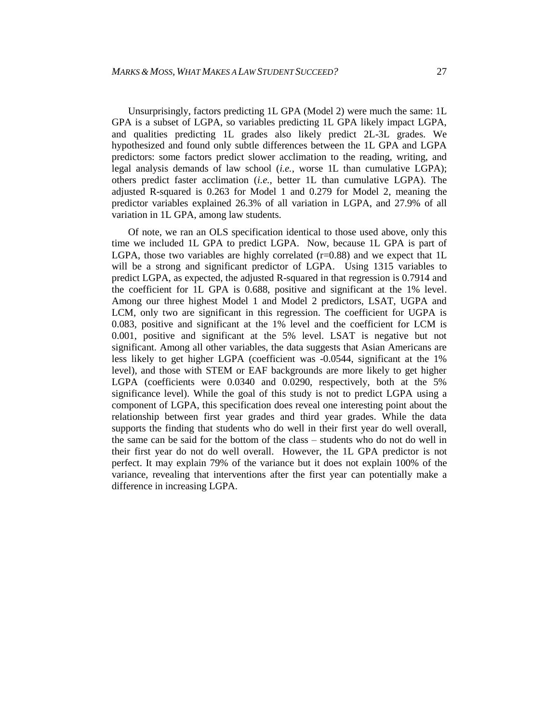Unsurprisingly, factors predicting 1L GPA (Model 2) were much the same: 1L GPA is a subset of LGPA, so variables predicting 1L GPA likely impact LGPA, and qualities predicting 1L grades also likely predict 2L-3L grades. We hypothesized and found only subtle differences between the 1L GPA and LGPA predictors: some factors predict slower acclimation to the reading, writing, and legal analysis demands of law school (*i.e.*, worse 1L than cumulative LGPA); others predict faster acclimation (*i.e.*, better 1L than cumulative LGPA). The adjusted R-squared is 0.263 for Model 1 and 0.279 for Model 2, meaning the predictor variables explained 26.3% of all variation in LGPA, and 27.9% of all variation in 1L GPA, among law students.

Of note, we ran an OLS specification identical to those used above, only this time we included 1L GPA to predict LGPA. Now, because 1L GPA is part of LGPA, those two variables are highly correlated  $(r=0.88)$  and we expect that 1L will be a strong and significant predictor of LGPA. Using 1315 variables to predict LGPA, as expected, the adjusted R-squared in that regression is 0.7914 and the coefficient for 1L GPA is 0.688, positive and significant at the 1% level. Among our three highest Model 1 and Model 2 predictors, LSAT, UGPA and LCM, only two are significant in this regression. The coefficient for UGPA is 0.083, positive and significant at the 1% level and the coefficient for LCM is 0.001, positive and significant at the 5% level. LSAT is negative but not significant. Among all other variables, the data suggests that Asian Americans are less likely to get higher LGPA (coefficient was -0.0544, significant at the 1% level), and those with STEM or EAF backgrounds are more likely to get higher LGPA (coefficients were 0.0340 and 0.0290, respectively, both at the 5% significance level). While the goal of this study is not to predict LGPA using a component of LGPA, this specification does reveal one interesting point about the relationship between first year grades and third year grades. While the data supports the finding that students who do well in their first year do well overall, the same can be said for the bottom of the class – students who do not do well in their first year do not do well overall. However, the 1L GPA predictor is not perfect. It may explain 79% of the variance but it does not explain 100% of the variance, revealing that interventions after the first year can potentially make a difference in increasing LGPA.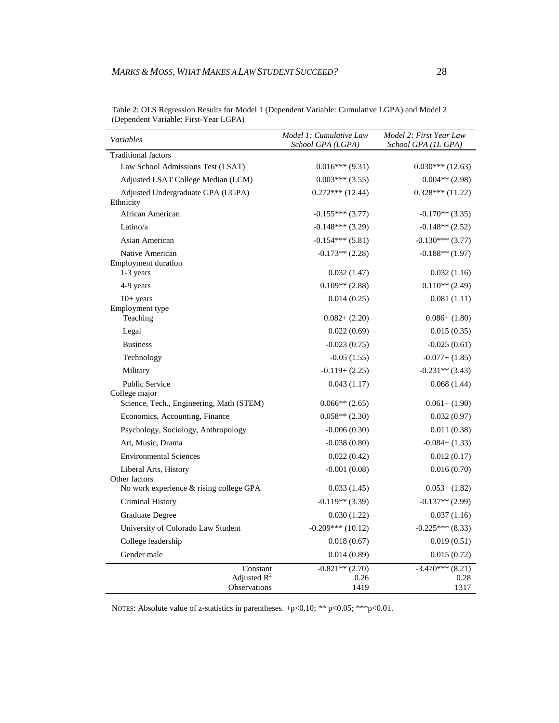| Variables                                      | Model 1: Cumulative Law<br>School GPA (LGPA) | Model 2: First Year Law<br>School GPA (IL GPA) |
|------------------------------------------------|----------------------------------------------|------------------------------------------------|
| <b>Traditional factors</b>                     |                                              |                                                |
| Law School Admissions Test (LSAT)              | $0.016***(9.31)$                             | $0.030***$ (12.63)                             |
| Adjusted LSAT College Median (LCM)             | $0.003***$ (3.55)                            | $0.004**$ (2.98)                               |
| Adjusted Undergraduate GPA (UGPA)<br>Ethnicity | $0.272***(12.44)$                            | $0.328***(11.22)$                              |
| African American                               | $-0.155***(3.77)$                            | $-0.170**$ (3.35)                              |
| Latino/a                                       | $-0.148***(3.29)$                            | $-0.148**$ (2.52)                              |
| Asian American                                 | $-0.154***(5.81)$                            | $-0.130***(3.77)$                              |
| Native American<br><b>Employment duration</b>  | $-0.173**$ (2.28)                            | $-0.188**$ (1.97)                              |
| 1-3 years                                      | 0.032(1.47)                                  | 0.032(1.16)                                    |
| 4-9 years                                      | $0.109**$ (2.88)                             | $0.110**$ (2.49)                               |
| $10+$ years<br>Employment type                 | 0.014(0.25)                                  | 0.081(1.11)                                    |
| Teaching                                       | $0.082 + (2.20)$                             | $0.086+ (1.80)$                                |
| Legal                                          | 0.022(0.69)                                  | 0.015(0.35)                                    |
| <b>Business</b>                                | $-0.023(0.75)$                               | $-0.025(0.61)$                                 |
| Technology                                     | $-0.05(1.55)$                                | $-0.077 + (1.85)$                              |
| Military                                       | $-0.119 + (2.25)$                            | $-0.231**$ (3.43)                              |
| <b>Public Service</b><br>College major         | 0.043(1.17)                                  | 0.068(1.44)                                    |
| Science, Tech., Engineering, Math (STEM)       | $0.066**$ (2.65)                             | $0.061 + (1.90)$                               |
| Economics, Accounting, Finance                 | $0.058**$ (2.30)                             | 0.032(0.97)                                    |
| Psychology, Sociology, Anthropology            | $-0.006(0.30)$                               | 0.011(0.38)                                    |
| Art, Music, Drama                              | $-0.038(0.80)$                               | $-0.084 + (1.33)$                              |
| <b>Environmental Sciences</b>                  | 0.022(0.42)                                  | 0.012(0.17)                                    |
| Liberal Arts, History<br>Other factors         | $-0.001(0.08)$                               | 0.016(0.70)                                    |
| No work experience & rising college GPA        | 0.033(1.45)                                  | $0.053+ (1.82)$                                |
| Criminal History                               | $-0.119**$ (3.39)                            | $-0.137**$ (2.99)                              |
| Graduate Degree                                | 0.030(1.22)                                  | 0.037(1.16)                                    |
| University of Colorado Law Student             | $-0.209***(10.12)$                           | $-0.225***(8.33)$                              |
| College leadership                             | 0.018(0.67)                                  | 0.019(0.51)                                    |
| Gender male                                    | 0.014(0.89)                                  | 0.015(0.72)                                    |
| Constant<br>Adjusted $R^2$<br>Observations     | $-0.821**$ (2.70)<br>0.26<br>1419            | $-3.470***$ (8.21)<br>0.28<br>1317             |

Table 2: OLS Regression Results for Model 1 (Dependent Variable: Cumulative LGPA) and Model 2 (Dependent Variable: First-Year LGPA)

NOTES: Absolute value of z-statistics in parentheses. +p<0.10; \*\* p<0.05; \*\*\* p<0.01.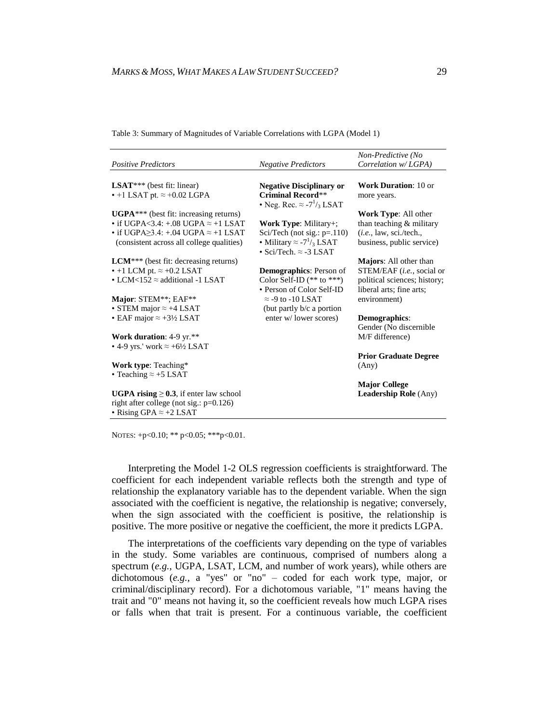| <b>Positive Predictors</b>                                                                                                                                                                                                                                                                                                | <b>Negative Predictors</b>                                                                | Non-Predictive (No<br>Correlation w/LGPA)                                                                                                                          |
|---------------------------------------------------------------------------------------------------------------------------------------------------------------------------------------------------------------------------------------------------------------------------------------------------------------------------|-------------------------------------------------------------------------------------------|--------------------------------------------------------------------------------------------------------------------------------------------------------------------|
|                                                                                                                                                                                                                                                                                                                           |                                                                                           |                                                                                                                                                                    |
| <b>LSAT</b> *** (best fit: linear)                                                                                                                                                                                                                                                                                        | <b>Negative Disciplinary or</b>                                                           | <b>Work Duration: 10 or</b>                                                                                                                                        |
| $\cdot$ +1 LSAT pt. $\approx$ +0.02 LGPA                                                                                                                                                                                                                                                                                  | <b>Criminal Record**</b><br>• Neg. Rec. $\approx$ -7 <sup>1</sup> / <sub>3</sub> LSAT     | more years.                                                                                                                                                        |
| $UGPA***$ (best fit: increasing returns)                                                                                                                                                                                                                                                                                  |                                                                                           | <b>Work Type:</b> All other                                                                                                                                        |
| • if UGPA $<$ 3.4: +.08 UGPA $\approx$ +1 LSAT                                                                                                                                                                                                                                                                            | Work Type: Military+;                                                                     | than teaching $&$ military                                                                                                                                         |
| • if UGPA $\geq$ 3.4: +.04 UGPA $\approx$ +1 LSAT                                                                                                                                                                                                                                                                         | Sci/Tech (not sig.: $p=110$ )                                                             | (i.e., law, sci./tech.,                                                                                                                                            |
| (consistent across all college qualities)                                                                                                                                                                                                                                                                                 | • Military $\approx$ -7 <sup>1</sup> / <sub>3</sub> LSAT<br>• Sci/Tech. $\approx$ -3 LSAT | business, public service)                                                                                                                                          |
| $LCM***$ (best fit: decreasing returns)                                                                                                                                                                                                                                                                                   |                                                                                           | <b>Majors:</b> All other than                                                                                                                                      |
| $\cdot$ +1 LCM pt. $\approx$ +0.2 LSAT                                                                                                                                                                                                                                                                                    | <b>Demographics:</b> Person of                                                            | STEM/EAF ( <i>i.e.</i> , social or                                                                                                                                 |
| • LCM<152 $\approx$ additional -1 LSAT                                                                                                                                                                                                                                                                                    | Color Self-ID $(**$ to $***)$                                                             | political sciences; history;                                                                                                                                       |
|                                                                                                                                                                                                                                                                                                                           | • Person of Color Self-ID                                                                 | liberal arts; fine arts;                                                                                                                                           |
| Major: STEM**; EAF**                                                                                                                                                                                                                                                                                                      | $\approx$ -9 to -10 LSAT                                                                  | environment)                                                                                                                                                       |
| • STEM major $\approx +4$ LSAT                                                                                                                                                                                                                                                                                            | (but partly $b/c$ a portion                                                               |                                                                                                                                                                    |
|                                                                                                                                                                                                                                                                                                                           |                                                                                           |                                                                                                                                                                    |
|                                                                                                                                                                                                                                                                                                                           |                                                                                           |                                                                                                                                                                    |
|                                                                                                                                                                                                                                                                                                                           |                                                                                           |                                                                                                                                                                    |
|                                                                                                                                                                                                                                                                                                                           |                                                                                           |                                                                                                                                                                    |
|                                                                                                                                                                                                                                                                                                                           |                                                                                           |                                                                                                                                                                    |
|                                                                                                                                                                                                                                                                                                                           |                                                                                           |                                                                                                                                                                    |
|                                                                                                                                                                                                                                                                                                                           |                                                                                           |                                                                                                                                                                    |
|                                                                                                                                                                                                                                                                                                                           |                                                                                           |                                                                                                                                                                    |
|                                                                                                                                                                                                                                                                                                                           |                                                                                           |                                                                                                                                                                    |
|                                                                                                                                                                                                                                                                                                                           |                                                                                           |                                                                                                                                                                    |
| • EAF major $\approx +3\frac{1}{2}$ LSAT<br><b>Work duration:</b> 4-9 $yr.**$<br>• 4-9 yrs.' work $\approx +6\frac{1}{2}$ LSAT<br>Work type: Teaching*<br>• Teaching $\approx +5$ LSAT<br><b>UGPA rising</b> $\geq$ 0.3, if enter law school<br>right after college (not sig.: p=0.126)<br>• Rising GPA $\approx$ +2 LSAT | enter w/ lower scores)                                                                    | <b>Demographics:</b><br>Gender (No discernible<br>M/F difference)<br><b>Prior Graduate Degree</b><br>(Any)<br><b>Major College</b><br><b>Leadership Role</b> (Any) |

Table 3: Summary of Magnitudes of Variable Correlations with LGPA (Model 1)

NOTES: +p<0.10; \*\* p<0.05; \*\*\*p<0.01.

Interpreting the Model 1-2 OLS regression coefficients is straightforward. The coefficient for each independent variable reflects both the strength and type of relationship the explanatory variable has to the dependent variable. When the sign associated with the coefficient is negative, the relationship is negative; conversely, when the sign associated with the coefficient is positive, the relationship is positive. The more positive or negative the coefficient, the more it predicts LGPA.

The interpretations of the coefficients vary depending on the type of variables in the study. Some variables are continuous, comprised of numbers along a spectrum (*e.g.*, UGPA, LSAT, LCM, and number of work years), while others are dichotomous (*e.g.*, a "yes" or "no" – coded for each work type, major, or criminal/disciplinary record). For a dichotomous variable, "1" means having the trait and "0" means not having it, so the coefficient reveals how much LGPA rises or falls when that trait is present. For a continuous variable, the coefficient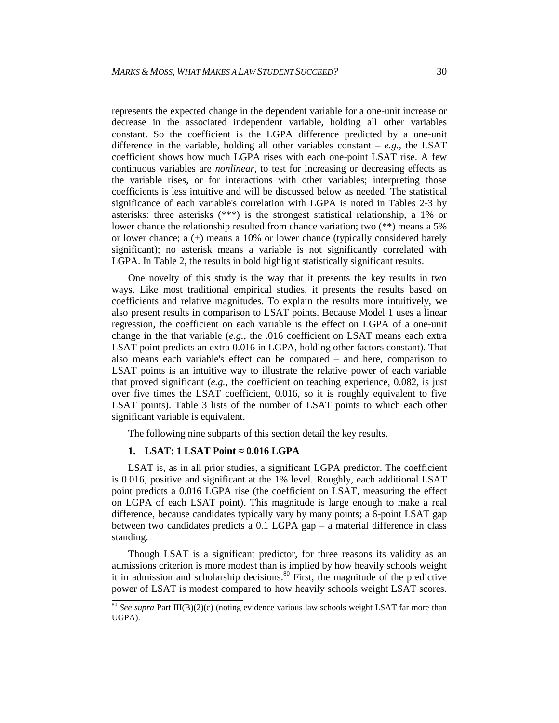represents the expected change in the dependent variable for a one-unit increase or decrease in the associated independent variable, holding all other variables constant. So the coefficient is the LGPA difference predicted by a one-unit difference in the variable, holding all other variables constant  $-e.g.,$  the LSAT coefficient shows how much LGPA rises with each one-point LSAT rise. A few continuous variables are *nonlinear*, to test for increasing or decreasing effects as the variable rises, or for interactions with other variables; interpreting those coefficients is less intuitive and will be discussed below as needed. The statistical significance of each variable's correlation with LGPA is noted in Tables 2-3 by asterisks: three asterisks (\*\*\*) is the strongest statistical relationship, a 1% or lower chance the relationship resulted from chance variation; two (\*\*) means a 5% or lower chance; a (+) means a 10% or lower chance (typically considered barely significant); no asterisk means a variable is not significantly correlated with LGPA. In Table 2, the results in bold highlight statistically significant results.

One novelty of this study is the way that it presents the key results in two ways. Like most traditional empirical studies, it presents the results based on coefficients and relative magnitudes. To explain the results more intuitively, we also present results in comparison to LSAT points. Because Model 1 uses a linear regression, the coefficient on each variable is the effect on LGPA of a one-unit change in the that variable (*e.g.*, the .016 coefficient on LSAT means each extra LSAT point predicts an extra 0.016 in LGPA, holding other factors constant). That also means each variable's effect can be compared – and here, comparison to LSAT points is an intuitive way to illustrate the relative power of each variable that proved significant (*e.g.*, the coefficient on teaching experience, 0.082, is just over five times the LSAT coefficient, 0.016, so it is roughly equivalent to five LSAT points). Table 3 lists of the number of LSAT points to which each other significant variable is equivalent.

The following nine subparts of this section detail the key results.

#### **1. LSAT: 1 LSAT Point ≈ 0.016 LGPA**

LSAT is, as in all prior studies, a significant LGPA predictor. The coefficient is 0.016, positive and significant at the 1% level. Roughly, each additional LSAT point predicts a 0.016 LGPA rise (the coefficient on LSAT, measuring the effect on LGPA of each LSAT point). This magnitude is large enough to make a real difference, because candidates typically vary by many points; a 6-point LSAT gap between two candidates predicts a 0.1 LGPA gap – a material difference in class standing.

Though LSAT is a significant predictor, for three reasons its validity as an admissions criterion is more modest than is implied by how heavily schools weight it in admission and scholarship decisions.<sup>80</sup> First, the magnitude of the predictive power of LSAT is modest compared to how heavily schools weight LSAT scores.

<sup>&</sup>lt;sup>80</sup> *See supra* Part III(B)(2)(c) (noting evidence various law schools weight LSAT far more than UGPA).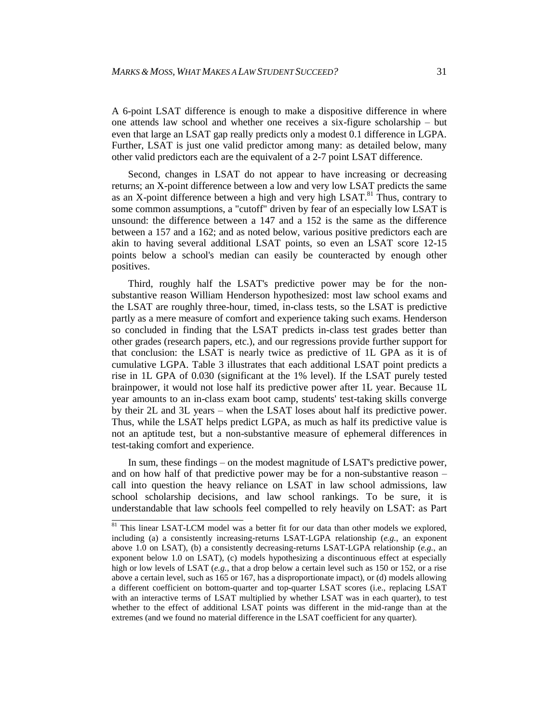A 6-point LSAT difference is enough to make a dispositive difference in where one attends law school and whether one receives a six-figure scholarship – but even that large an LSAT gap really predicts only a modest 0.1 difference in LGPA. Further, LSAT is just one valid predictor among many: as detailed below, many other valid predictors each are the equivalent of a 2-7 point LSAT difference.

Second, changes in LSAT do not appear to have increasing or decreasing returns; an X-point difference between a low and very low LSAT predicts the same as an X-point difference between a high and very high LSAT.<sup>81</sup> Thus, contrary to some common assumptions, a "cutoff" driven by fear of an especially low LSAT is unsound: the difference between a 147 and a 152 is the same as the difference between a 157 and a 162; and as noted below, various positive predictors each are akin to having several additional LSAT points, so even an LSAT score 12-15 points below a school's median can easily be counteracted by enough other positives.

Third, roughly half the LSAT's predictive power may be for the nonsubstantive reason William Henderson hypothesized: most law school exams and the LSAT are roughly three-hour, timed, in-class tests, so the LSAT is predictive partly as a mere measure of comfort and experience taking such exams. Henderson so concluded in finding that the LSAT predicts in-class test grades better than other grades (research papers, etc.), and our regressions provide further support for that conclusion: the LSAT is nearly twice as predictive of 1L GPA as it is of cumulative LGPA. Table 3 illustrates that each additional LSAT point predicts a rise in 1L GPA of 0.030 (significant at the 1% level). If the LSAT purely tested brainpower, it would not lose half its predictive power after 1L year. Because 1L year amounts to an in-class exam boot camp, students' test-taking skills converge by their 2L and 3L years – when the LSAT loses about half its predictive power. Thus, while the LSAT helps predict LGPA, as much as half its predictive value is not an aptitude test, but a non-substantive measure of ephemeral differences in test-taking comfort and experience.

In sum, these findings – on the modest magnitude of LSAT's predictive power, and on how half of that predictive power may be for a non-substantive reason – call into question the heavy reliance on LSAT in law school admissions, law school scholarship decisions, and law school rankings. To be sure, it is understandable that law schools feel compelled to rely heavily on LSAT: as Part

 $81$  This linear LSAT-LCM model was a better fit for our data than other models we explored, including (a) a consistently increasing-returns LSAT-LGPA relationship (*e.g.*, an exponent above 1.0 on LSAT), (b) a consistently decreasing-returns LSAT-LGPA relationship (*e.g.*, an exponent below 1.0 on LSAT), (c) models hypothesizing a discontinuous effect at especially high or low levels of LSAT (*e.g.*, that a drop below a certain level such as 150 or 152, or a rise above a certain level, such as 165 or 167, has a disproportionate impact), or (d) models allowing a different coefficient on bottom-quarter and top-quarter LSAT scores (i.e., replacing LSAT with an interactive terms of LSAT multiplied by whether LSAT was in each quarter), to test whether to the effect of additional LSAT points was different in the mid-range than at the extremes (and we found no material difference in the LSAT coefficient for any quarter).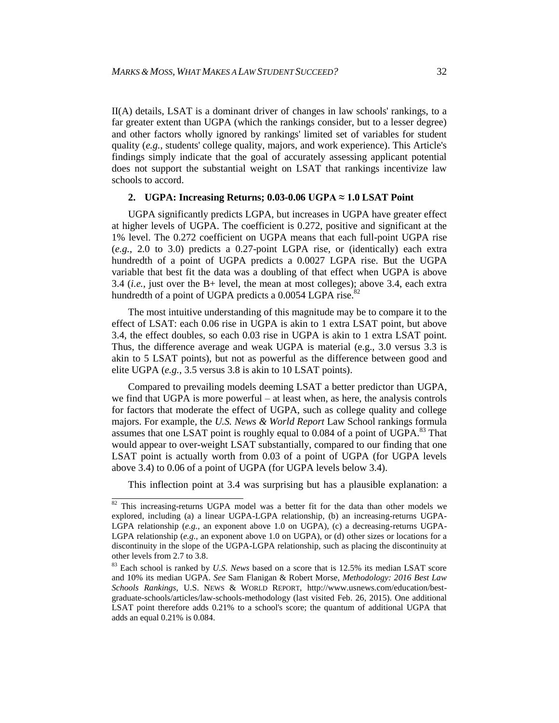II(A) details, LSAT is a dominant driver of changes in law schools' rankings, to a far greater extent than UGPA (which the rankings consider, but to a lesser degree) and other factors wholly ignored by rankings' limited set of variables for student quality (*e.g.*, students' college quality, majors, and work experience). This Article's findings simply indicate that the goal of accurately assessing applicant potential does not support the substantial weight on LSAT that rankings incentivize law schools to accord.

#### **2. UGPA: Increasing Returns; 0.03-0.06 UGPA ≈ 1.0 LSAT Point**

UGPA significantly predicts LGPA, but increases in UGPA have greater effect at higher levels of UGPA. The coefficient is 0.272, positive and significant at the 1% level. The 0.272 coefficient on UGPA means that each full-point UGPA rise (*e.g.*, 2.0 to 3.0) predicts a 0.27-point LGPA rise, or (identically) each extra hundredth of a point of UGPA predicts a 0.0027 LGPA rise. But the UGPA variable that best fit the data was a doubling of that effect when UGPA is above 3.4 (*i.e.*, just over the B+ level, the mean at most colleges); above 3.4, each extra hundredth of a point of UGPA predicts a  $0.0054$  LGPA rise.<sup>82</sup>

The most intuitive understanding of this magnitude may be to compare it to the effect of LSAT: each 0.06 rise in UGPA is akin to 1 extra LSAT point, but above 3.4, the effect doubles, so each 0.03 rise in UGPA is akin to 1 extra LSAT point. Thus, the difference average and weak UGPA is material (e.g., 3.0 versus 3.3 is akin to 5 LSAT points), but not as powerful as the difference between good and elite UGPA (*e.g.*, 3.5 versus 3.8 is akin to 10 LSAT points).

Compared to prevailing models deeming LSAT a better predictor than UGPA, we find that UGPA is more powerful – at least when, as here, the analysis controls for factors that moderate the effect of UGPA, such as college quality and college majors. For example, the *U.S. News & World Report* Law School rankings formula assumes that one LSAT point is roughly equal to 0.084 of a point of UGPA.<sup>83</sup> That would appear to over-weight LSAT substantially, compared to our finding that one LSAT point is actually worth from 0.03 of a point of UGPA (for UGPA levels above 3.4) to 0.06 of a point of UGPA (for UGPA levels below 3.4).

This inflection point at 3.4 was surprising but has a plausible explanation: a

 $\frac{82}{100}$  This increasing-returns UGPA model was a better fit for the data than other models we explored, including (a) a linear UGPA-LGPA relationship, (b) an increasing-returns UGPA-LGPA relationship (*e.g.*, an exponent above 1.0 on UGPA), (c) a decreasing-returns UGPA-LGPA relationship ( $e.g.,$  an exponent above 1.0 on UGPA), or (d) other sizes or locations for a discontinuity in the slope of the UGPA-LGPA relationship, such as placing the discontinuity at other levels from 2.7 to 3.8.

<sup>83</sup> Each school is ranked by *U.S. News* based on a score that is 12.5% its median LSAT score and 10% its median UGPA. *See* Sam Flanigan & Robert Morse, *Methodology: 2016 Best Law Schools Rankings*, U.S. NEWS & WORLD REPORT, http://www.usnews.com/education/bestgraduate-schools/articles/law-schools-methodology (last visited Feb. 26, 2015). One additional LSAT point therefore adds 0.21% to a school's score; the quantum of additional UGPA that adds an equal 0.21% is 0.084.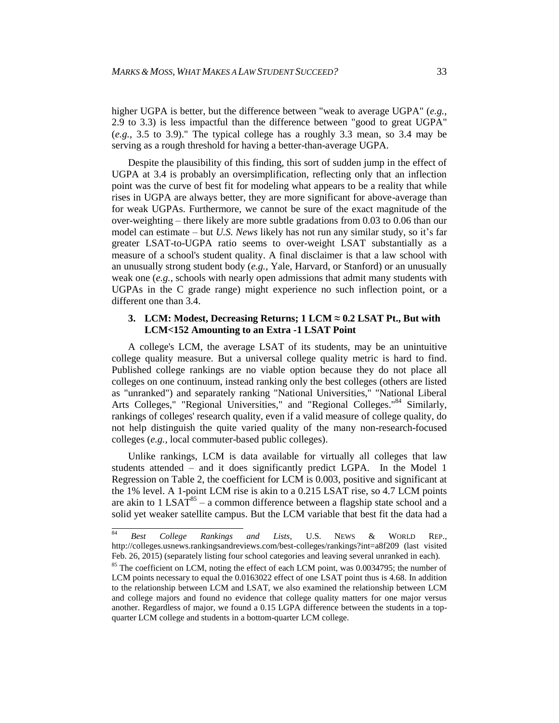higher UGPA is better, but the difference between "weak to average UGPA" (*e.g.*, 2.9 to 3.3) is less impactful than the difference between "good to great UGPA" (*e.g.*, 3.5 to 3.9)." The typical college has a roughly 3.3 mean, so 3.4 may be serving as a rough threshold for having a better-than-average UGPA.

Despite the plausibility of this finding, this sort of sudden jump in the effect of UGPA at 3.4 is probably an oversimplification, reflecting only that an inflection point was the curve of best fit for modeling what appears to be a reality that while rises in UGPA are always better, they are more significant for above-average than for weak UGPAs. Furthermore, we cannot be sure of the exact magnitude of the over-weighting – there likely are more subtle gradations from 0.03 to 0.06 than our model can estimate – but *U.S. News* likely has not run any similar study, so it's far greater LSAT-to-UGPA ratio seems to over-weight LSAT substantially as a measure of a school's student quality. A final disclaimer is that a law school with an unusually strong student body (*e.g.*, Yale, Harvard, or Stanford) or an unusually weak one (*e.g.*, schools with nearly open admissions that admit many students with UGPAs in the C grade range) might experience no such inflection point, or a different one than 3.4.

#### **3. LCM: Modest, Decreasing Returns; 1 LCM ≈ 0.2 LSAT Pt., But with LCM<152 Amounting to an Extra -1 LSAT Point**

A college's LCM, the average LSAT of its students, may be an unintuitive college quality measure. But a universal college quality metric is hard to find. Published college rankings are no viable option because they do not place all colleges on one continuum, instead ranking only the best colleges (others are listed as "unranked") and separately ranking "National Universities," "National Liberal Arts Colleges," "Regional Universities," and "Regional Colleges."<sup>84</sup> Similarly, rankings of colleges' research quality, even if a valid measure of college quality, do not help distinguish the quite varied quality of the many non-research-focused colleges (*e.g.*, local commuter-based public colleges).

Unlike rankings, LCM is data available for virtually all colleges that law students attended – and it does significantly predict LGPA. In the Model 1 Regression on Table 2, the coefficient for LCM is 0.003, positive and significant at the 1% level. A 1-point LCM rise is akin to a 0.215 LSAT rise, so 4.7 LCM points are akin to 1 LSA $T^{85}$  – a common difference between a flagship state school and a solid yet weaker satellite campus. But the LCM variable that best fit the data had a

<sup>84</sup> <sup>84</sup> *Best College Rankings and Lists*, U.S. NEWS & WORLD REP., http://colleges.usnews.rankingsandreviews.com/best-colleges/rankings?int=a8f209 (last visited Feb. 26, 2015) (separately listing four school categories and leaving several unranked in each).

<sup>&</sup>lt;sup>85</sup> The coefficient on LCM, noting the effect of each LCM point, was 0.0034795; the number of LCM points necessary to equal the 0.0163022 effect of one LSAT point thus is 4.68. In addition to the relationship between LCM and LSAT, we also examined the relationship between LCM and college majors and found no evidence that college quality matters for one major versus another. Regardless of major, we found a 0.15 LGPA difference between the students in a topquarter LCM college and students in a bottom-quarter LCM college.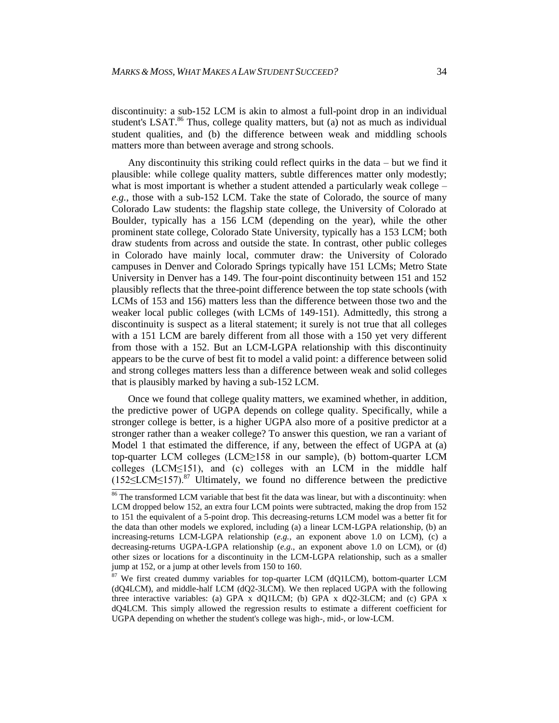discontinuity: a sub-152 LCM is akin to almost a full-point drop in an individual student's LSAT.<sup>86</sup> Thus, college quality matters, but (a) not as much as individual student qualities, and (b) the difference between weak and middling schools matters more than between average and strong schools.

Any discontinuity this striking could reflect quirks in the data – but we find it plausible: while college quality matters, subtle differences matter only modestly; what is most important is whether a student attended a particularly weak college – *e.g.*, those with a sub-152 LCM. Take the state of Colorado, the source of many Colorado Law students: the flagship state college, the University of Colorado at Boulder, typically has a 156 LCM (depending on the year), while the other prominent state college, Colorado State University, typically has a 153 LCM; both draw students from across and outside the state. In contrast, other public colleges in Colorado have mainly local, commuter draw: the University of Colorado campuses in Denver and Colorado Springs typically have 151 LCMs; Metro State University in Denver has a 149. The four-point discontinuity between 151 and 152 plausibly reflects that the three-point difference between the top state schools (with LCMs of 153 and 156) matters less than the difference between those two and the weaker local public colleges (with LCMs of 149-151). Admittedly, this strong a discontinuity is suspect as a literal statement; it surely is not true that all colleges with a 151 LCM are barely different from all those with a 150 yet very different from those with a 152. But an LCM-LGPA relationship with this discontinuity appears to be the curve of best fit to model a valid point: a difference between solid and strong colleges matters less than a difference between weak and solid colleges that is plausibly marked by having a sub-152 LCM.

Once we found that college quality matters, we examined whether, in addition, the predictive power of UGPA depends on college quality. Specifically, while a stronger college is better, is a higher UGPA also more of a positive predictor at a stronger rather than a weaker college? To answer this question, we ran a variant of Model 1 that estimated the difference, if any, between the effect of UGPA at (a) top-quarter LCM colleges (LCM≥158 in our sample), (b) bottom-quarter LCM colleges (LCM≤151), and (c) colleges with an LCM in the middle half  $(152\leq LCM \leq 157)$ .<sup>87</sup> Ultimately, we found no difference between the predictive

 $\frac{86}{6}$  The transformed LCM variable that best fit the data was linear, but with a discontinuity: when LCM dropped below 152, an extra four LCM points were subtracted, making the drop from 152 to 151 the equivalent of a 5-point drop. This decreasing-returns LCM model was a better fit for the data than other models we explored, including (a) a linear LCM-LGPA relationship, (b) an increasing-returns LCM-LGPA relationship (*e.g.*, an exponent above 1.0 on LCM), (c) a decreasing-returns UGPA-LGPA relationship (*e.g.*, an exponent above 1.0 on LCM), or (d) other sizes or locations for a discontinuity in the LCM-LGPA relationship, such as a smaller jump at 152, or a jump at other levels from 150 to 160.

 $87$  We first created dummy variables for top-quarter LCM (dQ1LCM), bottom-quarter LCM (dQ4LCM), and middle-half LCM (dQ2-3LCM). We then replaced UGPA with the following three interactive variables: (a) GPA x dQ1LCM; (b) GPA x dQ2-3LCM; and (c) GPA x dQ4LCM. This simply allowed the regression results to estimate a different coefficient for UGPA depending on whether the student's college was high-, mid-, or low-LCM.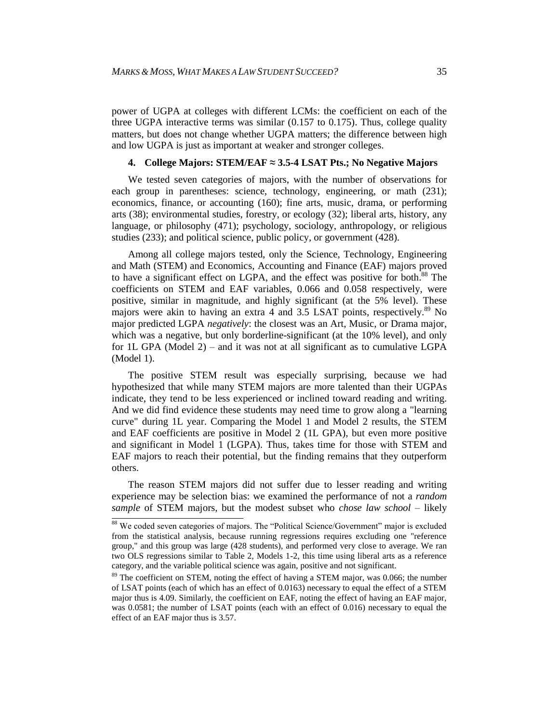power of UGPA at colleges with different LCMs: the coefficient on each of the three UGPA interactive terms was similar (0.157 to 0.175). Thus, college quality matters, but does not change whether UGPA matters; the difference between high and low UGPA is just as important at weaker and stronger colleges.

#### **4. College Majors: STEM/EAF ≈ 3.5-4 LSAT Pts.; No Negative Majors**

We tested seven categories of majors, with the number of observations for each group in parentheses: science, technology, engineering, or math (231); economics, finance, or accounting (160); fine arts, music, drama, or performing arts (38); environmental studies, forestry, or ecology (32); liberal arts, history, any language, or philosophy (471); psychology, sociology, anthropology, or religious studies (233); and political science, public policy, or government (428).

Among all college majors tested, only the Science, Technology, Engineering and Math (STEM) and Economics, Accounting and Finance (EAF) majors proved to have a significant effect on LGPA, and the effect was positive for both. <sup>88</sup> The coefficients on STEM and EAF variables, 0.066 and 0.058 respectively, were positive, similar in magnitude, and highly significant (at the 5% level). These majors were akin to having an extra 4 and 3.5 LSAT points, respectively.<sup>89</sup> No major predicted LGPA *negatively*: the closest was an Art, Music, or Drama major, which was a negative, but only borderline-significant (at the 10% level), and only for 1L GPA (Model 2) – and it was not at all significant as to cumulative LGPA (Model 1).

The positive STEM result was especially surprising, because we had hypothesized that while many STEM majors are more talented than their UGPAs indicate, they tend to be less experienced or inclined toward reading and writing. And we did find evidence these students may need time to grow along a "learning curve" during 1L year. Comparing the Model 1 and Model 2 results, the STEM and EAF coefficients are positive in Model 2 (1L GPA), but even more positive and significant in Model 1 (LGPA). Thus, takes time for those with STEM and EAF majors to reach their potential, but the finding remains that they outperform others.

The reason STEM majors did not suffer due to lesser reading and writing experience may be selection bias: we examined the performance of not a *random sample* of STEM majors, but the modest subset who *chose law school* – likely

 $88$  We coded seven categories of majors. The "Political Science/Government" major is excluded from the statistical analysis, because running regressions requires excluding one "reference group," and this group was large (428 students), and performed very close to average. We ran two OLS regressions similar to Table 2, Models 1-2, this time using liberal arts as a reference category, and the variable political science was again, positive and not significant.

 $89$  The coefficient on STEM, noting the effect of having a STEM major, was 0.066; the number of LSAT points (each of which has an effect of 0.0163) necessary to equal the effect of a STEM major thus is 4.09. Similarly, the coefficient on EAF, noting the effect of having an EAF major, was 0.0581; the number of LSAT points (each with an effect of 0.016) necessary to equal the effect of an EAF major thus is 3.57.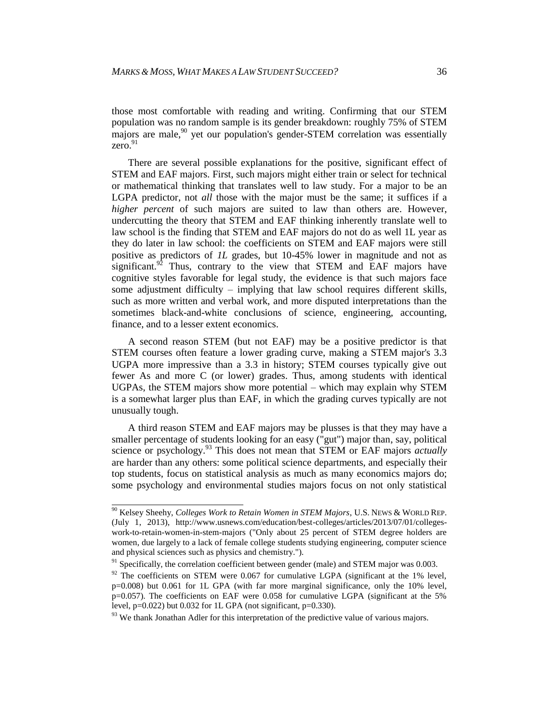those most comfortable with reading and writing. Confirming that our STEM population was no random sample is its gender breakdown: roughly 75% of STEM majors are male, $90$  yet our population's gender-STEM correlation was essentially zero. 91

There are several possible explanations for the positive, significant effect of STEM and EAF majors. First, such majors might either train or select for technical or mathematical thinking that translates well to law study. For a major to be an LGPA predictor, not *all* those with the major must be the same; it suffices if a *higher percent* of such majors are suited to law than others are. However, undercutting the theory that STEM and EAF thinking inherently translate well to law school is the finding that STEM and EAF majors do not do as well 1L year as they do later in law school: the coefficients on STEM and EAF majors were still positive as predictors of *1L* grades, but 10-45% lower in magnitude and not as significant. $92$  Thus, contrary to the view that STEM and EAF majors have cognitive styles favorable for legal study, the evidence is that such majors face some adjustment difficulty – implying that law school requires different skills, such as more written and verbal work, and more disputed interpretations than the sometimes black-and-white conclusions of science, engineering, accounting, finance, and to a lesser extent economics.

A second reason STEM (but not EAF) may be a positive predictor is that STEM courses often feature a lower grading curve, making a STEM major's 3.3 UGPA more impressive than a 3.3 in history; STEM courses typically give out fewer As and more C (or lower) grades. Thus, among students with identical UGPAs, the STEM majors show more potential – which may explain why STEM is a somewhat larger plus than EAF, in which the grading curves typically are not unusually tough.

A third reason STEM and EAF majors may be plusses is that they may have a smaller percentage of students looking for an easy ("gut") major than, say, political science or psychology.<sup>93</sup> This does not mean that STEM or EAF majors *actually* are harder than any others: some political science departments, and especially their top students, focus on statistical analysis as much as many economics majors do; some psychology and environmental studies majors focus on not only statistical

 <sup>90</sup> Kelsey Sheehy, *Colleges Work to Retain Women in STEM Majors*, U.S. NEWS & WORLD REP. (July 1, 2013), http://www.usnews.com/education/best-colleges/articles/2013/07/01/collegeswork-to-retain-women-in-stem-majors ("Only about 25 percent of STEM degree holders are women, due largely to a lack of female college students studying engineering, computer science and physical sciences such as physics and chemistry.").

 $91$  Specifically, the correlation coefficient between gender (male) and STEM major was 0.003.

 $92$  The coefficients on STEM were 0.067 for cumulative LGPA (significant at the 1% level, p=0.008) but 0.061 for 1L GPA (with far more marginal significance, only the 10% level, p=0.057). The coefficients on EAF were 0.058 for cumulative LGPA (significant at the 5% level, p=0.022) but 0.032 for 1L GPA (not significant, p=0.330).

 $93$  We thank Jonathan Adler for this interpretation of the predictive value of various majors.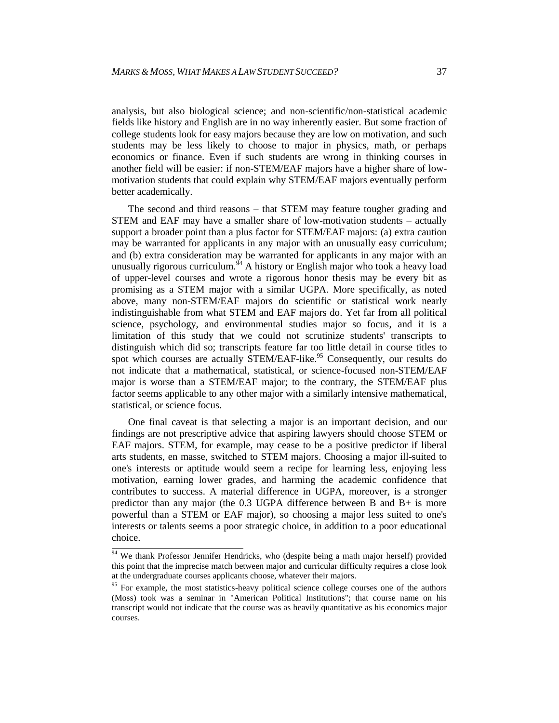analysis, but also biological science; and non-scientific/non-statistical academic fields like history and English are in no way inherently easier. But some fraction of college students look for easy majors because they are low on motivation, and such students may be less likely to choose to major in physics, math, or perhaps economics or finance. Even if such students are wrong in thinking courses in another field will be easier: if non-STEM/EAF majors have a higher share of lowmotivation students that could explain why STEM/EAF majors eventually perform better academically.

The second and third reasons – that STEM may feature tougher grading and STEM and EAF may have a smaller share of low-motivation students – actually support a broader point than a plus factor for STEM/EAF majors: (a) extra caution may be warranted for applicants in any major with an unusually easy curriculum; and (b) extra consideration may be warranted for applicants in any major with an unusually rigorous curriculum.<sup>94</sup> A history or English major who took a heavy load of upper-level courses and wrote a rigorous honor thesis may be every bit as promising as a STEM major with a similar UGPA. More specifically, as noted above, many non-STEM/EAF majors do scientific or statistical work nearly indistinguishable from what STEM and EAF majors do. Yet far from all political science, psychology, and environmental studies major so focus, and it is a limitation of this study that we could not scrutinize students' transcripts to distinguish which did so; transcripts feature far too little detail in course titles to spot which courses are actually STEM/EAF-like.<sup>95</sup> Consequently, our results do not indicate that a mathematical, statistical, or science-focused non-STEM/EAF major is worse than a STEM/EAF major; to the contrary, the STEM/EAF plus factor seems applicable to any other major with a similarly intensive mathematical, statistical, or science focus.

One final caveat is that selecting a major is an important decision, and our findings are not prescriptive advice that aspiring lawyers should choose STEM or EAF majors. STEM, for example, may cease to be a positive predictor if liberal arts students, en masse, switched to STEM majors. Choosing a major ill-suited to one's interests or aptitude would seem a recipe for learning less, enjoying less motivation, earning lower grades, and harming the academic confidence that contributes to success. A material difference in UGPA, moreover, is a stronger predictor than any major (the 0.3 UGPA difference between B and B+ is more powerful than a STEM or EAF major), so choosing a major less suited to one's interests or talents seems a poor strategic choice, in addition to a poor educational choice.

 $\frac{94}{94}$  We thank Professor Jennifer Hendricks, who (despite being a math major herself) provided this point that the imprecise match between major and curricular difficulty requires a close look at the undergraduate courses applicants choose, whatever their majors.

<sup>&</sup>lt;sup>95</sup> For example, the most statistics-heavy political science college courses one of the authors (Moss) took was a seminar in "American Political Institutions"; that course name on his transcript would not indicate that the course was as heavily quantitative as his economics major courses.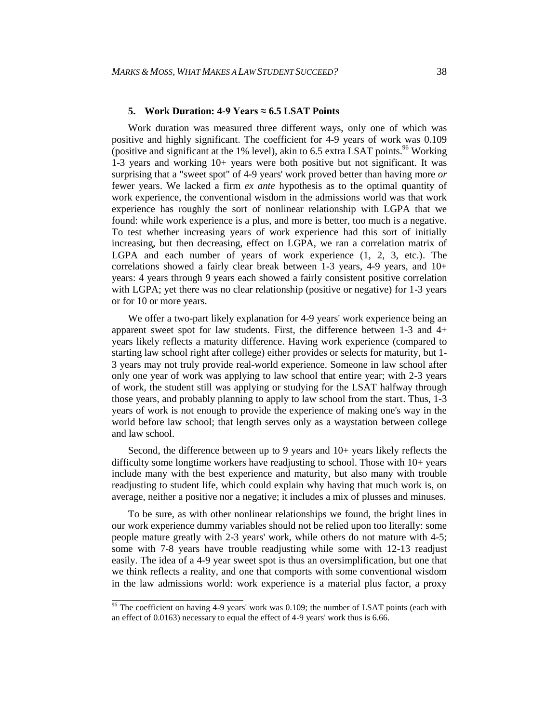#### **5. Work Duration: 4-9 Years ≈ 6.5 LSAT Points**

Work duration was measured three different ways, only one of which was positive and highly significant. The coefficient for 4-9 years of work was 0.109 (positive and significant at the 1% level), akin to 6.5 extra LSAT points.  $96$  Working 1-3 years and working 10+ years were both positive but not significant. It was surprising that a "sweet spot" of 4-9 years' work proved better than having more *or* fewer years. We lacked a firm *ex ante* hypothesis as to the optimal quantity of work experience, the conventional wisdom in the admissions world was that work experience has roughly the sort of nonlinear relationship with LGPA that we found: while work experience is a plus, and more is better, too much is a negative. To test whether increasing years of work experience had this sort of initially increasing, but then decreasing, effect on LGPA, we ran a correlation matrix of LGPA and each number of years of work experience (1, 2, 3, etc.). The correlations showed a fairly clear break between 1-3 years, 4-9 years, and 10+ years: 4 years through 9 years each showed a fairly consistent positive correlation with LGPA; yet there was no clear relationship (positive or negative) for 1-3 years or for 10 or more years.

We offer a two-part likely explanation for 4-9 years' work experience being an apparent sweet spot for law students. First, the difference between 1-3 and 4+ years likely reflects a maturity difference. Having work experience (compared to starting law school right after college) either provides or selects for maturity, but 1- 3 years may not truly provide real-world experience. Someone in law school after only one year of work was applying to law school that entire year; with 2-3 years of work, the student still was applying or studying for the LSAT halfway through those years, and probably planning to apply to law school from the start. Thus, 1-3 years of work is not enough to provide the experience of making one's way in the world before law school; that length serves only as a waystation between college and law school.

Second, the difference between up to 9 years and 10+ years likely reflects the difficulty some longtime workers have readjusting to school. Those with 10+ years include many with the best experience and maturity, but also many with trouble readjusting to student life, which could explain why having that much work is, on average, neither a positive nor a negative; it includes a mix of plusses and minuses.

To be sure, as with other nonlinear relationships we found, the bright lines in our work experience dummy variables should not be relied upon too literally: some people mature greatly with 2-3 years' work, while others do not mature with 4-5; some with 7-8 years have trouble readjusting while some with 12-13 readjust easily. The idea of a 4-9 year sweet spot is thus an oversimplification, but one that we think reflects a reality, and one that comports with some conventional wisdom in the law admissions world: work experience is a material plus factor, a proxy

 $\frac{96}{96}$  The coefficient on having 4-9 years' work was 0.109; the number of LSAT points (each with an effect of 0.0163) necessary to equal the effect of 4-9 years' work thus is 6.66.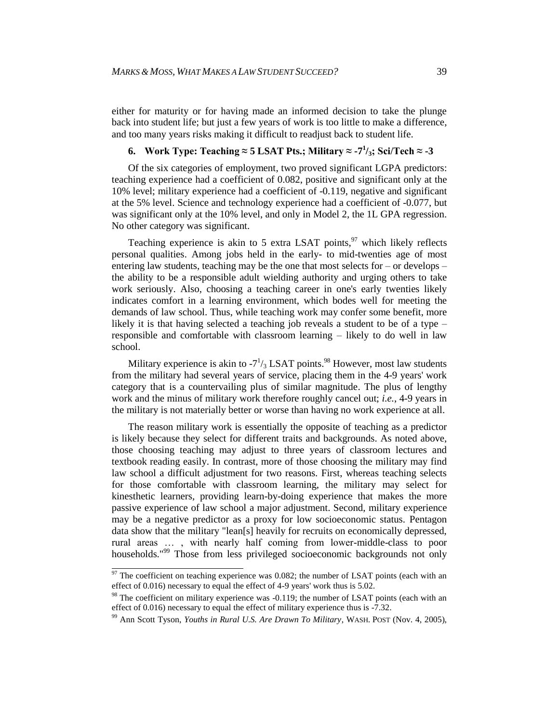either for maturity or for having made an informed decision to take the plunge back into student life; but just a few years of work is too little to make a difference, and too many years risks making it difficult to readjust back to student life.

# **6.** Work Type: Teaching ≈ **5 LSAT** Pts.; Military ≈ -7<sup>1</sup>/<sub>3</sub>; Sci/Tech ≈ -3

Of the six categories of employment, two proved significant LGPA predictors: teaching experience had a coefficient of 0.082, positive and significant only at the 10% level; military experience had a coefficient of -0.119, negative and significant at the 5% level. Science and technology experience had a coefficient of -0.077, but was significant only at the 10% level, and only in Model 2, the 1L GPA regression. No other category was significant.

Teaching experience is akin to 5 extra LSAT points,<sup>97</sup> which likely reflects personal qualities. Among jobs held in the early- to mid-twenties age of most entering law students, teaching may be the one that most selects for – or develops – the ability to be a responsible adult wielding authority and urging others to take work seriously. Also, choosing a teaching career in one's early twenties likely indicates comfort in a learning environment, which bodes well for meeting the demands of law school. Thus, while teaching work may confer some benefit, more likely it is that having selected a teaching job reveals a student to be of a type – responsible and comfortable with classroom learning – likely to do well in law school.

Military experience is akin to  $-7^{1/3}$  LSAT points.<sup>98</sup> However, most law students from the military had several years of service, placing them in the 4-9 years' work category that is a countervailing plus of similar magnitude. The plus of lengthy work and the minus of military work therefore roughly cancel out; *i.e.*, 4-9 years in the military is not materially better or worse than having no work experience at all.

The reason military work is essentially the opposite of teaching as a predictor is likely because they select for different traits and backgrounds. As noted above, those choosing teaching may adjust to three years of classroom lectures and textbook reading easily. In contrast, more of those choosing the military may find law school a difficult adjustment for two reasons. First, whereas teaching selects for those comfortable with classroom learning, the military may select for kinesthetic learners, providing learn-by-doing experience that makes the more passive experience of law school a major adjustment. Second, military experience may be a negative predictor as a proxy for low socioeconomic status. Pentagon data show that the military "lean[s] heavily for recruits on economically depressed, rural areas … , with nearly half coming from lower-middle-class to poor households." <sup>99</sup> Those from less privileged socioeconomic backgrounds not only

 $\frac{97}{2}$  The coefficient on teaching experience was 0.082; the number of LSAT points (each with an effect of 0.016) necessary to equal the effect of 4-9 years' work thus is 5.02.

 $98$  The coefficient on military experience was -0.119; the number of LSAT points (each with an effect of 0.016) necessary to equal the effect of military experience thus is -7.32.

<sup>99</sup> Ann Scott Tyson, *Youths in Rural U.S. Are Drawn To Military*, WASH. POST (Nov. 4, 2005),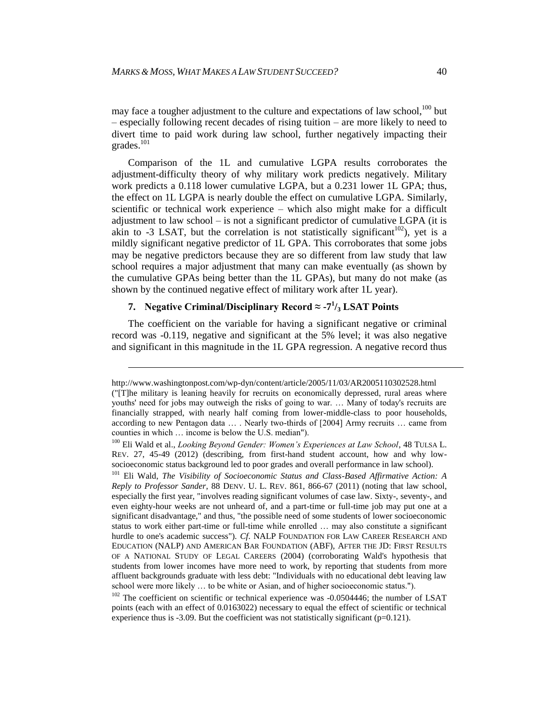may face a tougher adjustment to the culture and expectations of law school,  $100$  but – especially following recent decades of rising tuition – are more likely to need to divert time to paid work during law school, further negatively impacting their grades.<sup>101</sup>

Comparison of the 1L and cumulative LGPA results corroborates the adjustment-difficulty theory of why military work predicts negatively. Military work predicts a 0.118 lower cumulative LGPA, but a 0.231 lower 1L GPA; thus, the effect on 1L LGPA is nearly double the effect on cumulative LGPA. Similarly, scientific or technical work experience – which also might make for a difficult adjustment to law school – is not a significant predictor of cumulative LGPA (it is akin to -3 LSAT, but the correlation is not statistically significant<sup>102</sup>), yet is a mildly significant negative predictor of 1L GPA. This corroborates that some jobs may be negative predictors because they are so different from law study that law school requires a major adjustment that many can make eventually (as shown by the cumulative GPAs being better than the 1L GPAs), but many do not make (as shown by the continued negative effect of military work after 1L year).

# **7. Negative Criminal/Disciplinary Record ≈ -7 1 /<sup>3</sup> LSAT Points**

l

The coefficient on the variable for having a significant negative or criminal record was -0.119, negative and significant at the 5% level; it was also negative and significant in this magnitude in the 1L GPA regression. A negative record thus

http://www.washingtonpost.com/wp-dyn/content/article/2005/11/03/AR2005110302528.html ("[T]he military is leaning heavily for recruits on economically depressed, rural areas where youths' need for jobs may outweigh the risks of going to war. … Many of today's recruits are financially strapped, with nearly half coming from lower-middle-class to poor households, according to new Pentagon data … . Nearly two-thirds of [2004] Army recruits … came from counties in which … income is below the U.S. median").

<sup>100</sup> Eli Wald et al., *Looking Beyond Gender: Women's Experiences at Law School*, 48 TULSA L. REV. 27, 45-49 (2012) (describing, from first-hand student account, how and why lowsocioeconomic status background led to poor grades and overall performance in law school).

<sup>&</sup>lt;sup>101</sup> Eli Wald, *The Visibility of Socioeconomic Status and Class-Based Affirmative Action: A Reply to Professor Sander*, 88 DENV. U. L. REV. 861, 866-67 (2011) (noting that law school, especially the first year, "involves reading significant volumes of case law. Sixty-, seventy-, and even eighty-hour weeks are not unheard of, and a part-time or full-time job may put one at a significant disadvantage," and thus, "the possible need of some students of lower socioeconomic status to work either part-time or full-time while enrolled … may also constitute a significant hurdle to one's academic success"). *Cf*. NALP FOUNDATION FOR LAW CAREER RESEARCH AND EDUCATION (NALP) AND AMERICAN BAR FOUNDATION (ABF), AFTER THE JD: FIRST RESULTS OF A NATIONAL STUDY OF LEGAL CAREERS (2004) (corroborating Wald's hypothesis that students from lower incomes have more need to work, by reporting that students from more affluent backgrounds graduate with less debt: "Individuals with no educational debt leaving law school were more likely … to be white or Asian, and of higher socioeconomic status.").

 $102$  The coefficient on scientific or technical experience was -0.0504446; the number of LSAT points (each with an effect of 0.0163022) necessary to equal the effect of scientific or technical experience thus is -3.09. But the coefficient was not statistically significant ( $p=0.121$ ).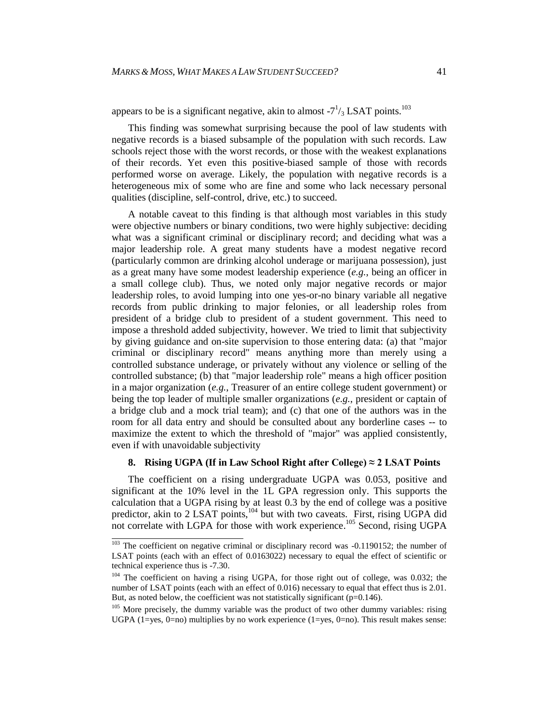appears to be is a significant negative, akin to almost  $-7^{1}/_{3}$  LSAT points.<sup>103</sup>

This finding was somewhat surprising because the pool of law students with negative records is a biased subsample of the population with such records. Law schools reject those with the worst records, or those with the weakest explanations of their records. Yet even this positive-biased sample of those with records performed worse on average. Likely, the population with negative records is a heterogeneous mix of some who are fine and some who lack necessary personal qualities (discipline, self-control, drive, etc.) to succeed.

A notable caveat to this finding is that although most variables in this study were objective numbers or binary conditions, two were highly subjective: deciding what was a significant criminal or disciplinary record; and deciding what was a major leadership role. A great many students have a modest negative record (particularly common are drinking alcohol underage or marijuana possession), just as a great many have some modest leadership experience (*e.g.*, being an officer in a small college club). Thus, we noted only major negative records or major leadership roles, to avoid lumping into one yes-or-no binary variable all negative records from public drinking to major felonies, or all leadership roles from president of a bridge club to president of a student government. This need to impose a threshold added subjectivity, however. We tried to limit that subjectivity by giving guidance and on-site supervision to those entering data: (a) that "major criminal or disciplinary record" means anything more than merely using a controlled substance underage, or privately without any violence or selling of the controlled substance; (b) that "major leadership role" means a high officer position in a major organization (*e.g.*, Treasurer of an entire college student government) or being the top leader of multiple smaller organizations (*e.g.*, president or captain of a bridge club and a mock trial team); and (c) that one of the authors was in the room for all data entry and should be consulted about any borderline cases -- to maximize the extent to which the threshold of "major" was applied consistently, even if with unavoidable subjectivity

#### **8. Rising UGPA (If in Law School Right after College)**  $\approx$  **2 LSAT Points**

The coefficient on a rising undergraduate UGPA was 0.053, positive and significant at the 10% level in the 1L GPA regression only. This supports the calculation that a UGPA rising by at least 0.3 by the end of college was a positive predictor, akin to 2 LSAT points, $104$  but with two caveats. First, rising UGPA did not correlate with LGPA for those with work experience.<sup>105</sup> Second, rising UGPA

<sup>&</sup>lt;sup>103</sup> The coefficient on negative criminal or disciplinary record was -0.1190152; the number of LSAT points (each with an effect of 0.0163022) necessary to equal the effect of scientific or technical experience thus is -7.30.

<sup>&</sup>lt;sup>104</sup> The coefficient on having a rising UGPA, for those right out of college, was 0.032; the number of LSAT points (each with an effect of 0.016) necessary to equal that effect thus is 2.01. But, as noted below, the coefficient was not statistically significant ( $p=0.146$ ).

<sup>&</sup>lt;sup>105</sup> More precisely, the dummy variable was the product of two other dummy variables: rising UGPA  $(1=yes, 0=no)$  multiplies by no work experience  $(1=yes, 0=no)$ . This result makes sense: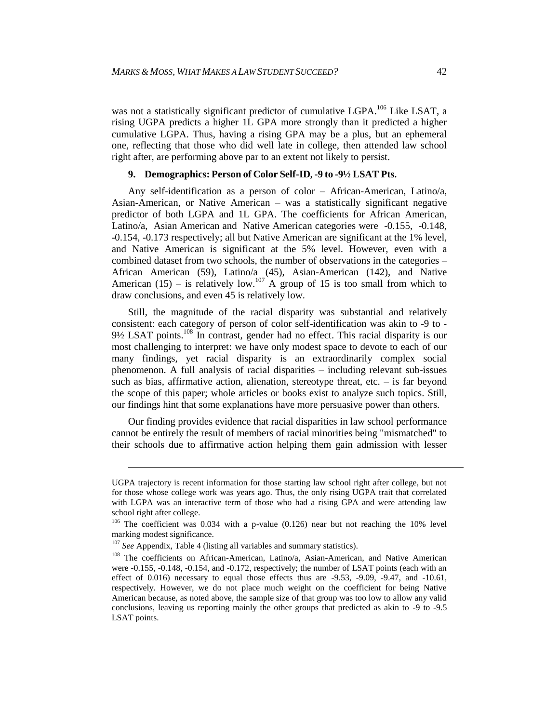was not a statistically significant predictor of cumulative LGPA.<sup>106</sup> Like LSAT, a rising UGPA predicts a higher 1L GPA more strongly than it predicted a higher cumulative LGPA. Thus, having a rising GPA may be a plus, but an ephemeral one, reflecting that those who did well late in college, then attended law school right after, are performing above par to an extent not likely to persist.

#### **9. Demographics: Person of Color Self-ID, -9 to -9½ LSAT Pts.**

Any self-identification as a person of color – African-American, Latino/a, Asian-American, or Native American – was a statistically significant negative predictor of both LGPA and 1L GPA. The coefficients for African American, Latino/a, Asian American and Native American categories were -0.155, -0.148, -0.154, -0.173 respectively; all but Native American are significant at the 1% level, and Native American is significant at the 5% level. However, even with a combined dataset from two schools, the number of observations in the categories – African American (59), Latino/a (45), Asian-American (142), and Native American (15) – is relatively low.<sup>107</sup> A group of 15 is too small from which to draw conclusions, and even 45 is relatively low.

Still, the magnitude of the racial disparity was substantial and relatively consistent: each category of person of color self-identification was akin to -9 to -  $9\frac{1}{2}$  LSAT points.<sup>108</sup> In contrast, gender had no effect. This racial disparity is our most challenging to interpret: we have only modest space to devote to each of our many findings, yet racial disparity is an extraordinarily complex social phenomenon. A full analysis of racial disparities – including relevant sub-issues such as bias, affirmative action, alienation, stereotype threat, etc. – is far beyond the scope of this paper; whole articles or books exist to analyze such topics. Still, our findings hint that some explanations have more persuasive power than others.

Our finding provides evidence that racial disparities in law school performance cannot be entirely the result of members of racial minorities being "mismatched" to their schools due to affirmative action helping them gain admission with lesser

l

UGPA trajectory is recent information for those starting law school right after college, but not for those whose college work was years ago. Thus, the only rising UGPA trait that correlated with LGPA was an interactive term of those who had a rising GPA and were attending law school right after college.

 $106$  The coefficient was 0.034 with a p-value (0.126) near but not reaching the 10% level marking modest significance.

<sup>&</sup>lt;sup>107</sup> See Appendix, Table 4 (listing all variables and summary statistics).

<sup>&</sup>lt;sup>108</sup> The coefficients on African-American, Latino/a, Asian-American, and Native American were -0.155, -0.148, -0.154, and -0.172, respectively; the number of LSAT points (each with an effect of 0.016) necessary to equal those effects thus are -9.53, -9.09, -9.47, and -10.61, respectively. However, we do not place much weight on the coefficient for being Native American because, as noted above, the sample size of that group was too low to allow any valid conclusions, leaving us reporting mainly the other groups that predicted as akin to -9 to -9.5 LSAT points.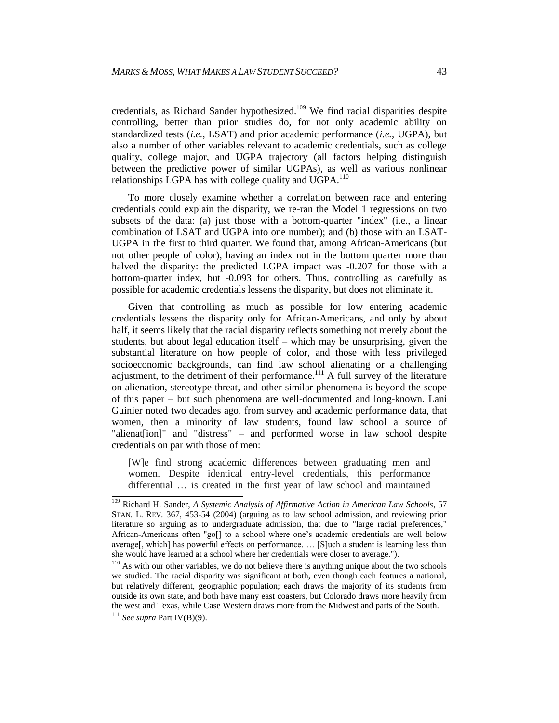credentials, as Richard Sander hypothesized. <sup>109</sup> We find racial disparities despite controlling, better than prior studies do, for not only academic ability on standardized tests (*i.e.*, LSAT) and prior academic performance (*i.e.*, UGPA), but also a number of other variables relevant to academic credentials, such as college quality, college major, and UGPA trajectory (all factors helping distinguish between the predictive power of similar UGPAs), as well as various nonlinear relationships LGPA has with college quality and  $UGPA$ <sup>110</sup>

To more closely examine whether a correlation between race and entering credentials could explain the disparity, we re-ran the Model 1 regressions on two subsets of the data: (a) just those with a bottom-quarter "index" (i.e., a linear combination of LSAT and UGPA into one number); and (b) those with an LSAT-UGPA in the first to third quarter. We found that, among African-Americans (but not other people of color), having an index not in the bottom quarter more than halved the disparity: the predicted LGPA impact was -0.207 for those with a bottom-quarter index, but -0.093 for others. Thus, controlling as carefully as possible for academic credentials lessens the disparity, but does not eliminate it.

Given that controlling as much as possible for low entering academic credentials lessens the disparity only for African-Americans, and only by about half, it seems likely that the racial disparity reflects something not merely about the students, but about legal education itself – which may be unsurprising, given the substantial literature on how people of color, and those with less privileged socioeconomic backgrounds, can find law school alienating or a challenging adjustment, to the detriment of their performance.<sup>111</sup> A full survey of the literature on alienation, stereotype threat, and other similar phenomena is beyond the scope of this paper – but such phenomena are well-documented and long-known. Lani Guinier noted two decades ago, from survey and academic performance data, that women, then a minority of law students, found law school a source of "alienat[ion]" and "distress" – and performed worse in law school despite credentials on par with those of men:

[W]e find strong academic differences between graduating men and women. Despite identical entry-level credentials, this performance differential … is created in the first year of law school and maintained

 <sup>109</sup> Richard H. Sander, *A Systemic Analysis of Affirmative Action in American Law Schools*, 57 STAN. L. REV. 367, 453-54 (2004) (arguing as to law school admission, and reviewing prior literature so arguing as to undergraduate admission, that due to "large racial preferences," African-Americans often "go[] to a school where one's academic credentials are well below average[, which] has powerful effects on performance. … [S]uch a student is learning less than she would have learned at a school where her credentials were closer to average.").

<sup>&</sup>lt;sup>110</sup> As with our other variables, we do not believe there is anything unique about the two schools we studied. The racial disparity was significant at both, even though each features a national, but relatively different, geographic population; each draws the majority of its students from outside its own state, and both have many east coasters, but Colorado draws more heavily from the west and Texas, while Case Western draws more from the Midwest and parts of the South.

<sup>111</sup> *See supra* Part IV(B)(9).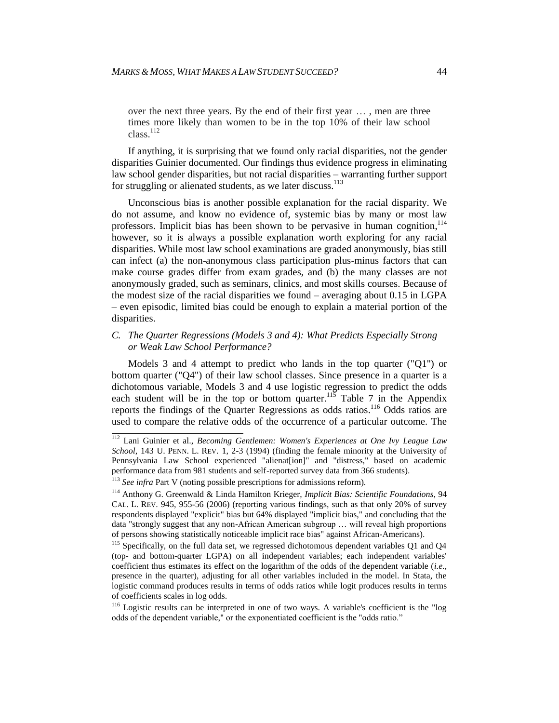over the next three years. By the end of their first year … , men are three times more likely than women to be in the top 10% of their law school class.<sup>112</sup>

If anything, it is surprising that we found only racial disparities, not the gender disparities Guinier documented. Our findings thus evidence progress in eliminating law school gender disparities, but not racial disparities – warranting further support for struggling or alienated students, as we later discuss.<sup>113</sup>

Unconscious bias is another possible explanation for the racial disparity. We do not assume, and know no evidence of, systemic bias by many or most law professors. Implicit bias has been shown to be pervasive in human cognition, <sup>114</sup> however, so it is always a possible explanation worth exploring for any racial disparities. While most law school examinations are graded anonymously, bias still can infect (a) the non-anonymous class participation plus-minus factors that can make course grades differ from exam grades, and (b) the many classes are not anonymously graded, such as seminars, clinics, and most skills courses. Because of the modest size of the racial disparities we found – averaging about 0.15 in LGPA – even episodic, limited bias could be enough to explain a material portion of the disparities.

#### *C. The Quarter Regressions (Models 3 and 4): What Predicts Especially Strong or Weak Law School Performance?*

Models 3 and 4 attempt to predict who lands in the top quarter ("Q1") or bottom quarter ("Q4") of their law school classes. Since presence in a quarter is a dichotomous variable, Models 3 and 4 use logistic regression to predict the odds each student will be in the top or bottom quarter.<sup>115</sup> Table 7 in the Appendix reports the findings of the Quarter Regressions as odds ratios.<sup>116</sup> Odds ratios are used to compare the relative odds of the occurrence of a particular outcome. The

 <sup>112</sup> Lani Guinier et al., *Becoming Gentlemen: Women's Experiences at One Ivy League Law School*, 143 U. PENN. L. REV. 1, 2-3 (1994) (finding the female minority at the University of Pennsylvania Law School experienced "alienat[ion]" and "distress," based on academic performance data from 981 students and self-reported survey data from 366 students).

<sup>113</sup> *See infra* Part V (noting possible prescriptions for admissions reform).

<sup>114</sup> Anthony G. Greenwald & Linda Hamilton Krieger, *Implicit Bias: Scientific Foundations*, 94 CAL. L. REV. 945, 955-56 (2006) (reporting various findings, such as that only 20% of survey respondents displayed "explicit" bias but 64% displayed "implicit bias," and concluding that the data "strongly suggest that any non-African American subgroup … will reveal high proportions of persons showing statistically noticeable implicit race bias" against African-Americans).

<sup>&</sup>lt;sup>115</sup> Specifically, on the full data set, we regressed dichotomous dependent variables Q1 and Q4 (top- and bottom-quarter LGPA) on all independent variables; each independent variables' coefficient thus estimates its effect on the logarithm of the odds of the dependent variable (*i.e.*, presence in the quarter), adjusting for all other variables included in the model. In Stata, the logistic command produces results in terms of odds ratios while logit produces results in terms of coefficients scales in log odds.

<sup>&</sup>lt;sup>116</sup> Logistic results can be interpreted in one of two ways. A variable's coefficient is the "log odds of the dependent variable," or the exponentiated coefficient is the "odds ratio."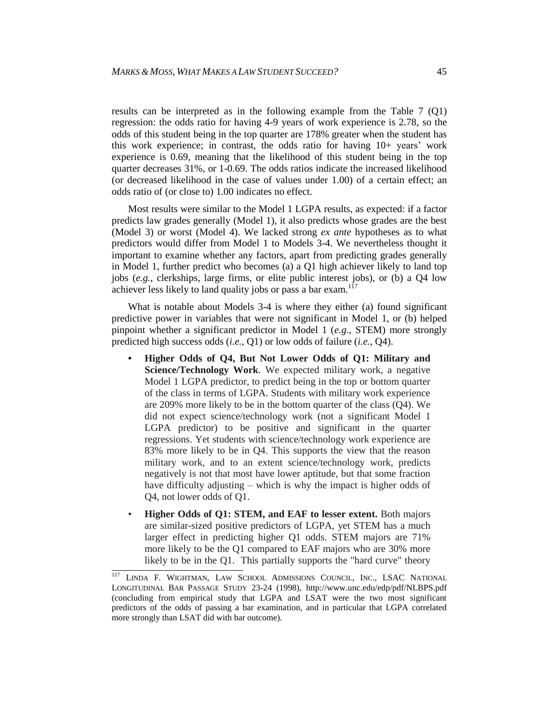results can be interpreted as in the following example from the Table 7 (Q1) regression: the odds ratio for having 4-9 years of work experience is 2.78, so the odds of this student being in the top quarter are 178% greater when the student has this work experience; in contrast, the odds ratio for having 10+ years' work experience is 0.69, meaning that the likelihood of this student being in the top quarter decreases 31%, or 1-0.69. The odds ratios indicate the increased likelihood (or decreased likelihood in the case of values under 1.00) of a certain effect; an odds ratio of (or close to) 1.00 indicates no effect.

Most results were similar to the Model 1 LGPA results, as expected: if a factor predicts law grades generally (Model 1), it also predicts whose grades are the best (Model 3) or worst (Model 4). We lacked strong *ex ante* hypotheses as to what predictors would differ from Model 1 to Models 3-4. We nevertheless thought it important to examine whether any factors, apart from predicting grades generally in Model 1, further predict who becomes (a) a Q1 high achiever likely to land top jobs (*e.g.*, clerkships, large firms, or elite public interest jobs), or (b) a Q4 low achiever less likely to land quality jobs or pass a bar exam.<sup>117</sup>

What is notable about Models 3-4 is where they either (a) found significant predictive power in variables that were not significant in Model 1, or (b) helped pinpoint whether a significant predictor in Model 1 (*e.g*., STEM) more strongly predicted high success odds (*i.e.*, Q1) or low odds of failure (*i.e.*, Q4).

- **• Higher Odds of Q4, But Not Lower Odds of Q1: Military and Science/Technology Work**. We expected military work, a negative Model 1 LGPA predictor, to predict being in the top or bottom quarter of the class in terms of LGPA. Students with military work experience are 209% more likely to be in the bottom quarter of the class (Q4). We did not expect science/technology work (not a significant Model 1 LGPA predictor) to be positive and significant in the quarter regressions. Yet students with science/technology work experience are 83% more likely to be in Q4. This supports the view that the reason military work, and to an extent science/technology work, predicts negatively is not that most have lower aptitude, but that some fraction have difficulty adjusting – which is why the impact is higher odds of Q4, not lower odds of Q1.
- **Higher Odds of Q1: STEM, and EAF to lesser extent.** Both majors are similar-sized positive predictors of LGPA, yet STEM has a much larger effect in predicting higher Q1 odds. STEM majors are 71% more likely to be the Q1 compared to EAF majors who are 30% more likely to be in the Q1. This partially supports the "hard curve" theory

 $\overline{117}$ LINDA F. WIGHTMAN, LAW SCHOOL ADMISSIONS COUNCIL, INC., LSAC NATIONAL LONGITUDINAL BAR PASSAGE STUDY 23-24 (1998), http://www.unc.edu/edp/pdf/NLBPS.pdf (concluding from empirical study that LGPA and LSAT were the two most significant predictors of the odds of passing a bar examination, and in particular that LGPA correlated more strongly than LSAT did with bar outcome).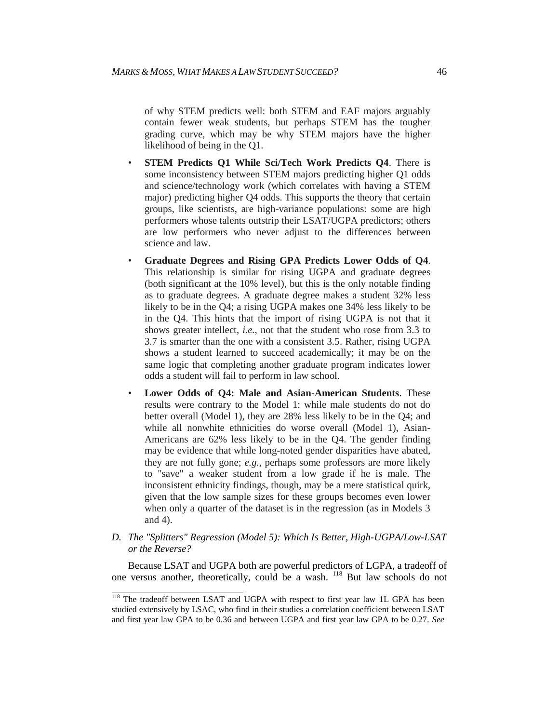of why STEM predicts well: both STEM and EAF majors arguably contain fewer weak students, but perhaps STEM has the tougher grading curve, which may be why STEM majors have the higher likelihood of being in the Q1.

- **STEM Predicts Q1 While Sci/Tech Work Predicts Q4**. There is some inconsistency between STEM majors predicting higher Q1 odds and science/technology work (which correlates with having a STEM major) predicting higher Q4 odds. This supports the theory that certain groups, like scientists, are high-variance populations: some are high performers whose talents outstrip their LSAT/UGPA predictors; others are low performers who never adjust to the differences between science and law.
- **Graduate Degrees and Rising GPA Predicts Lower Odds of Q4**. This relationship is similar for rising UGPA and graduate degrees (both significant at the 10% level), but this is the only notable finding as to graduate degrees. A graduate degree makes a student 32% less likely to be in the Q4; a rising UGPA makes one 34% less likely to be in the Q4. This hints that the import of rising UGPA is not that it shows greater intellect, *i.e.*, not that the student who rose from 3.3 to 3.7 is smarter than the one with a consistent 3.5. Rather, rising UGPA shows a student learned to succeed academically; it may be on the same logic that completing another graduate program indicates lower odds a student will fail to perform in law school.
- **Lower Odds of Q4: Male and Asian-American Students**. These results were contrary to the Model 1: while male students do not do better overall (Model 1), they are 28% less likely to be in the Q4; and while all nonwhite ethnicities do worse overall (Model 1), Asian-Americans are 62% less likely to be in the Q4. The gender finding may be evidence that while long-noted gender disparities have abated, they are not fully gone; *e.g.*, perhaps some professors are more likely to "save" a weaker student from a low grade if he is male. The inconsistent ethnicity findings, though, may be a mere statistical quirk, given that the low sample sizes for these groups becomes even lower when only a quarter of the dataset is in the regression (as in Models 3 and 4).
- *D. The "Splitters" Regression (Model 5): Which Is Better, High-UGPA/Low-LSAT or the Reverse?*

Because LSAT and UGPA both are powerful predictors of LGPA, a tradeoff of one versus another, theoretically, could be a wash. <sup>118</sup> But law schools do not

<sup>&</sup>lt;sup>118</sup> The tradeoff between LSAT and UGPA with respect to first year law 1L GPA has been studied extensively by LSAC, who find in their studies a correlation coefficient between LSAT and first year law GPA to be 0.36 and between UGPA and first year law GPA to be 0.27. *See*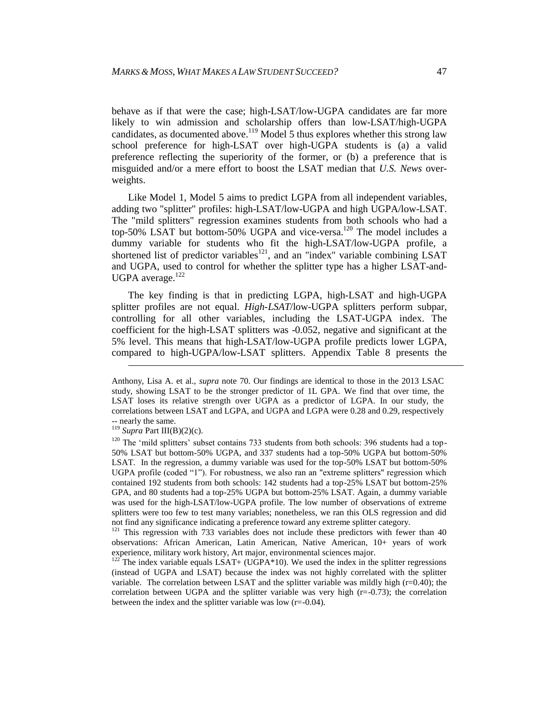behave as if that were the case; high-LSAT/low-UGPA candidates are far more likely to win admission and scholarship offers than low-LSAT/high-UGPA candidates, as documented above.<sup>119</sup> Model 5 thus explores whether this strong law school preference for high-LSAT over high-UGPA students is (a) a valid preference reflecting the superiority of the former, or (b) a preference that is misguided and/or a mere effort to boost the LSAT median that *U.S. News* overweights.

Like Model 1, Model 5 aims to predict LGPA from all independent variables, adding two "splitter" profiles: high-LSAT/low-UGPA and high UGPA/low-LSAT. The "mild splitters" regression examines students from both schools who had a top-50% LSAT but bottom-50% UGPA and vice-versa.<sup>120</sup> The model includes a dummy variable for students who fit the high-LSAT/low-UGPA profile, a shortened list of predictor variables<sup>121</sup>, and an "index" variable combining LSAT and UGPA, used to control for whether the splitter type has a higher LSAT-and-UGPA average. $122$ 

The key finding is that in predicting LGPA, high-LSAT and high-UGPA splitter profiles are not equal. *High-LSAT*/low-UGPA splitters perform subpar, controlling for all other variables, including the LSAT-UGPA index. The coefficient for the high-LSAT splitters was -0.052, negative and significant at the 5% level. This means that high-LSAT/low-UGPA profile predicts lower LGPA, compared to high-UGPA/low-LSAT splitters. Appendix Table 8 presents the

l

Anthony, Lisa A. et al., *supra* note 70. Our findings are identical to those in the 2013 LSAC study, showing LSAT to be the stronger predictor of 1L GPA. We find that over time, the LSAT loses its relative strength over UGPA as a predictor of LGPA. In our study, the correlations between LSAT and LGPA, and UGPA and LGPA were 0.28 and 0.29, respectively -- nearly the same.

<sup>119</sup> *Supra* Part III(B)(2)(c).

<sup>&</sup>lt;sup>120</sup> The 'mild splitters' subset contains 733 students from both schools: 396 students had a top-50% LSAT but bottom-50% UGPA, and 337 students had a top-50% UGPA but bottom-50% LSAT. In the regression, a dummy variable was used for the top-50% LSAT but bottom-50% UGPA profile (coded "1"). For robustness, we also ran an "extreme splitters" regression which contained 192 students from both schools: 142 students had a top-25% LSAT but bottom-25% GPA, and 80 students had a top-25% UGPA but bottom-25% LSAT. Again, a dummy variable was used for the high-LSAT/low-UGPA profile. The low number of observations of extreme splitters were too few to test many variables; nonetheless, we ran this OLS regression and did not find any significance indicating a preference toward any extreme splitter category.

<sup>&</sup>lt;sup>121</sup> This regression with 733 variables does not include these predictors with fewer than 40 observations: African American, Latin American, Native American, 10+ years of work experience, military work history, Art major, environmental sciences major.

The index variable equals  $LSAT+ (UGPA*10)$ . We used the index in the splitter regressions (instead of UGPA and LSAT) because the index was not highly correlated with the splitter variable. The correlation between LSAT and the splitter variable was mildly high (r=0.40); the correlation between UGPA and the splitter variable was very high  $(r=-0.73)$ ; the correlation between the index and the splitter variable was low (r=-0.04).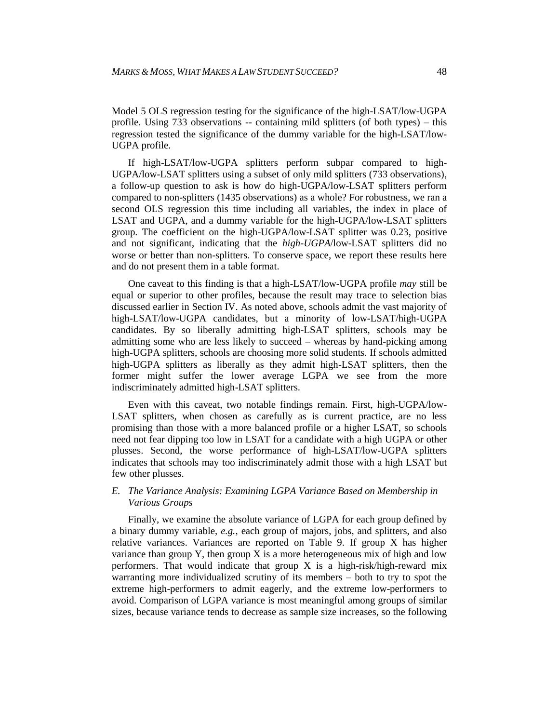Model 5 OLS regression testing for the significance of the high-LSAT/low-UGPA profile. Using 733 observations -- containing mild splitters (of both types) – this regression tested the significance of the dummy variable for the high-LSAT/low-UGPA profile.

If high-LSAT/low-UGPA splitters perform subpar compared to high-UGPA/low-LSAT splitters using a subset of only mild splitters (733 observations), a follow-up question to ask is how do high-UGPA/low-LSAT splitters perform compared to non-splitters (1435 observations) as a whole? For robustness, we ran a second OLS regression this time including all variables, the index in place of LSAT and UGPA, and a dummy variable for the high-UGPA/low-LSAT splitters group. The coefficient on the high-UGPA/low-LSAT splitter was 0.23, positive and not significant, indicating that the *high-UGPA*/low-LSAT splitters did no worse or better than non-splitters. To conserve space, we report these results here and do not present them in a table format.

One caveat to this finding is that a high-LSAT/low-UGPA profile *may* still be equal or superior to other profiles, because the result may trace to selection bias discussed earlier in Section IV. As noted above, schools admit the vast majority of high-LSAT/low-UGPA candidates, but a minority of low-LSAT/high-UGPA candidates. By so liberally admitting high-LSAT splitters, schools may be admitting some who are less likely to succeed – whereas by hand-picking among high-UGPA splitters, schools are choosing more solid students. If schools admitted high-UGPA splitters as liberally as they admit high-LSAT splitters, then the former might suffer the lower average LGPA we see from the more indiscriminately admitted high-LSAT splitters.

Even with this caveat, two notable findings remain. First, high-UGPA/low-LSAT splitters, when chosen as carefully as is current practice, are no less promising than those with a more balanced profile or a higher LSAT, so schools need not fear dipping too low in LSAT for a candidate with a high UGPA or other plusses. Second, the worse performance of high-LSAT/low-UGPA splitters indicates that schools may too indiscriminately admit those with a high LSAT but few other plusses.

#### *E. The Variance Analysis: Examining LGPA Variance Based on Membership in Various Groups*

Finally, we examine the absolute variance of LGPA for each group defined by a binary dummy variable, *e.g.*, each group of majors, jobs, and splitters, and also relative variances. Variances are reported on Table 9. If group X has higher variance than group Y, then group X is a more heterogeneous mix of high and low performers. That would indicate that group  $X$  is a high-risk/high-reward mix warranting more individualized scrutiny of its members – both to try to spot the extreme high-performers to admit eagerly, and the extreme low-performers to avoid. Comparison of LGPA variance is most meaningful among groups of similar sizes, because variance tends to decrease as sample size increases, so the following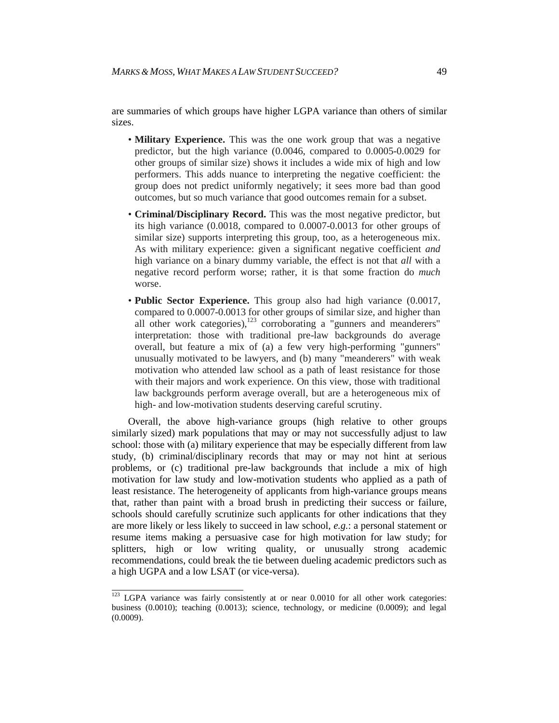are summaries of which groups have higher LGPA variance than others of similar sizes.

- **Military Experience.** This was the one work group that was a negative predictor, but the high variance (0.0046, compared to 0.0005-0.0029 for other groups of similar size) shows it includes a wide mix of high and low performers. This adds nuance to interpreting the negative coefficient: the group does not predict uniformly negatively; it sees more bad than good outcomes, but so much variance that good outcomes remain for a subset.
- **Criminal/Disciplinary Record.** This was the most negative predictor, but its high variance (0.0018, compared to 0.0007-0.0013 for other groups of similar size) supports interpreting this group, too, as a heterogeneous mix. As with military experience: given a significant negative coefficient *and* high variance on a binary dummy variable, the effect is not that *all* with a negative record perform worse; rather, it is that some fraction do *much*  worse.
- **Public Sector Experience.** This group also had high variance (0.0017, compared to 0.0007-0.0013 for other groups of similar size, and higher than all other work categories), $123$  corroborating a "gunners and meanderers" interpretation: those with traditional pre-law backgrounds do average overall, but feature a mix of (a) a few very high-performing "gunners" unusually motivated to be lawyers, and (b) many "meanderers" with weak motivation who attended law school as a path of least resistance for those with their majors and work experience. On this view, those with traditional law backgrounds perform average overall, but are a heterogeneous mix of high- and low-motivation students deserving careful scrutiny.

Overall, the above high-variance groups (high relative to other groups similarly sized) mark populations that may or may not successfully adjust to law school: those with (a) military experience that may be especially different from law study, (b) criminal/disciplinary records that may or may not hint at serious problems, or (c) traditional pre-law backgrounds that include a mix of high motivation for law study and low-motivation students who applied as a path of least resistance. The heterogeneity of applicants from high-variance groups means that, rather than paint with a broad brush in predicting their success or failure, schools should carefully scrutinize such applicants for other indications that they are more likely or less likely to succeed in law school, *e.g.*: a personal statement or resume items making a persuasive case for high motivation for law study; for splitters, high or low writing quality, or unusually strong academic recommendations, could break the tie between dueling academic predictors such as a high UGPA and a low LSAT (or vice-versa).

 $\frac{123}{123}$  LGPA variance was fairly consistently at or near 0.0010 for all other work categories: business (0.0010); teaching (0.0013); science, technology, or medicine (0.0009); and legal (0.0009).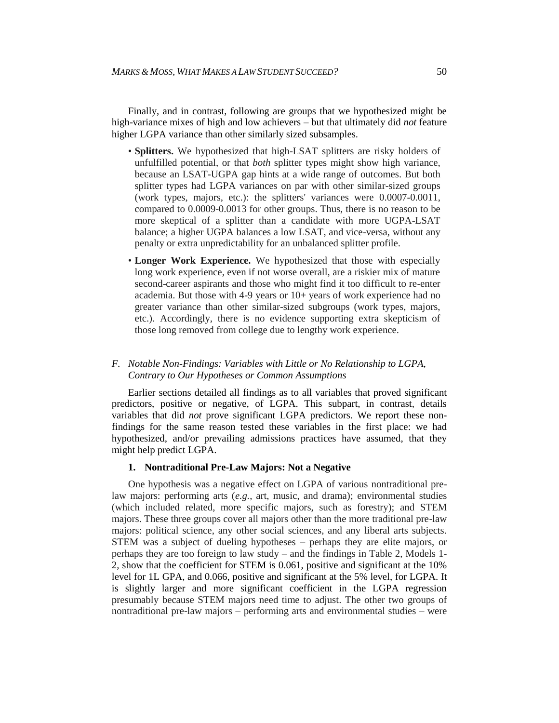Finally, and in contrast, following are groups that we hypothesized might be high-variance mixes of high and low achievers – but that ultimately did *not* feature higher LGPA variance than other similarly sized subsamples.

- **Splitters.** We hypothesized that high-LSAT splitters are risky holders of unfulfilled potential, or that *both* splitter types might show high variance, because an LSAT-UGPA gap hints at a wide range of outcomes. But both splitter types had LGPA variances on par with other similar-sized groups (work types, majors, etc.): the splitters' variances were 0.0007-0.0011, compared to 0.0009-0.0013 for other groups. Thus, there is no reason to be more skeptical of a splitter than a candidate with more UGPA-LSAT balance; a higher UGPA balances a low LSAT, and vice-versa, without any penalty or extra unpredictability for an unbalanced splitter profile.
- **Longer Work Experience.** We hypothesized that those with especially long work experience, even if not worse overall, are a riskier mix of mature second-career aspirants and those who might find it too difficult to re-enter academia. But those with 4-9 years or 10+ years of work experience had no greater variance than other similar-sized subgroups (work types, majors, etc.). Accordingly, there is no evidence supporting extra skepticism of those long removed from college due to lengthy work experience.

#### *F. Notable Non-Findings: Variables with Little or No Relationship to LGPA, Contrary to Our Hypotheses or Common Assumptions*

Earlier sections detailed all findings as to all variables that proved significant predictors, positive or negative, of LGPA. This subpart, in contrast, details variables that did *not* prove significant LGPA predictors. We report these nonfindings for the same reason tested these variables in the first place: we had hypothesized, and/or prevailing admissions practices have assumed, that they might help predict LGPA.

#### **1. Nontraditional Pre-Law Majors: Not a Negative**

One hypothesis was a negative effect on LGPA of various nontraditional prelaw majors: performing arts (*e.g.*, art, music, and drama); environmental studies (which included related, more specific majors, such as forestry); and STEM majors. These three groups cover all majors other than the more traditional pre-law majors: political science, any other social sciences, and any liberal arts subjects. STEM was a subject of dueling hypotheses – perhaps they are elite majors, or perhaps they are too foreign to law study – and the findings in Table 2, Models 1- 2, show that the coefficient for STEM is 0.061, positive and significant at the 10% level for 1L GPA, and 0.066, positive and significant at the 5% level, for LGPA. It is slightly larger and more significant coefficient in the LGPA regression presumably because STEM majors need time to adjust. The other two groups of nontraditional pre-law majors – performing arts and environmental studies – were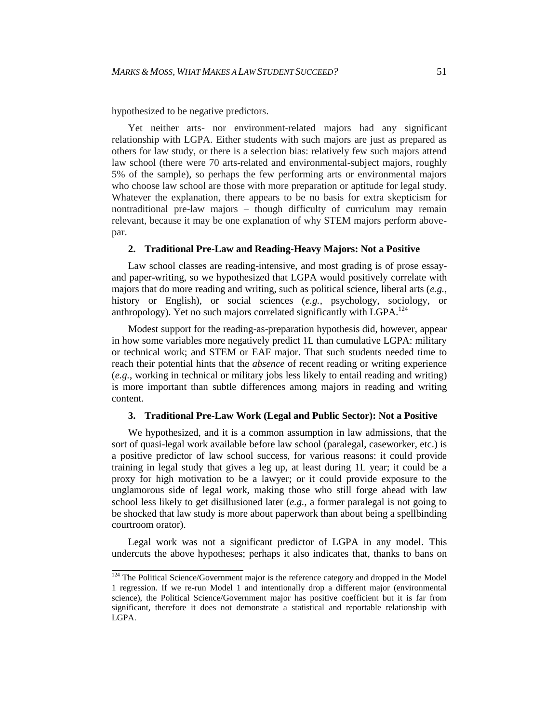hypothesized to be negative predictors.

Yet neither arts- nor environment-related majors had any significant relationship with LGPA. Either students with such majors are just as prepared as others for law study, or there is a selection bias: relatively few such majors attend law school (there were 70 arts-related and environmental-subject majors, roughly 5% of the sample), so perhaps the few performing arts or environmental majors who choose law school are those with more preparation or aptitude for legal study. Whatever the explanation, there appears to be no basis for extra skepticism for nontraditional pre-law majors – though difficulty of curriculum may remain relevant, because it may be one explanation of why STEM majors perform abovepar.

#### **2. Traditional Pre-Law and Reading-Heavy Majors: Not a Positive**

Law school classes are reading-intensive, and most grading is of prose essayand paper-writing, so we hypothesized that LGPA would positively correlate with majors that do more reading and writing, such as political science, liberal arts (*e.g.*, history or English), or social sciences (*e.g.*, psychology, sociology, or anthropology). Yet no such majors correlated significantly with LGPA.<sup>124</sup>

Modest support for the reading-as-preparation hypothesis did, however, appear in how some variables more negatively predict 1L than cumulative LGPA: military or technical work; and STEM or EAF major. That such students needed time to reach their potential hints that the *absence* of recent reading or writing experience (*e.g.*, working in technical or military jobs less likely to entail reading and writing) is more important than subtle differences among majors in reading and writing content.

#### **3. Traditional Pre-Law Work (Legal and Public Sector): Not a Positive**

We hypothesized, and it is a common assumption in law admissions, that the sort of quasi-legal work available before law school (paralegal, caseworker, etc.) is a positive predictor of law school success, for various reasons: it could provide training in legal study that gives a leg up, at least during 1L year; it could be a proxy for high motivation to be a lawyer; or it could provide exposure to the unglamorous side of legal work, making those who still forge ahead with law school less likely to get disillusioned later (*e.g.*, a former paralegal is not going to be shocked that law study is more about paperwork than about being a spellbinding courtroom orator).

Legal work was not a significant predictor of LGPA in any model. This undercuts the above hypotheses; perhaps it also indicates that, thanks to bans on

<sup>&</sup>lt;sup>124</sup> The Political Science/Government major is the reference category and dropped in the Model 1 regression. If we re-run Model 1 and intentionally drop a different major (environmental science), the Political Science/Government major has positive coefficient but it is far from significant, therefore it does not demonstrate a statistical and reportable relationship with LGPA.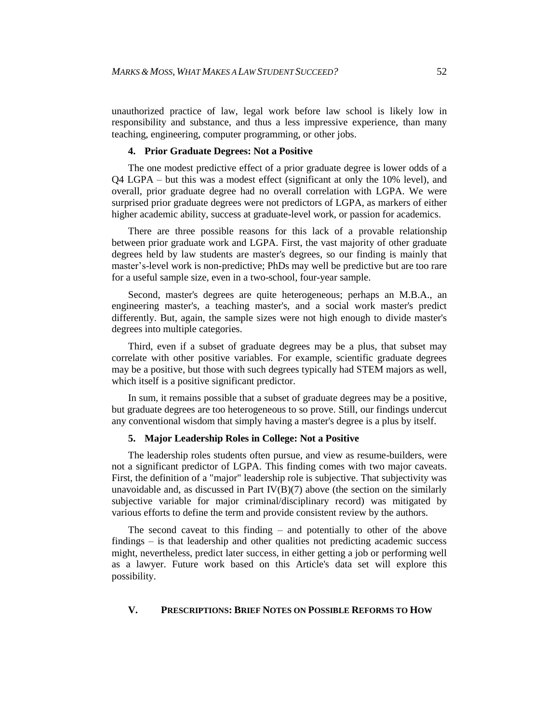unauthorized practice of law, legal work before law school is likely low in responsibility and substance, and thus a less impressive experience, than many teaching, engineering, computer programming, or other jobs.

#### **4. Prior Graduate Degrees: Not a Positive**

The one modest predictive effect of a prior graduate degree is lower odds of a Q4 LGPA – but this was a modest effect (significant at only the 10% level), and overall, prior graduate degree had no overall correlation with LGPA. We were surprised prior graduate degrees were not predictors of LGPA, as markers of either higher academic ability, success at graduate-level work, or passion for academics.

There are three possible reasons for this lack of a provable relationship between prior graduate work and LGPA. First, the vast majority of other graduate degrees held by law students are master's degrees, so our finding is mainly that master's-level work is non-predictive; PhDs may well be predictive but are too rare for a useful sample size, even in a two-school, four-year sample.

Second, master's degrees are quite heterogeneous; perhaps an M.B.A., an engineering master's, a teaching master's, and a social work master's predict differently. But, again, the sample sizes were not high enough to divide master's degrees into multiple categories.

Third, even if a subset of graduate degrees may be a plus, that subset may correlate with other positive variables. For example, scientific graduate degrees may be a positive, but those with such degrees typically had STEM majors as well, which itself is a positive significant predictor.

In sum, it remains possible that a subset of graduate degrees may be a positive, but graduate degrees are too heterogeneous to so prove. Still, our findings undercut any conventional wisdom that simply having a master's degree is a plus by itself.

#### **5. Major Leadership Roles in College: Not a Positive**

The leadership roles students often pursue, and view as resume-builders, were not a significant predictor of LGPA. This finding comes with two major caveats. First, the definition of a "major" leadership role is subjective. That subjectivity was unavoidable and, as discussed in Part  $IV(B)(7)$  above (the section on the similarly subjective variable for major criminal/disciplinary record) was mitigated by various efforts to define the term and provide consistent review by the authors.

The second caveat to this finding – and potentially to other of the above findings – is that leadership and other qualities not predicting academic success might, nevertheless, predict later success, in either getting a job or performing well as a lawyer. Future work based on this Article's data set will explore this possibility.

#### **V. PRESCRIPTIONS: BRIEF NOTES ON POSSIBLE REFORMS TO HOW**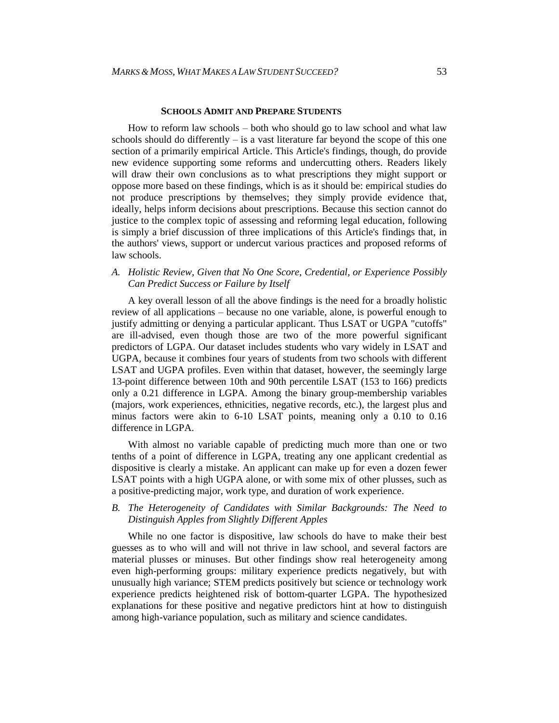#### **SCHOOLS ADMIT AND PREPARE STUDENTS**

How to reform law schools – both who should go to law school and what law schools should do differently  $-$  is a vast literature far beyond the scope of this one section of a primarily empirical Article. This Article's findings, though, do provide new evidence supporting some reforms and undercutting others. Readers likely will draw their own conclusions as to what prescriptions they might support or oppose more based on these findings, which is as it should be: empirical studies do not produce prescriptions by themselves; they simply provide evidence that, ideally, helps inform decisions about prescriptions. Because this section cannot do justice to the complex topic of assessing and reforming legal education, following is simply a brief discussion of three implications of this Article's findings that, in the authors' views, support or undercut various practices and proposed reforms of law schools.

#### *A. Holistic Review, Given that No One Score, Credential, or Experience Possibly Can Predict Success or Failure by Itself*

A key overall lesson of all the above findings is the need for a broadly holistic review of all applications – because no one variable, alone, is powerful enough to justify admitting or denying a particular applicant. Thus LSAT or UGPA "cutoffs" are ill-advised, even though those are two of the more powerful significant predictors of LGPA. Our dataset includes students who vary widely in LSAT and UGPA, because it combines four years of students from two schools with different LSAT and UGPA profiles. Even within that dataset, however, the seemingly large 13-point difference between 10th and 90th percentile LSAT (153 to 166) predicts only a 0.21 difference in LGPA. Among the binary group-membership variables (majors, work experiences, ethnicities, negative records, etc.), the largest plus and minus factors were akin to 6-10 LSAT points, meaning only a 0.10 to 0.16 difference in LGPA.

With almost no variable capable of predicting much more than one or two tenths of a point of difference in LGPA, treating any one applicant credential as dispositive is clearly a mistake. An applicant can make up for even a dozen fewer LSAT points with a high UGPA alone, or with some mix of other plusses, such as a positive-predicting major, work type, and duration of work experience.

#### *B. The Heterogeneity of Candidates with Similar Backgrounds: The Need to Distinguish Apples from Slightly Different Apples*

While no one factor is dispositive, law schools do have to make their best guesses as to who will and will not thrive in law school, and several factors are material plusses or minuses. But other findings show real heterogeneity among even high-performing groups: military experience predicts negatively, but with unusually high variance; STEM predicts positively but science or technology work experience predicts heightened risk of bottom-quarter LGPA. The hypothesized explanations for these positive and negative predictors hint at how to distinguish among high-variance population, such as military and science candidates.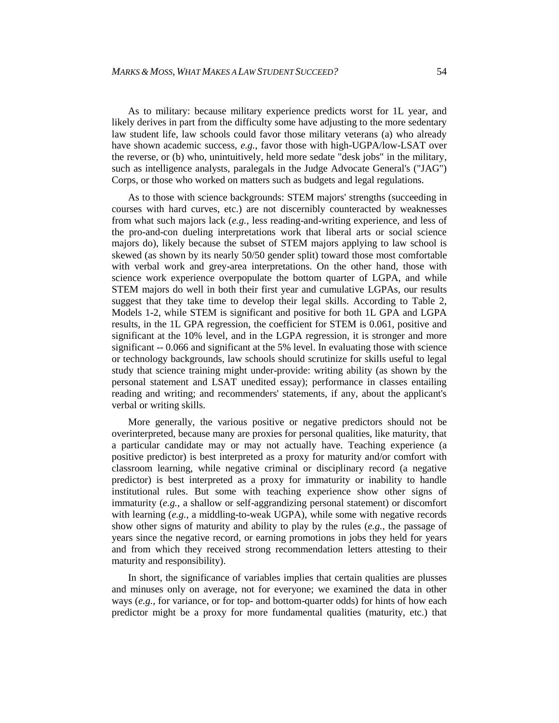As to military: because military experience predicts worst for 1L year, and likely derives in part from the difficulty some have adjusting to the more sedentary law student life, law schools could favor those military veterans (a) who already have shown academic success, *e.g.*, favor those with high-UGPA/low-LSAT over the reverse, or (b) who, unintuitively, held more sedate "desk jobs" in the military, such as intelligence analysts, paralegals in the Judge Advocate General's ("JAG") Corps, or those who worked on matters such as budgets and legal regulations.

As to those with science backgrounds: STEM majors' strengths (succeeding in courses with hard curves, etc.) are not discernibly counteracted by weaknesses from what such majors lack (*e.g.*, less reading-and-writing experience, and less of the pro-and-con dueling interpretations work that liberal arts or social science majors do), likely because the subset of STEM majors applying to law school is skewed (as shown by its nearly 50/50 gender split) toward those most comfortable with verbal work and grey-area interpretations. On the other hand, those with science work experience overpopulate the bottom quarter of LGPA, and while STEM majors do well in both their first year and cumulative LGPAs, our results suggest that they take time to develop their legal skills. According to Table 2, Models 1-2, while STEM is significant and positive for both 1L GPA and LGPA results, in the 1L GPA regression, the coefficient for STEM is 0.061, positive and significant at the 10% level, and in the LGPA regression, it is stronger and more significant -- 0.066 and significant at the 5% level. In evaluating those with science or technology backgrounds, law schools should scrutinize for skills useful to legal study that science training might under-provide: writing ability (as shown by the personal statement and LSAT unedited essay); performance in classes entailing reading and writing; and recommenders' statements, if any, about the applicant's verbal or writing skills.

More generally, the various positive or negative predictors should not be overinterpreted, because many are proxies for personal qualities, like maturity, that a particular candidate may or may not actually have. Teaching experience (a positive predictor) is best interpreted as a proxy for maturity and/or comfort with classroom learning, while negative criminal or disciplinary record (a negative predictor) is best interpreted as a proxy for immaturity or inability to handle institutional rules. But some with teaching experience show other signs of immaturity (*e.g.*, a shallow or self-aggrandizing personal statement) or discomfort with learning (*e.g.*, a middling-to-weak UGPA), while some with negative records show other signs of maturity and ability to play by the rules (*e.g.*, the passage of years since the negative record, or earning promotions in jobs they held for years and from which they received strong recommendation letters attesting to their maturity and responsibility).

In short, the significance of variables implies that certain qualities are plusses and minuses only on average, not for everyone; we examined the data in other ways (*e.g.*, for variance, or for top- and bottom-quarter odds) for hints of how each predictor might be a proxy for more fundamental qualities (maturity, etc.) that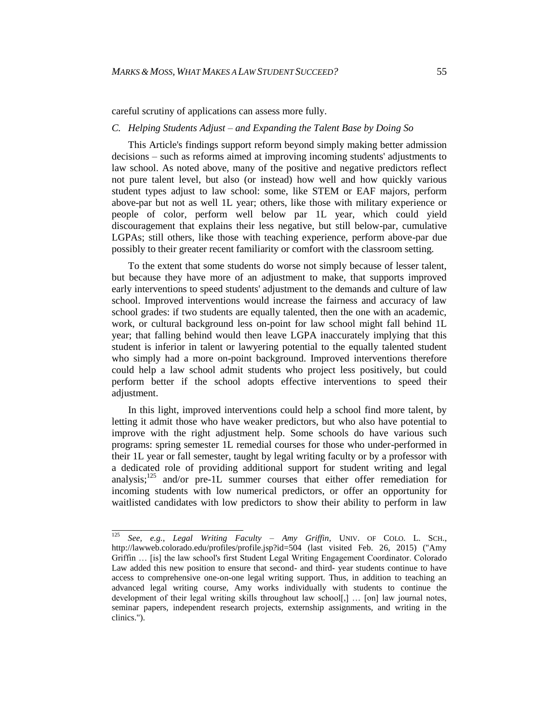careful scrutiny of applications can assess more fully.

#### *C. Helping Students Adjust – and Expanding the Talent Base by Doing So*

This Article's findings support reform beyond simply making better admission decisions – such as reforms aimed at improving incoming students' adjustments to law school. As noted above, many of the positive and negative predictors reflect not pure talent level, but also (or instead) how well and how quickly various student types adjust to law school: some, like STEM or EAF majors, perform above-par but not as well 1L year; others, like those with military experience or people of color, perform well below par 1L year, which could yield discouragement that explains their less negative, but still below-par, cumulative LGPAs; still others, like those with teaching experience, perform above-par due possibly to their greater recent familiarity or comfort with the classroom setting.

To the extent that some students do worse not simply because of lesser talent, but because they have more of an adjustment to make, that supports improved early interventions to speed students' adjustment to the demands and culture of law school. Improved interventions would increase the fairness and accuracy of law school grades: if two students are equally talented, then the one with an academic, work, or cultural background less on-point for law school might fall behind 1L year; that falling behind would then leave LGPA inaccurately implying that this student is inferior in talent or lawyering potential to the equally talented student who simply had a more on-point background. Improved interventions therefore could help a law school admit students who project less positively, but could perform better if the school adopts effective interventions to speed their adiustment.

In this light, improved interventions could help a school find more talent, by letting it admit those who have weaker predictors, but who also have potential to improve with the right adjustment help. Some schools do have various such programs: spring semester 1L remedial courses for those who under-performed in their 1L year or fall semester, taught by legal writing faculty or by a professor with a dedicated role of providing additional support for student writing and legal analysis; $^{125}$  and/or pre-1L summer courses that either offer remediation for incoming students with low numerical predictors, or offer an opportunity for waitlisted candidates with low predictors to show their ability to perform in law

<sup>125</sup> <sup>125</sup> *See, e.g.*, *Legal Writing Faculty – Amy Griffin*, UNIV. OF COLO. L. SCH., http://lawweb.colorado.edu/profiles/profile.jsp?id=504 (last visited Feb. 26, 2015) ("Amy Griffin … [is] the law school's first Student Legal Writing Engagement Coordinator. Colorado Law added this new position to ensure that second- and third- year students continue to have access to comprehensive one-on-one legal writing support. Thus, in addition to teaching an advanced legal writing course, Amy works individually with students to continue the development of their legal writing skills throughout law school[,] … [on] law journal notes, seminar papers, independent research projects, externship assignments, and writing in the clinics.").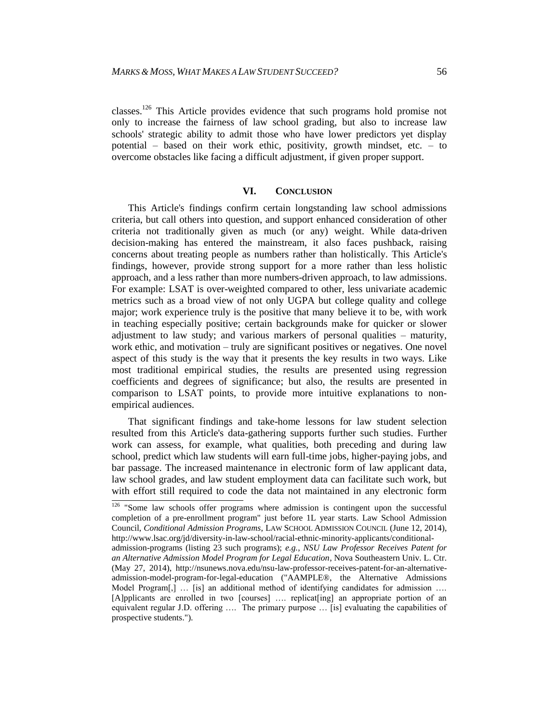classes.<sup>126</sup> This Article provides evidence that such programs hold promise not only to increase the fairness of law school grading, but also to increase law schools' strategic ability to admit those who have lower predictors yet display potential – based on their work ethic, positivity, growth mindset, etc. – to overcome obstacles like facing a difficult adjustment, if given proper support.

#### **VI. CONCLUSION**

This Article's findings confirm certain longstanding law school admissions criteria, but call others into question, and support enhanced consideration of other criteria not traditionally given as much (or any) weight. While data-driven decision-making has entered the mainstream, it also faces pushback, raising concerns about treating people as numbers rather than holistically. This Article's findings, however, provide strong support for a more rather than less holistic approach, and a less rather than more numbers-driven approach, to law admissions. For example: LSAT is over-weighted compared to other, less univariate academic metrics such as a broad view of not only UGPA but college quality and college major; work experience truly is the positive that many believe it to be, with work in teaching especially positive; certain backgrounds make for quicker or slower adjustment to law study; and various markers of personal qualities – maturity, work ethic, and motivation – truly are significant positives or negatives. One novel aspect of this study is the way that it presents the key results in two ways. Like most traditional empirical studies, the results are presented using regression coefficients and degrees of significance; but also, the results are presented in comparison to LSAT points, to provide more intuitive explanations to nonempirical audiences.

That significant findings and take-home lessons for law student selection resulted from this Article's data-gathering supports further such studies. Further work can assess, for example, what qualities, both preceding and during law school, predict which law students will earn full-time jobs, higher-paying jobs, and bar passage. The increased maintenance in electronic form of law applicant data, law school grades, and law student employment data can facilitate such work, but with effort still required to code the data not maintained in any electronic form

 $\frac{126}{126}$  "Some law schools offer programs where admission is contingent upon the successful completion of a pre-enrollment program" just before 1L year starts. Law School Admission Council, *Conditional Admission Programs*, LAW SCHOOL ADMISSION COUNCIL (June 12, 2014), http://www.lsac.org/jd/diversity-in-law-school/racial-ethnic-minority-applicants/conditional-

admission-programs (listing 23 such programs); *e.g.*, *NSU Law Professor Receives Patent for an Alternative Admission Model Program for Legal Education*, Nova Southeastern Univ. L. Ctr. (May 27, 2014), http://nsunews.nova.edu/nsu-law-professor-receives-patent-for-an-alternativeadmission-model-program-for-legal-education ("AAMPLE®, the Alternative Admissions Model Program[,] ... [is] an additional method of identifying candidates for admission .... [A]pplicants are enrolled in two [courses] …. replicat[ing] an appropriate portion of an equivalent regular J.D. offering …. The primary purpose … [is] evaluating the capabilities of prospective students.").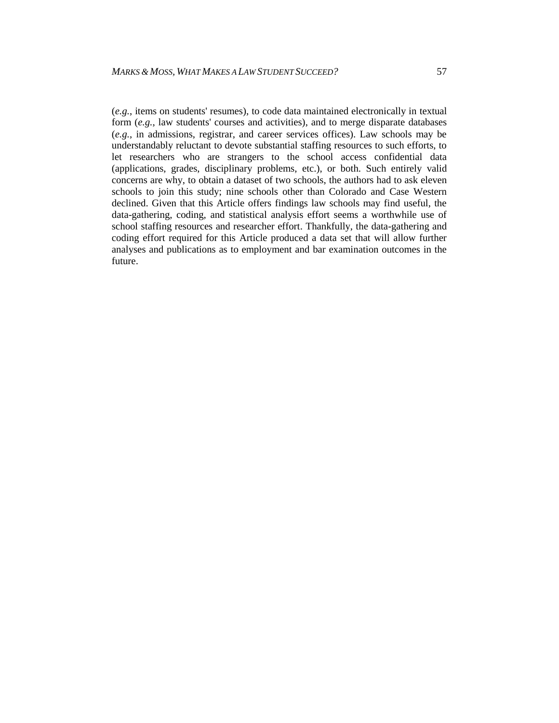(*e.g.*, items on students' resumes), to code data maintained electronically in textual form (*e.g.*, law students' courses and activities), and to merge disparate databases (*e.g.*, in admissions, registrar, and career services offices). Law schools may be understandably reluctant to devote substantial staffing resources to such efforts, to let researchers who are strangers to the school access confidential data (applications, grades, disciplinary problems, etc.), or both. Such entirely valid concerns are why, to obtain a dataset of two schools, the authors had to ask eleven schools to join this study; nine schools other than Colorado and Case Western declined. Given that this Article offers findings law schools may find useful, the data-gathering, coding, and statistical analysis effort seems a worthwhile use of school staffing resources and researcher effort. Thankfully, the data-gathering and coding effort required for this Article produced a data set that will allow further analyses and publications as to employment and bar examination outcomes in the future.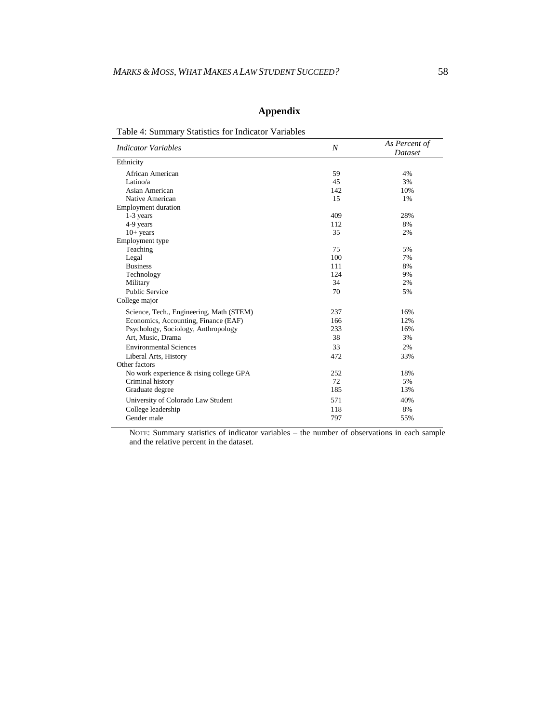# **Appendix**

| Table 4: Summary Statistics for Indicator Variables |  |  |
|-----------------------------------------------------|--|--|
|                                                     |  |  |

| I able +. Dummary Blatistics for maleator y ariables |     | As Percent of |
|------------------------------------------------------|-----|---------------|
| <b>Indicator Variables</b>                           | N   | Dataset       |
| Ethnicity                                            |     |               |
| African American                                     | 59  | 4%            |
| Latino/a                                             | 45  | 3%            |
| Asian American                                       | 142 | 10%           |
| Native American                                      | 15  | 1%            |
| <b>Employment duration</b>                           |     |               |
| $1-3$ years                                          | 409 | 28%           |
| 4-9 years                                            | 112 | 8%            |
| $10+$ years                                          | 35  | 2%            |
| Employment type                                      |     |               |
| Teaching                                             | 75  | 5%            |
| Legal                                                | 100 | 7%            |
| <b>Business</b>                                      | 111 | 8%            |
| Technology                                           | 124 | 9%            |
| Military                                             | 34  | 2%            |
| <b>Public Service</b>                                | 70  | 5%            |
| College major                                        |     |               |
| Science, Tech., Engineering, Math (STEM)             | 237 | 16%           |
| Economics, Accounting, Finance (EAF)                 | 166 | 12%           |
| Psychology, Sociology, Anthropology                  | 233 | 16%           |
| Art, Music, Drama                                    | 38  | 3%            |
| <b>Environmental Sciences</b>                        | 33  | 2%            |
| Liberal Arts, History                                | 472 | 33%           |
| Other factors                                        |     |               |
| No work experience & rising college GPA              | 252 | 18%           |
| Criminal history                                     | 72  | 5%            |
| Graduate degree                                      | 185 | 13%           |
| University of Colorado Law Student                   | 571 | 40%           |
| College leadership                                   | 118 | 8%            |
| Gender male                                          | 797 | 55%           |

NOTE: Summary statistics of indicator variables – the number of observations in each sample and the relative percent in the dataset.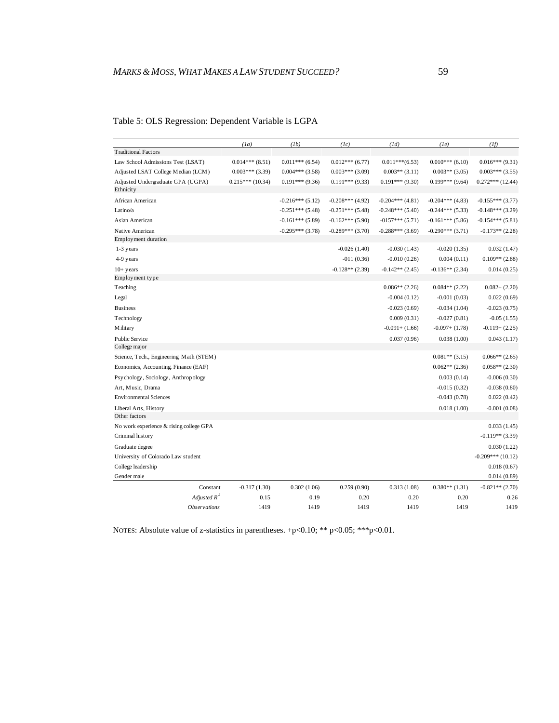|  |  | Table 5: OLS Regression: Dependent Variable is LGPA |  |  |  |  |  |
|--|--|-----------------------------------------------------|--|--|--|--|--|
|  |  |                                                     |  |  |  |  |  |

|                                          | (1a)              | (Ib)               | (Ic)               | (1d)               | (Ie)               | (1f)                |
|------------------------------------------|-------------------|--------------------|--------------------|--------------------|--------------------|---------------------|
| <b>Traditional Factors</b>               |                   |                    |                    |                    |                    |                     |
| Law School Admissions Test (LSAT)        | $0.014***(8.51)$  | $0.011***$ (6.54)  | $0.012***(6.77)$   | $0.011***(6.53)$   | $0.010***$ (6.10)  | $0.016***(9.31)$    |
| Adjusted LSAT College Median (LCM)       | $0.003***$ (3.39) | $0.004***$ (3.58)  | $0.003***$ (3.09)  | $0.003**$ (3.11)   | $0.003**$ (3.05)   | $0.003***$ (3.55)   |
| Adjusted Undergraduate GPA (UGPA)        | $0.215***(10.34)$ | $0.191***$ (9.36)  | $0.191***(9.33)$   | $0.191***(9.30)$   | $0.199***$ (9.64)  | $0.272***$ (12.44)  |
| Ethnicity                                |                   |                    |                    |                    |                    |                     |
| African American                         |                   | $-0.216***(5.12)$  | $-0.208***$ (4.92) | $-0.204***$ (4.81) | $-0.204***$ (4.83) | $-0.155***(3.77)$   |
| Latino/a                                 |                   | $-0.251***$ (5.48) | $-0.251***$ (5.48) | $-0.248***$ (5.40) | $-0.244***$ (5.33) | $-0.148***$ (3.29)  |
| Asian American                           |                   | $-0.161***(5.89)$  | $-0.162***(5.90)$  | $-0157***$ (5.71)  | $-0.161***(5.86)$  | $-0.154***(5.81)$   |
| Native American                          |                   | $-0.295***$ (3.78) | $-0.289***(3.70)$  | $-0.288***$ (3.69) | $-0.290***(3.71)$  | $-0.173**$ (2.28)   |
| Employment duration                      |                   |                    |                    |                    |                    |                     |
| 1-3 years                                |                   |                    | $-0.026(1.40)$     | $-0.030(1.43)$     | $-0.020(1.35)$     | 0.032(1.47)         |
| 4-9 years                                |                   |                    | $-011(0.36)$       | $-0.010(0.26)$     | 0.004(0.11)        | $0.109**$ (2.88)    |
| $10+$ years                              |                   |                    | $-0.128**$ (2.39)  | $-0.142**$ (2.45)  | $-0.136**$ (2.34)  | 0.014(0.25)         |
| Employment type                          |                   |                    |                    |                    |                    |                     |
| Teaching                                 |                   |                    |                    | $0.086**$ (2.26)   | $0.084**$ (2.22)   | $0.082 + (2.20)$    |
| Legal                                    |                   |                    |                    | $-0.004(0.12)$     | $-0.001(0.03)$     | 0.022(0.69)         |
| <b>Business</b>                          |                   |                    |                    | $-0.023(0.69)$     | $-0.034(1.04)$     | $-0.023(0.75)$      |
| Technology                               |                   |                    |                    | 0.009(0.31)        | $-0.027(0.81)$     | $-0.05(1.55)$       |
| Military                                 |                   |                    |                    | $-0.091 + (1.66)$  | $-0.097 + (1.78)$  | $-0.119 + (2.25)$   |
| <b>Public Service</b>                    |                   |                    |                    | 0.037(0.96)        | 0.038(1.00)        | 0.043(1.17)         |
| College major                            |                   |                    |                    |                    |                    |                     |
| Science, Tech., Engineering, Math (STEM) |                   |                    |                    |                    | $0.081**$ (3.15)   | $0.066**$ (2.65)    |
| Economics, Accounting, Finance (EAF)     |                   |                    |                    |                    | $0.062**$ (2.36)   | $0.058**$ (2.30)    |
| Psychology, Sociology, Anthropology      |                   |                    |                    |                    | 0.003(0.14)        | $-0.006(0.30)$      |
| Art, Music, Drama                        |                   |                    |                    |                    | $-0.015(0.32)$     | $-0.038(0.80)$      |
| <b>Environmental Sciences</b>            |                   |                    |                    |                    | $-0.043(0.78)$     | 0.022(0.42)         |
| Liberal Arts, History                    |                   |                    |                    |                    | 0.018(1.00)        | $-0.001(0.08)$      |
| Other factors                            |                   |                    |                    |                    |                    |                     |
| No work experience & rising college GPA  |                   |                    |                    |                    |                    | 0.033(1.45)         |
| Criminal history                         |                   |                    |                    |                    |                    | $-0.119**$ (3.39)   |
| Graduate degree                          |                   |                    |                    |                    |                    | 0.030(1.22)         |
| University of Colorado Law student       |                   |                    |                    |                    |                    | $-0.209***$ (10.12) |
| College leadership                       |                   |                    |                    |                    |                    | 0.018(0.67)         |
| Gender male                              |                   |                    |                    |                    |                    | 0.014(0.89)         |
| Constant                                 | $-0.317(1.30)$    | 0.302(1.06)        | 0.259(0.90)        | 0.313(1.08)        | $0.380**$ (1.31)   | $-0.821**$ (2.70)   |
| Adjusted $R^2$                           | 0.15              | 0.19               | 0.20               | 0.20               | 0.20               | 0.26                |
| <i><b>Observations</b></i>               | 1419              | 1419               | 1419               | 1419               | 1419               | 1419                |

NOTES: Absolute value of z-statistics in parentheses. +p<0.10; \*\* p<0.05; \*\*\* p<0.01.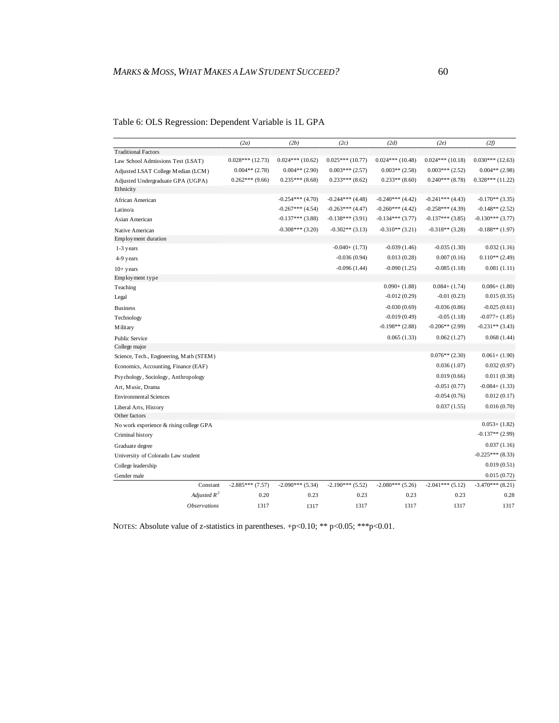|                                          | (2a)              | (2b)               | (2c)               | (2d)               | (2e)               | (2f)               |
|------------------------------------------|-------------------|--------------------|--------------------|--------------------|--------------------|--------------------|
| <b>Traditional Factors</b>               |                   |                    |                    |                    |                    |                    |
| Law School Admissions Test (LSAT)        | $0.028***(12.73)$ | $0.024***(10.62)$  | $0.025***(10.77)$  | $0.024***(10.48)$  | $0.024***(10.18)$  | $0.030***$ (12.63) |
| Adjusted LSAT College Median (LCM)       | $0.004**$ (2.78)  | $0.004**$ (2.90)   | $0.003***(2.57)$   | $0.003**$ (2.58)   | $0.003***(2.52)$   | $0.004**$ (2.98)   |
| Adjusted Undergraduate GPA (UGPA)        | $0.262***$ (9.66) | $0.235***$ (8.68)  | $0.233***$ (8.62)  | $0.233**$ (8.60)   | $0.240***$ (8.78)  | $0.328***(11.22)$  |
| Ethnicity                                |                   |                    |                    |                    |                    |                    |
| African American                         |                   | $-0.254***$ (4.70) | $-0.244***$ (4.48) | $-0.240***$ (4.42) | $-0.241***$ (4.43) | $-0.170**$ (3.35)  |
| Latino/a                                 |                   | $-0.267***$ (4.54) | $-0.263***$ (4.47) | $-0.260***$ (4.42) | $-0.258***$ (4.39) | $-0.148**$ (2.52)  |
| Asian American                           |                   | $-0.137***$ (3.88) | $-0.138***$ (3.91) | $-0.134***$ (3.77) | $-0.137***$ (3.85) | $-0.130***$ (3.77) |
| Native American                          |                   | $-0.308***$ (3.20) | $-0.302**$ (3.13)  | $-0.310**$ (3.21)  | $-0.318**$ (3.28)  | $-0.188**$ (1.97)  |
| Employment duration                      |                   |                    |                    |                    |                    |                    |
| 1-3 years                                |                   |                    | $-0.040+ (1.73)$   | $-0.039(1.46)$     | $-0.035(1.30)$     | 0.032(1.16)        |
| 4-9 years                                |                   |                    | $-0.036(0.94)$     | 0.013(0.28)        | 0.007(0.16)        | $0.110**$ (2.49)   |
| $10+$ years                              |                   |                    | $-0.096(1.44)$     | $-0.090(1.25)$     | $-0.085(1.18)$     | 0.081(1.11)        |
| Employment type                          |                   |                    |                    |                    |                    |                    |
| Teaching                                 |                   |                    |                    | $0.090+ (1.88)$    | $0.084 + (1.74)$   | $0.086+ (1.80)$    |
| Legal                                    |                   |                    |                    | $-0.012(0.29)$     | $-0.01(0.23)$      | 0.015(0.35)        |
| <b>Business</b>                          |                   |                    |                    | $-0.030(0.69)$     | $-0.036(0.86)$     | $-0.025(0.61)$     |
| Technology                               |                   |                    |                    | $-0.019(0.49)$     | $-0.05(1.18)$      | $-0.077 + (1.85)$  |
| M ilitary                                |                   |                    |                    | $-0.198**$ (2.88)  | $-0.206**$ (2.99)  | $-0.231**$ (3.43)  |
| <b>Public Service</b>                    |                   |                    |                    | 0.065(1.33)        | 0.062(1.27)        | 0.068(1.44)        |
| College major                            |                   |                    |                    |                    |                    |                    |
| Science, Tech., Engineering, Math (STEM) |                   |                    |                    |                    | $0.076**$ (2.30)   | $0.061 + (1.90)$   |
| Economics, Accounting, Finance (EAF)     |                   |                    |                    |                    | 0.036(1.07)        | 0.032(0.97)        |
| Psychology, Sociology, Anthropology      |                   |                    |                    |                    | 0.019(0.66)        | 0.011(0.38)        |
| Art, Music, Drama                        |                   |                    |                    |                    | $-0.051(0.77)$     | $-0.084+ (1.33)$   |
| <b>Environmental Sciences</b>            |                   |                    |                    |                    | $-0.054(0.76)$     | 0.012(0.17)        |
| Liberal Arts, History                    |                   |                    |                    |                    | 0.037(1.55)        | 0.016(0.70)        |
| Other factors                            |                   |                    |                    |                    |                    |                    |
| No work experience & rising college GPA  |                   |                    |                    |                    |                    | $0.053+ (1.82)$    |
| Criminal history                         |                   |                    |                    |                    |                    | $-0.137**$ (2.99)  |
| Graduate degree                          |                   |                    |                    |                    |                    | 0.037(1.16)        |
| University of Colorado Law student       |                   |                    |                    |                    |                    | $-0.225***(8.33)$  |
| College leadership                       |                   |                    |                    |                    |                    | 0.019(0.51)        |
| Gender male                              |                   |                    |                    |                    |                    | 0.015(0.72)        |
| Constant                                 | $-2.885***(7.57)$ | $-2.090***$ (5.34) | $-2.190***$ (5.52) | $-2.080***$ (5.26) | $-2.041***$ (5.12) | $-3.470***$ (8.21) |
| Adjusted $R^2$                           | 0.20              | 0.23               | 0.23               | 0.23               | 0.23               | 0.28               |
| <b>Observations</b>                      | 1317              | 1317               | 1317               | 1317               | 1317               | 1317               |

#### Table 6: OLS Regression: Dependent Variable is 1L GPA

NOTES: Absolute value of z-statistics in parentheses. +p<0.10; \*\* p<0.05; \*\*\*p<0.01.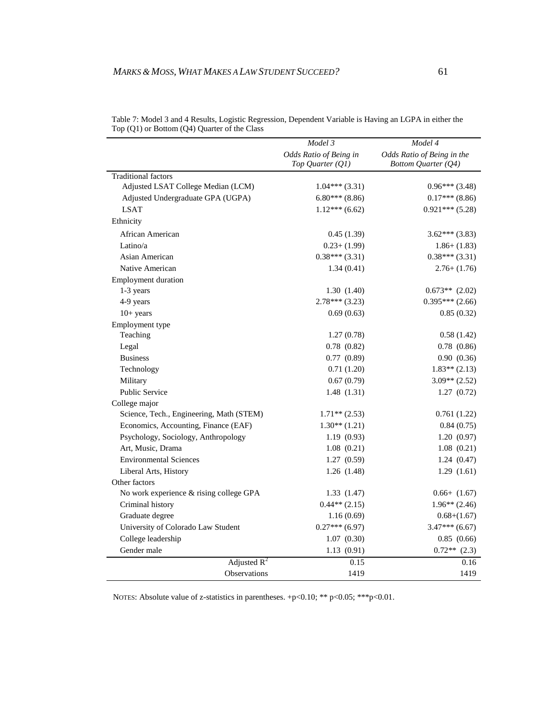|                                          | Model 3                                      | $Model\ 4$                                               |
|------------------------------------------|----------------------------------------------|----------------------------------------------------------|
|                                          | Odds Ratio of Being in<br>Top Quarter $(QI)$ | Odds Ratio of Being in the<br><b>Bottom Quarter (Q4)</b> |
| <b>Traditional factors</b>               |                                              |                                                          |
| Adjusted LSAT College Median (LCM)       | $1.04***(3.31)$                              | $0.96***(3.48)$                                          |
| Adjusted Undergraduate GPA (UGPA)        | $6.80***$ (8.86)                             | $0.17***$ (8.86)                                         |
| <b>LSAT</b>                              | $1.12***(6.62)$                              | $0.921***(5.28)$                                         |
| Ethnicity                                |                                              |                                                          |
| African American                         | 0.45(1.39)                                   | $3.62***$ (3.83)                                         |
| Latino/a                                 | $0.23 + (1.99)$                              | $1.86 + (1.83)$                                          |
| Asian American                           | $0.38***(3.31)$                              | $0.38***(3.31)$                                          |
| Native American                          | 1.34(0.41)                                   | $2.76 + (1.76)$                                          |
| <b>Employment duration</b>               |                                              |                                                          |
| 1-3 years                                | 1.30(1.40)                                   | $0.673**$ (2.02)                                         |
| 4-9 years                                | $2.78***(3.23)$                              | $0.395***$ (2.66)                                        |
| $10+$ years                              | 0.69(0.63)                                   | 0.85(0.32)                                               |
| Employment type                          |                                              |                                                          |
| Teaching                                 | 1.27(0.78)                                   | 0.58(1.42)                                               |
| Legal                                    | 0.78(0.82)                                   | 0.78(0.86)                                               |
| <b>Business</b>                          | 0.77(0.89)                                   | 0.90(0.36)                                               |
| Technology                               | 0.71(1.20)                                   | $1.83**$ (2.13)                                          |
| Military                                 | 0.67(0.79)                                   | $3.09** (2.52)$                                          |
| <b>Public Service</b>                    | 1.48(1.31)                                   | 1.27(0.72)                                               |
| College major                            |                                              |                                                          |
| Science, Tech., Engineering, Math (STEM) | $1.71**$ (2.53)                              | 0.761(1.22)                                              |
| Economics, Accounting, Finance (EAF)     | $1.30**$ (1.21)                              | 0.84(0.75)                                               |
| Psychology, Sociology, Anthropology      | 1.19(0.93)                                   | 1.20(0.97)                                               |
| Art, Music, Drama                        | 1.08(0.21)                                   | 1.08(0.21)                                               |
| <b>Environmental Sciences</b>            | 1.27(0.59)                                   | 1.24(0.47)                                               |
| Liberal Arts, History                    | 1.26(1.48)                                   | 1.29(1.61)                                               |
| Other factors                            |                                              |                                                          |
| No work experience & rising college GPA  | 1.33(1.47)                                   | $0.66+ (1.67)$                                           |
| Criminal history                         | $0.44**$ (2.15)                              | $1.96**$ (2.46)                                          |
| Graduate degree                          | 1.16(0.69)                                   | $0.68 + (1.67)$                                          |
| University of Colorado Law Student       | $0.27***$ (6.97)                             | $3.47***$ (6.67)                                         |
| College leadership                       | 1.07(0.30)                                   | 0.85(0.66)                                               |
| Gender male                              | 1.13(0.91)                                   | $0.72**$ (2.3)                                           |
| Adjusted $R^2$                           | 0.15                                         | 0.16                                                     |
| Observations                             | 1419                                         | 1419                                                     |

| Table 7: Model 3 and 4 Results, Logistic Regression, Dependent Variable is Having an LGPA in either the |  |  |  |
|---------------------------------------------------------------------------------------------------------|--|--|--|
| Top $(Q1)$ or Bottom $(Q4)$ Quarter of the Class                                                        |  |  |  |

NOTES: Absolute value of z-statistics in parentheses. +p<0.10; \*\* p<0.05; \*\*\*p<0.01.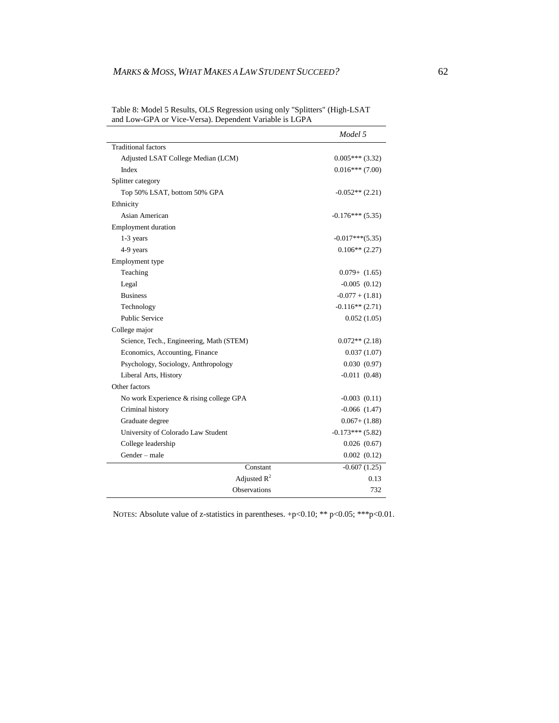|                                          | Model 5            |
|------------------------------------------|--------------------|
| <b>Traditional factors</b>               |                    |
| Adjusted LSAT College Median (LCM)       | $0.005***(3.32)$   |
| Index                                    | $0.016***$ (7.00)  |
| Splitter category                        |                    |
| Top 50% LSAT, bottom 50% GPA             | $-0.052**$ (2.21)  |
| Ethnicity                                |                    |
| Asian American                           | $-0.176***(5.35)$  |
| <b>Employment duration</b>               |                    |
| 1-3 years                                | $-0.017***(5.35)$  |
| 4-9 years                                | $0.106**$ (2.27)   |
| Employment type                          |                    |
| Teaching                                 | $0.079 + (1.65)$   |
| Legal                                    | $-0.005(0.12)$     |
| <b>Business</b>                          | $-0.077 + (1.81)$  |
| Technology                               | $-0.116**$ (2.71)  |
| <b>Public Service</b>                    | 0.052(1.05)        |
| College major                            |                    |
| Science, Tech., Engineering, Math (STEM) | $0.072**$ (2.18)   |
| Economics, Accounting, Finance           | 0.037(1.07)        |
| Psychology, Sociology, Anthropology      | 0.030(0.97)        |
| Liberal Arts, History                    | $-0.011(0.48)$     |
| Other factors                            |                    |
| No work Experience & rising college GPA  | $-0.003$ $(0.11)$  |
| Criminal history                         | $-0.066(1.47)$     |
| Graduate degree                          | $0.067 + (1.88)$   |
| University of Colorado Law Student       | $-0.173***$ (5.82) |
| College leadership                       | 0.026(0.67)        |
| Gender - male                            | 0.002(0.12)        |
| Constant                                 | $-0.607(1.25)$     |
| Adjusted $R^2$                           | 0.13               |
| <b>Observations</b>                      | 732                |

Table 8: Model 5 Results, OLS Regression using only "Splitters" (High-LSAT and Low-GPA or Vice-Versa). Dependent Variable is LGPA

NOTES: Absolute value of z-statistics in parentheses. +p<0.10; \*\* p<0.05; \*\*\*p<0.01.